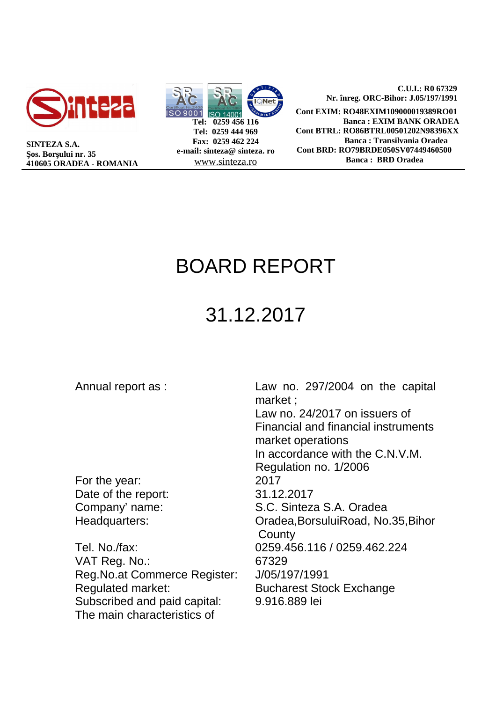

**SINTEZA S.A. Şos. Borşului nr. 35 410605 ORADEA - ROMANIA**



 **C.U.I.: R0 67329 Nr. înreg. ORC-Bihor: J.05/197/1991 Cont EXIM: RO48EXIM109000019389RO01 Banca : EXIM BANK ORADEA Cont BTRL: RO86BTRL00501202N98396XX Banca : Transilvania Oradea Cont BRD: RO79BRDE050SV07449460500 Banca : BRD Oradea**

## BOARD REPORT

# 31.12.2017

Annual report as : Law no. 297/2004 on the capital market ; Law no. 24/2017 on issuers of Financial and financial instruments market operations In accordance with the C.N.V.M. Regulation no. 1/2006 For the year: 2017 Date of the report: 31.12.2017 Company' name: S.C. Sinteza S.A. Oradea Headquarters: Oradea,BorsuluiRoad, No.35,Bihor **County** Tel. No./fax: 0259.456.116 / 0259.462.224 VAT Reg. No.: 67329 Reg.No.at Commerce Register: J/05/197/1991 Regulated market: Bucharest Stock Exchange Subscribed and paid capital: 9.916.889 lei

The main characteristics of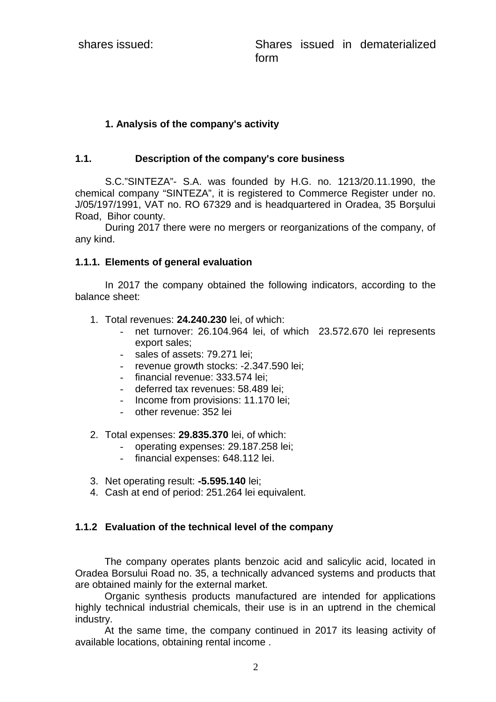#### **1. Analysis of the company's activity**

#### **1.1. Description of the company's core business**

S.C."SINTEZA"- S.A. was founded by H.G. no. 1213/20.11.1990, the chemical company "SINTEZA", it is registered to Commerce Register under no. J/05/197/1991, VAT no. RO 67329 and is headquartered in Oradea, 35 Borşului Road, Bihor county.

During 2017 there were no mergers or reorganizations of the company, of any kind.

#### **1.1.1. Elements of general evaluation**

In 2017 the company obtained the following indicators, according to the balance sheet:

- 1. Total revenues: **24.240.230** lei, of which:
	- net turnover: 26.104.964 lei, of which 23.572.670 lei represents export sales;
	- sales of assets: 79.271 lei;
	- revenue growth stocks: -2.347.590 lei;
	- financial revenue: 333.574 lei;
	- deferred tax revenues: 58.489 lei;
	- Income from provisions: 11.170 lei;
	- other revenue: 352 lei
- 2. Total expenses: **29.835.370** lei, of which:
	- operating expenses: 29.187.258 lei;
	- financial expenses: 648.112 lei.
- 3. Net operating result: **-5.595.140** lei;
- 4. Cash at end of period: 251.264 lei equivalent.

#### **1.1.2 Evaluation of the technical level of the company**

The company operates plants benzoic acid and salicylic acid, located in Oradea Borsului Road no. 35, a technically advanced systems and products that are obtained mainly for the external market.

Organic synthesis products manufactured are intended for applications highly technical industrial chemicals, their use is in an uptrend in the chemical industry.

At the same time, the company continued in 2017 its leasing activity of available locations, obtaining rental income .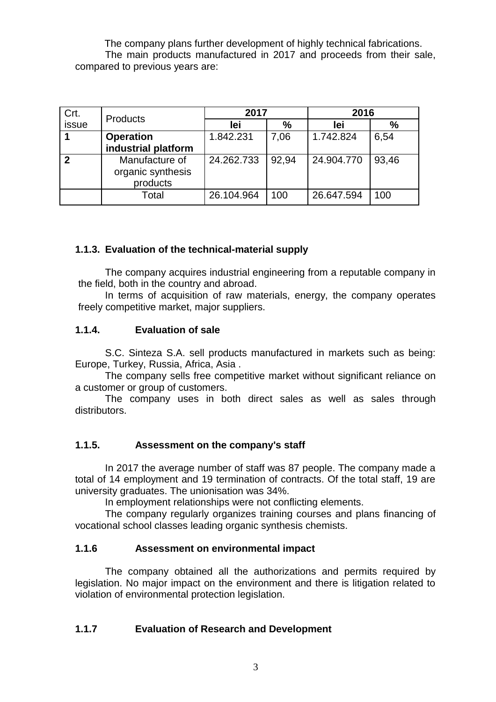The company plans further development of highly technical fabrications. The main products manufactured in 2017 and proceeds from their sale, compared to previous years are:

| Crt.  | <b>Products</b>                                 | 2017       |       | 2016       |       |
|-------|-------------------------------------------------|------------|-------|------------|-------|
| issue |                                                 | lei        | %     | lei        | %     |
|       | <b>Operation</b>                                | 1.842.231  | 7,06  | 1.742.824  | 6,54  |
|       | industrial platform                             |            |       |            |       |
| 2     | Manufacture of<br>organic synthesis<br>products | 24.262.733 | 92.94 | 24.904.770 | 93,46 |
|       | Total                                           | 26.104.964 | 100   | 26.647.594 | 100   |

#### **1.1.3. Evaluation of the technical-material supply**

The company acquires industrial engineering from a reputable company in the field, both in the country and abroad.

In terms of acquisition of raw materials, energy, the company operates freely competitive market, major suppliers.

#### **1.1.4. Evaluation of sale**

S.C. Sinteza S.A. sell products manufactured in markets such as being: Europe, Turkey, Russia, Africa, Asia .

The company sells free competitive market without significant reliance on a customer or group of customers.

The company uses in both direct sales as well as sales through distributors.

#### **1.1.5. Assessment on the company's staff**

In 2017 the average number of staff was 87 people. The company made a total of 14 employment and 19 termination of contracts. Of the total staff, 19 are university graduates. The unionisation was 34%.

In employment relationships were not conflicting elements.

The company regularly organizes training courses and plans financing of vocational school classes leading organic synthesis chemists.

#### **1.1.6 Assessment on environmental impact**

The company obtained all the authorizations and permits required by legislation. No major impact on the environment and there is litigation related to violation of environmental protection legislation.

#### **1.1.7 Evaluation of Research and Development**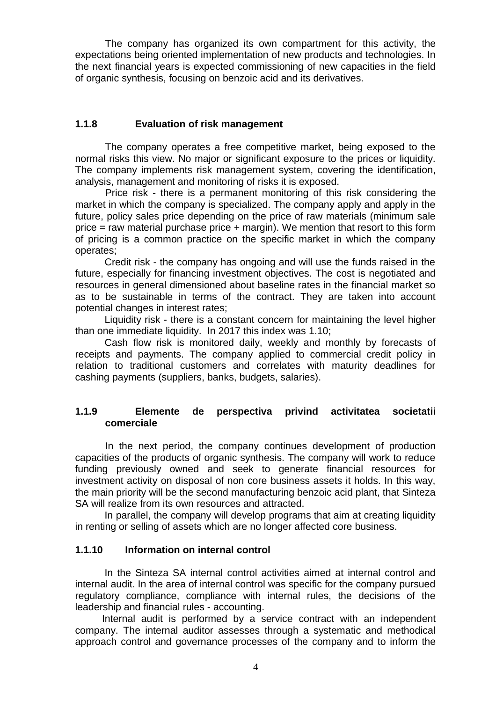The company has organized its own compartment for this activity, the expectations being oriented implementation of new products and technologies. In the next financial years is expected commissioning of new capacities in the field of organic synthesis, focusing on benzoic acid and its derivatives.

#### **1.1.8 Evaluation of risk management**

The company operates a free competitive market, being exposed to the normal risks this view. No major or significant exposure to the prices or liquidity. The company implements risk management system, covering the identification, analysis, management and monitoring of risks it is exposed.

Price risk - there is a permanent monitoring of this risk considering the market in which the company is specialized. The company apply and apply in the future, policy sales price depending on the price of raw materials (minimum sale price = raw material purchase price + margin). We mention that resort to this form of pricing is a common practice on the specific market in which the company operates;

Credit risk - the company has ongoing and will use the funds raised in the future, especially for financing investment objectives. The cost is negotiated and resources in general dimensioned about baseline rates in the financial market so as to be sustainable in terms of the contract. They are taken into account potential changes in interest rates;

Liquidity risk - there is a constant concern for maintaining the level higher than one immediate liquidity. In 2017 this index was 1.10;

Cash flow risk is monitored daily, weekly and monthly by forecasts of receipts and payments. The company applied to commercial credit policy in relation to traditional customers and correlates with maturity deadlines for cashing payments (suppliers, banks, budgets, salaries).

#### **1.1.9 Elemente de perspectiva privind activitatea societatii comerciale**

In the next period, the company continues development of production capacities of the products of organic synthesis. The company will work to reduce funding previously owned and seek to generate financial resources for investment activity on disposal of non core business assets it holds. In this way, the main priority will be the second manufacturing benzoic acid plant, that Sinteza SA will realize from its own resources and attracted.

In parallel, the company will develop programs that aim at creating liquidity in renting or selling of assets which are no longer affected core business.

#### **1.1.10 Information on internal control**

In the Sinteza SA internal control activities aimed at internal control and internal audit. In the area of internal control was specific for the company pursued regulatory compliance, compliance with internal rules, the decisions of the leadership and financial rules - accounting.

Internal audit is performed by a service contract with an independent company. The internal auditor assesses through a systematic and methodical approach control and governance processes of the company and to inform the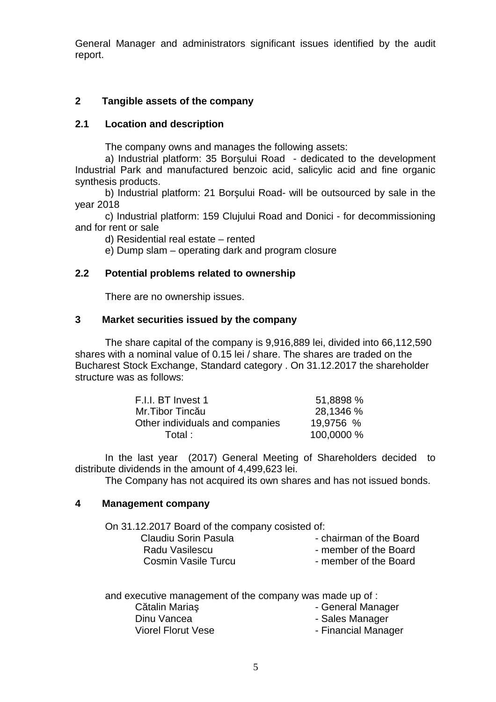General Manager and administrators significant issues identified by the audit report.

#### **2 Tangible assets of the company**

#### **2.1 Location and description**

The company owns and manages the following assets:

a) Industrial platform: 35 Borşului Road - dedicated to the development Industrial Park and manufactured benzoic acid, salicylic acid and fine organic synthesis products.

b) Industrial platform: 21 Borşului Road- will be outsourced by sale in the year 2018

c) Industrial platform: 159 Clujului Road and Donici - for decommissioning and for rent or sale

d) Residential real estate – rented

e) Dump slam – operating dark and program closure

#### **2.2 Potential problems related to ownership**

There are no ownership issues.

#### **3 Market securities issued by the company**

The share capital of the company is 9,916,889 lei, divided into 66,112,590 shares with a nominal value of 0.15 lei / share. The shares are traded on the Bucharest Stock Exchange, Standard category . On 31.12.2017 the shareholder structure was as follows:

| F.I.I. BT Invest 1              | 51,8898 %  |
|---------------------------------|------------|
| Mr. Tibor Tincău                | 28,1346 %  |
| Other individuals and companies | 19,9756 %  |
| Total :                         | 100,0000 % |

In the last year (2017) General Meeting of Shareholders decided to distribute dividends in the amount of 4,499,623 lei.

The Company has not acquired its own shares and has not issued bonds.

#### **4 Management company**

| On 31.12.2017 Board of the company cosisted of: |                         |
|-------------------------------------------------|-------------------------|
| Claudiu Sorin Pasula                            | - chairman of the Board |
| Radu Vasilescu                                  | - member of the Board   |

Raud Vasile Sea.<br>Cosmin Vasile Turcu - member of the Board

and executive management of the company was made up of :

| - General Manager   |
|---------------------|
| - Sales Manager     |
| - Financial Manager |
|                     |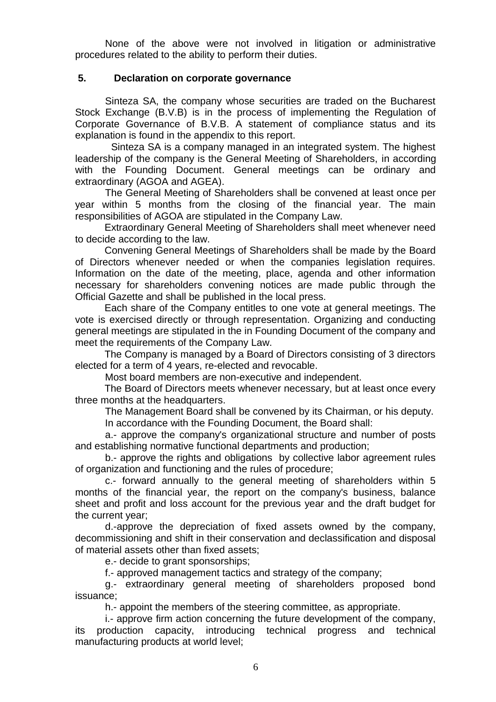None of the above were not involved in litigation or administrative procedures related to the ability to perform their duties.

#### **5. Declaration on corporate governance**

Sinteza SA, the company whose securities are traded on the Bucharest Stock Exchange (B.V.B) is in the process of implementing the Regulation of Corporate Governance of B.V.B. A statement of compliance status and its explanation is found in the appendix to this report.

 Sinteza SA is a company managed in an integrated system. The highest leadership of the company is the General Meeting of Shareholders, in according with the Founding Document. General meetings can be ordinary and extraordinary (AGOA and AGEA).

The General Meeting of Shareholders shall be convened at least once per year within 5 months from the closing of the financial year. The main responsibilities of AGOA are stipulated in the Company Law.

Extraordinary General Meeting of Shareholders shall meet whenever need to decide according to the law.

Convening General Meetings of Shareholders shall be made by the Board of Directors whenever needed or when the companies legislation requires. Information on the date of the meeting, place, agenda and other information necessary for shareholders convening notices are made public through the Official Gazette and shall be published in the local press.

Each share of the Company entitles to one vote at general meetings. The vote is exercised directly or through representation. Organizing and conducting general meetings are stipulated in the in Founding Document of the company and meet the requirements of the Company Law.

The Company is managed by a Board of Directors consisting of 3 directors elected for a term of 4 years, re-elected and revocable.

Most board members are non-executive and independent.

The Board of Directors meets whenever necessary, but at least once every three months at the headquarters.

The Management Board shall be convened by its Chairman, or his deputy.

In accordance with the Founding Document, the Board shall:

a.- approve the company's organizational structure and number of posts and establishing normative functional departments and production;

b.- approve the rights and obligations by collective labor agreement rules of organization and functioning and the rules of procedure;

c.- forward annually to the general meeting of shareholders within 5 months of the financial year, the report on the company's business, balance sheet and profit and loss account for the previous year and the draft budget for the current year;

d.-approve the depreciation of fixed assets owned by the company, decommissioning and shift in their conservation and declassification and disposal of material assets other than fixed assets;

e.- decide to grant sponsorships;

f.- approved management tactics and strategy of the company;

g.- extraordinary general meeting of shareholders proposed bond issuance;

h.- appoint the members of the steering committee, as appropriate.

i.- approve firm action concerning the future development of the company, its production capacity, introducing technical progress and technical manufacturing products at world level;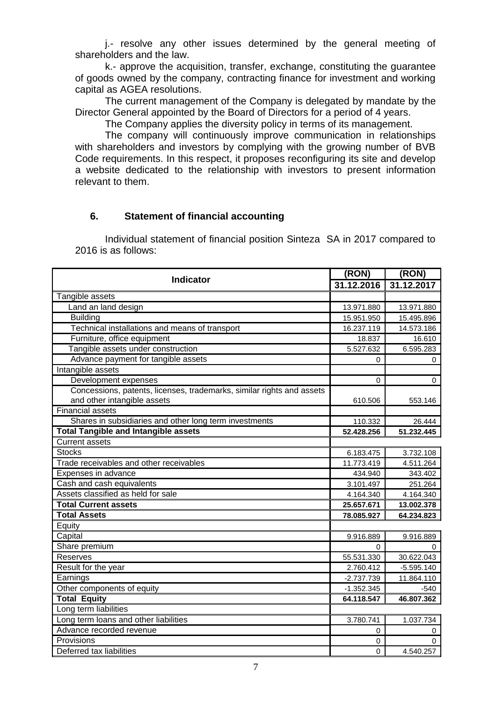j.- resolve any other issues determined by the general meeting of shareholders and the law.

k.- approve the acquisition, transfer, exchange, constituting the guarantee of goods owned by the company, contracting finance for investment and working capital as AGEA resolutions.

The current management of the Company is delegated by mandate by the Director General appointed by the Board of Directors for a period of 4 years.

The Company applies the diversity policy in terms of its management.

The company will continuously improve communication in relationships with shareholders and investors by complying with the growing number of BVB Code requirements. In this respect, it proposes reconfiguring its site and develop a website dedicated to the relationship with investors to present information relevant to them.

#### **6. Statement of financial accounting**

Individual statement of financial position Sinteza SA in 2017 compared to 2016 is as follows:

| <b>Indicator</b>                                                      | (RON)        | (RON)        |
|-----------------------------------------------------------------------|--------------|--------------|
|                                                                       | 31.12.2016   | 31.12.2017   |
| Tangible assets                                                       |              |              |
| Land an land design                                                   | 13.971.880   | 13.971.880   |
| <b>Building</b>                                                       | 15.951.950   | 15.495.896   |
| Technical installations and means of transport                        | 16.237.119   | 14.573.186   |
| Furniture, office equipment                                           | 18.837       | 16.610       |
| Tangible assets under construction                                    | 5.527.632    | 6.595.283    |
| Advance payment for tangible assets                                   | 0            | 0            |
| Intangible assets                                                     |              |              |
| Development expenses                                                  | $\mathbf 0$  | 0            |
| Concessions, patents, licenses, trademarks, similar rights and assets |              |              |
| and other intangible assets                                           | 610.506      | 553.146      |
| <b>Financial assets</b>                                               |              |              |
| Shares in subsidiaries and other long term investments                | 110.332      | 26.444       |
| <b>Total Tangible and Intangible assets</b>                           | 52.428.256   | 51.232.445   |
| <b>Current assets</b>                                                 |              |              |
| <b>Stocks</b>                                                         | 6.183.475    | 3.732.108    |
| Trade receivables and other receivables                               | 11.773.419   | 4.511.264    |
| Expenses in advance                                                   | 434.940      | 343.402      |
| Cash and cash equivalents                                             | 3.101.497    | 251.264      |
| Assets classified as held for sale                                    | 4.164.340    | 4.164.340    |
| <b>Total Current assets</b>                                           | 25.657.671   | 13.002.378   |
| <b>Total Assets</b>                                                   | 78.085.927   | 64.234.823   |
| Equity                                                                |              |              |
| Capital                                                               | 9.916.889    | 9.916.889    |
| Share premium                                                         | $\Omega$     | $\Omega$     |
| <b>Reserves</b>                                                       | 55.531.330   | 30.622.043   |
| Result for the year                                                   | 2.760.412    | $-5.595.140$ |
| Earnings                                                              | $-2.737.739$ | 11.864.110   |
| Other components of equity                                            | $-1.352.345$ | $-540$       |
| <b>Total Equity</b>                                                   | 64.118.547   | 46.807.362   |
| Long term liabilities                                                 |              |              |
| Long term loans and other liabilities                                 | 3.780.741    | 1.037.734    |
| Advance recorded revenue                                              | 0            | 0            |
| Provisions                                                            | 0            | $\Omega$     |
| Deferred tax liabilities                                              | $\mathbf 0$  | 4.540.257    |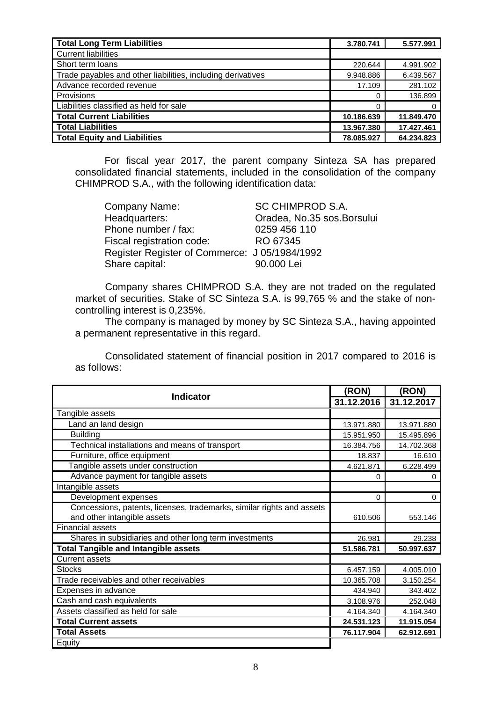| <b>Total Long Term Liabilities</b>                          | 3.780.741  | 5.577.991  |
|-------------------------------------------------------------|------------|------------|
| <b>Current liabilities</b>                                  |            |            |
| Short term loans                                            | 220.644    | 4.991.902  |
| Trade payables and other liabilities, including derivatives | 9.948.886  | 6.439.567  |
| Advance recorded revenue                                    | 17.109     | 281.102    |
| Provisions                                                  |            | 136.899    |
| Liabilities classified as held for sale                     |            | 0          |
| <b>Total Current Liabilities</b>                            | 10.186.639 | 11.849.470 |
| <b>Total Liabilities</b>                                    | 13.967.380 | 17.427.461 |
| <b>Total Equity and Liabilities</b>                         | 78.085.927 | 64.234.823 |

For fiscal year 2017, the parent company Sinteza SA has prepared consolidated financial statements, included in the consolidation of the company CHIMPROD S.A., with the following identification data:

| <b>Company Name:</b>                          | SC CHIMPROD S.A.            |
|-----------------------------------------------|-----------------------------|
| Headquarters:                                 | Oradea, No.35 sos. Borsului |
| Phone number / fax:                           | 0259 456 110                |
| Fiscal registration code:                     | RO 67345                    |
| Register Register of Commerce: J 05/1984/1992 |                             |
| Share capital:                                | 90,000 Lei                  |

Company shares CHIMPROD S.A. they are not traded on the regulated market of securities. Stake of SC Sinteza S.A. is 99,765 % and the stake of noncontrolling interest is 0,235%.

The company is managed by money by SC Sinteza S.A., having appointed a permanent representative in this regard.

Consolidated statement of financial position in 2017 compared to 2016 is as follows:

|                                                                       | (RON)      | (RON)      |
|-----------------------------------------------------------------------|------------|------------|
| <b>Indicator</b>                                                      | 31.12.2016 | 31.12.2017 |
| Tangible assets                                                       |            |            |
| Land an land design                                                   | 13.971.880 | 13.971.880 |
| <b>Building</b>                                                       | 15.951.950 | 15.495.896 |
| Technical installations and means of transport                        | 16.384.756 | 14.702.368 |
| Furniture, office equipment                                           | 18.837     | 16.610     |
| Tangible assets under construction                                    | 4.621.871  | 6.228.499  |
| Advance payment for tangible assets                                   | 0          | 0          |
| Intangible assets                                                     |            |            |
| Development expenses                                                  | $\Omega$   | 0          |
| Concessions, patents, licenses, trademarks, similar rights and assets |            |            |
| and other intangible assets                                           | 610.506    | 553.146    |
| <b>Financial assets</b>                                               |            |            |
| Shares in subsidiaries and other long term investments                | 26.981     | 29.238     |
| <b>Total Tangible and Intangible assets</b>                           | 51.586.781 | 50.997.637 |
| <b>Current assets</b>                                                 |            |            |
| <b>Stocks</b>                                                         | 6.457.159  | 4.005.010  |
| Trade receivables and other receivables                               | 10.365.708 | 3.150.254  |
| Expenses in advance                                                   | 434.940    | 343.402    |
| Cash and cash equivalents                                             | 3.108.976  | 252.048    |
| Assets classified as held for sale                                    | 4.164.340  | 4.164.340  |
| <b>Total Current assets</b>                                           | 24.531.123 | 11.915.054 |
| <b>Total Assets</b>                                                   | 76.117.904 | 62.912.691 |
| Equity                                                                |            |            |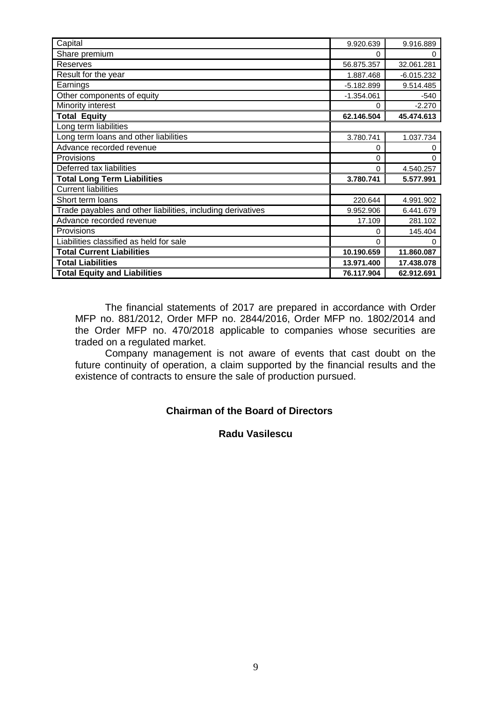| Capital                                                     | 9.920.639    | 9.916.889    |
|-------------------------------------------------------------|--------------|--------------|
| Share premium                                               | O            | 0            |
| <b>Reserves</b>                                             | 56.875.357   | 32.061.281   |
| Result for the year                                         | 1.887.468    | $-6.015.232$ |
| Earnings                                                    | $-5.182.899$ | 9.514.485    |
| Other components of equity                                  | $-1.354.061$ | $-540$       |
| Minority interest                                           | 0            | $-2.270$     |
| <b>Total Equity</b>                                         | 62.146.504   | 45.474.613   |
| Long term liabilities                                       |              |              |
| Long term loans and other liabilities                       | 3.780.741    | 1.037.734    |
| Advance recorded revenue                                    | 0            | 0            |
| Provisions                                                  | 0            | $\Omega$     |
| Deferred tax liabilities                                    | 0            | 4.540.257    |
| <b>Total Long Term Liabilities</b>                          | 3.780.741    | 5.577.991    |
| <b>Current liabilities</b>                                  |              |              |
| Short term loans                                            | 220.644      | 4.991.902    |
| Trade payables and other liabilities, including derivatives | 9.952.906    | 6.441.679    |
| Advance recorded revenue                                    | 17.109       | 281.102      |
| Provisions                                                  | 0            | 145.404      |
| Liabilities classified as held for sale                     | 0            | 0            |
| <b>Total Current Liabilities</b>                            | 10.190.659   | 11.860.087   |
| <b>Total Liabilities</b>                                    | 13.971.400   | 17.438.078   |
| <b>Total Equity and Liabilities</b>                         | 76.117.904   | 62.912.691   |

The financial statements of 2017 are prepared in accordance with Order MFP no. 881/2012, Order MFP no. 2844/2016, Order MFP no. 1802/2014 and the Order MFP no. 470/2018 applicable to companies whose securities are traded on a regulated market.

Company management is not aware of events that cast doubt on the future continuity of operation, a claim supported by the financial results and the existence of contracts to ensure the sale of production pursued.

#### **Chairman of the Board of Directors**

**Radu Vasilescu**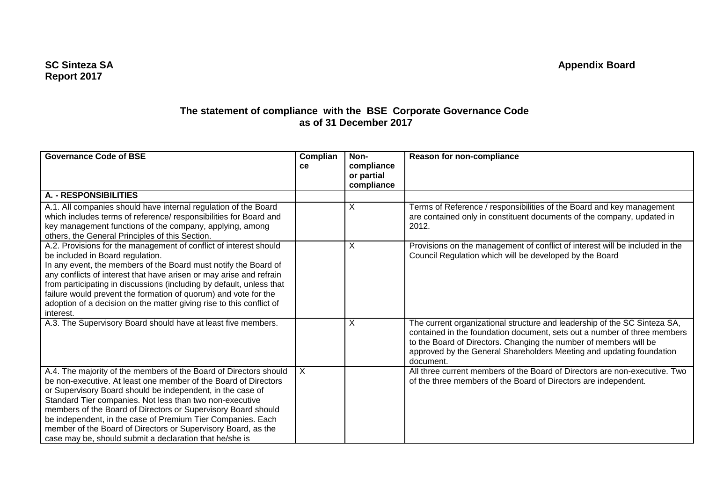#### **The statement of compliance with the BSE Corporate Governance Code as of 31 December 2017**

| <b>Governance Code of BSE</b>                                                                                                                                                                                                                                                                                                                                                                                                                                                                                              | Complian<br>ce | Non-<br>compliance<br>or partial<br>compliance | Reason for non-compliance                                                                                                                                                                                                                                                                                       |
|----------------------------------------------------------------------------------------------------------------------------------------------------------------------------------------------------------------------------------------------------------------------------------------------------------------------------------------------------------------------------------------------------------------------------------------------------------------------------------------------------------------------------|----------------|------------------------------------------------|-----------------------------------------------------------------------------------------------------------------------------------------------------------------------------------------------------------------------------------------------------------------------------------------------------------------|
| <b>A. - RESPONSIBILITIES</b>                                                                                                                                                                                                                                                                                                                                                                                                                                                                                               |                |                                                |                                                                                                                                                                                                                                                                                                                 |
| A.1. All companies should have internal regulation of the Board<br>which includes terms of reference/ responsibilities for Board and<br>key management functions of the company, applying, among<br>others, the General Principles of this Section.                                                                                                                                                                                                                                                                        |                | X                                              | Terms of Reference / responsibilities of the Board and key management<br>are contained only in constituent documents of the company, updated in<br>2012.                                                                                                                                                        |
| A.2. Provisions for the management of conflict of interest should<br>be included in Board regulation.<br>In any event, the members of the Board must notify the Board of<br>any conflicts of interest that have arisen or may arise and refrain<br>from participating in discussions (including by default, unless that<br>failure would prevent the formation of quorum) and vote for the<br>adoption of a decision on the matter giving rise to this conflict of<br>interest.                                            |                | X                                              | Provisions on the management of conflict of interest will be included in the<br>Council Regulation which will be developed by the Board                                                                                                                                                                         |
| A.3. The Supervisory Board should have at least five members.                                                                                                                                                                                                                                                                                                                                                                                                                                                              |                | X                                              | The current organizational structure and leadership of the SC Sinteza SA,<br>contained in the foundation document, sets out a number of three members<br>to the Board of Directors. Changing the number of members will be<br>approved by the General Shareholders Meeting and updating foundation<br>document. |
| A.4. The majority of the members of the Board of Directors should<br>be non-executive. At least one member of the Board of Directors<br>or Supervisory Board should be independent, in the case of<br>Standard Tier companies. Not less than two non-executive<br>members of the Board of Directors or Supervisory Board should<br>be independent, in the case of Premium Tier Companies. Each<br>member of the Board of Directors or Supervisory Board, as the<br>case may be, should submit a declaration that he/she is | X              |                                                | All three current members of the Board of Directors are non-executive. Two<br>of the three members of the Board of Directors are independent.                                                                                                                                                                   |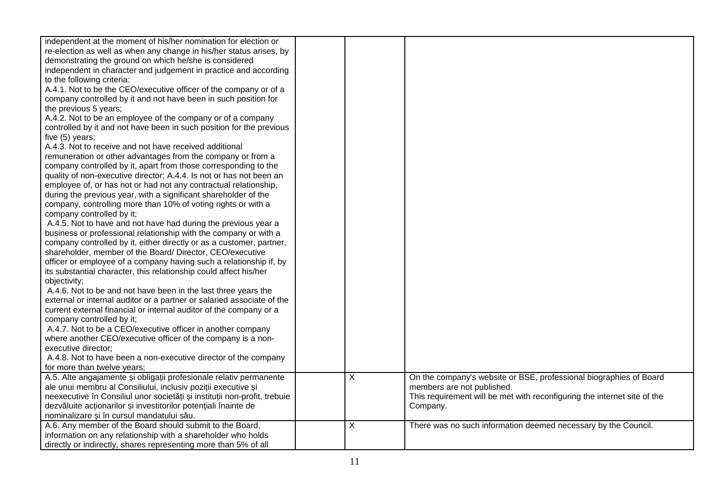| independent at the moment of his/her nomination for election or                                |   |                                                                          |
|------------------------------------------------------------------------------------------------|---|--------------------------------------------------------------------------|
| re-election as well as when any change in his/her status arises, by                            |   |                                                                          |
| demonstrating the ground on which he/she is considered                                         |   |                                                                          |
| independent in character and judgement in practice and according                               |   |                                                                          |
| to the following criteria:                                                                     |   |                                                                          |
| A.4.1. Not to be the CEO/executive officer of the company or of a                              |   |                                                                          |
| company controlled by it and not have been in such position for                                |   |                                                                          |
| the previous 5 years;                                                                          |   |                                                                          |
| A.4.2. Not to be an employee of the company or of a company                                    |   |                                                                          |
| controlled by it and not have been in such position for the previous                           |   |                                                                          |
| five (5) years;                                                                                |   |                                                                          |
| A.4.3. Not to receive and not have received additional                                         |   |                                                                          |
| remuneration or other advantages from the company or from a                                    |   |                                                                          |
| company controlled by it, apart from those corresponding to the                                |   |                                                                          |
| quality of non-executive director; A.4.4. Is not or has not been an                            |   |                                                                          |
| employee of, or has not or had not any contractual relationship,                               |   |                                                                          |
| during the previous year, with a significant shareholder of the                                |   |                                                                          |
| company, controlling more than 10% of voting rights or with a                                  |   |                                                                          |
| company controlled by it;                                                                      |   |                                                                          |
| A.4.5. Not to have and not have had during the previous year a                                 |   |                                                                          |
| business or professional relationship with the company or with a                               |   |                                                                          |
| company controlled by it, either directly or as a customer, partner,                           |   |                                                                          |
| shareholder, member of the Board/ Director, CEO/executive                                      |   |                                                                          |
| officer or employee of a company having such a relationship if, by                             |   |                                                                          |
| its substantial character, this relationship could affect his/her                              |   |                                                                          |
| objectivity;                                                                                   |   |                                                                          |
| A.4.6. Not to be and not have been in the last three years the                                 |   |                                                                          |
| external or internal auditor or a partner or salaried associate of the                         |   |                                                                          |
| current external financial or internal auditor of the company or a                             |   |                                                                          |
| company controlled by it;                                                                      |   |                                                                          |
| A.4.7. Not to be a CEO/executive officer in another company                                    |   |                                                                          |
| where another CEO/executive officer of the company is a non-                                   |   |                                                                          |
| executive director;                                                                            |   |                                                                          |
| A.4.8. Not to have been a non-executive director of the company<br>for more than twelve years; |   |                                                                          |
| A.5. Alte angajamente și obligații profesionale relativ permanente                             | X | On the company's website or BSE, professional biographies of Board       |
| ale unui membru al Consiliului, inclusiv poziții executive și                                  |   | members are not published.                                               |
| neexecutive în Consiliul unor societăți și instituții non-profit, trebuie                      |   | This requirement will be met with reconfiguring the internet site of the |
| dezvăluite acționarilor și investitorilor potențiali înainte de                                |   | Company.                                                                 |
| nominalizare și în cursul mandatului său.                                                      |   |                                                                          |
| A.6. Any member of the Board should submit to the Board,                                       | X | There was no such information deemed necessary by the Council.           |
| information on any relationship with a shareholder who holds                                   |   |                                                                          |
| directly or indirectly, shares representing more than 5% of all                                |   |                                                                          |
|                                                                                                |   |                                                                          |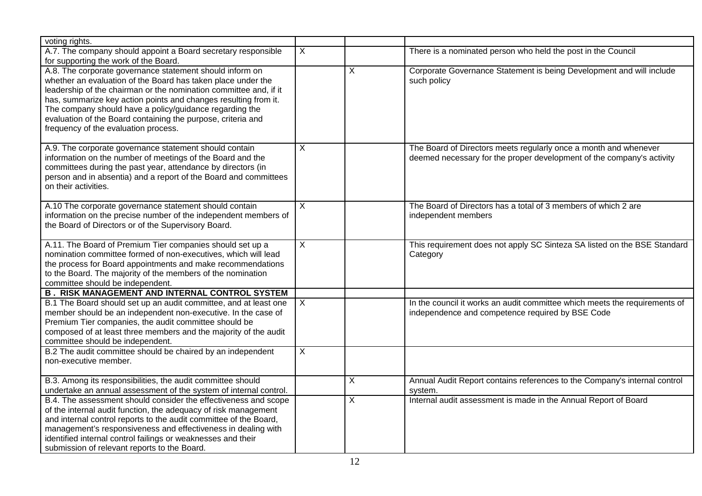| voting rights.                                                                                                                                                                                                                                                                                                                                                                                                                      |                         |             |                                                                                                                                           |
|-------------------------------------------------------------------------------------------------------------------------------------------------------------------------------------------------------------------------------------------------------------------------------------------------------------------------------------------------------------------------------------------------------------------------------------|-------------------------|-------------|-------------------------------------------------------------------------------------------------------------------------------------------|
| A.7. The company should appoint a Board secretary responsible<br>for supporting the work of the Board.                                                                                                                                                                                                                                                                                                                              | X                       |             | There is a nominated person who held the post in the Council                                                                              |
| A.8. The corporate governance statement should inform on<br>whether an evaluation of the Board has taken place under the<br>leadership of the chairman or the nomination committee and, if it<br>has, summarize key action points and changes resulting from it.<br>The company should have a policy/guidance regarding the<br>evaluation of the Board containing the purpose, criteria and<br>frequency of the evaluation process. |                         | X           | Corporate Governance Statement is being Development and will include<br>such policy                                                       |
| A.9. The corporate governance statement should contain<br>information on the number of meetings of the Board and the<br>committees during the past year, attendance by directors (in<br>person and in absentia) and a report of the Board and committees<br>on their activities.                                                                                                                                                    | X                       |             | The Board of Directors meets regularly once a month and whenever<br>deemed necessary for the proper development of the company's activity |
| A.10 The corporate governance statement should contain<br>information on the precise number of the independent members of<br>the Board of Directors or of the Supervisory Board.                                                                                                                                                                                                                                                    | $\overline{X}$          |             | The Board of Directors has a total of 3 members of which 2 are<br>independent members                                                     |
| A.11. The Board of Premium Tier companies should set up a<br>nomination committee formed of non-executives, which will lead<br>the process for Board appointments and make recommendations<br>to the Board. The majority of the members of the nomination<br>committee should be independent.                                                                                                                                       | X                       |             | This requirement does not apply SC Sinteza SA listed on the BSE Standard<br>Category                                                      |
| <b>B. RISK MANAGEMENT AND INTERNAL CONTROL SYSTEM</b>                                                                                                                                                                                                                                                                                                                                                                               |                         |             |                                                                                                                                           |
| B.1 The Board should set up an audit committee, and at least one<br>member should be an independent non-executive. In the case of<br>Premium Tier companies, the audit committee should be<br>composed of at least three members and the majority of the audit<br>committee should be independent.                                                                                                                                  | X                       |             | In the council it works an audit committee which meets the requirements of<br>independence and competence required by BSE Code            |
| B.2 The audit committee should be chaired by an independent<br>non-executive member.                                                                                                                                                                                                                                                                                                                                                | $\overline{\mathsf{X}}$ |             |                                                                                                                                           |
| B.3. Among its responsibilities, the audit committee should<br>undertake an annual assessment of the system of internal control.                                                                                                                                                                                                                                                                                                    |                         | $\mathsf X$ | Annual Audit Report contains references to the Company's internal control<br>system.                                                      |
| B.4. The assessment should consider the effectiveness and scope<br>of the internal audit function, the adequacy of risk management<br>and internal control reports to the audit committee of the Board,<br>management's responsiveness and effectiveness in dealing with<br>identified internal control failings or weaknesses and their<br>submission of relevant reports to the Board.                                            |                         | X           | Internal audit assessment is made in the Annual Report of Board                                                                           |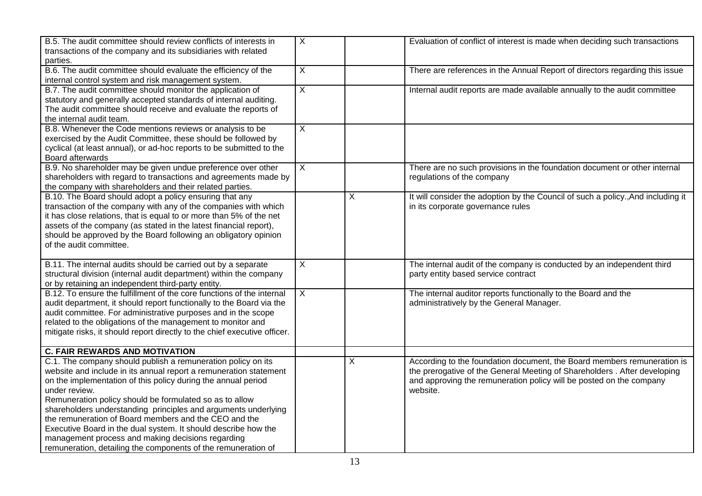| B.5. The audit committee should review conflicts of interests in<br>transactions of the company and its subsidiaries with related<br>parties.                                                                                                                                                                                                                                                                                                                                                                                                                                                     | X              |   | Evaluation of conflict of interest is made when deciding such transactions                                                                                                                                                              |
|---------------------------------------------------------------------------------------------------------------------------------------------------------------------------------------------------------------------------------------------------------------------------------------------------------------------------------------------------------------------------------------------------------------------------------------------------------------------------------------------------------------------------------------------------------------------------------------------------|----------------|---|-----------------------------------------------------------------------------------------------------------------------------------------------------------------------------------------------------------------------------------------|
| B.6. The audit committee should evaluate the efficiency of the<br>internal control system and risk management system.                                                                                                                                                                                                                                                                                                                                                                                                                                                                             | $\overline{X}$ |   | There are references in the Annual Report of directors regarding this issue                                                                                                                                                             |
| B.7. The audit committee should monitor the application of<br>statutory and generally accepted standards of internal auditing.<br>The audit committee should receive and evaluate the reports of<br>the internal audit team.                                                                                                                                                                                                                                                                                                                                                                      | $\mathsf X$    |   | Internal audit reports are made available annually to the audit committee                                                                                                                                                               |
| B.8. Whenever the Code mentions reviews or analysis to be<br>exercised by the Audit Committee, these should be followed by<br>cyclical (at least annual), or ad-hoc reports to be submitted to the<br>Board afterwards                                                                                                                                                                                                                                                                                                                                                                            | $\overline{X}$ |   |                                                                                                                                                                                                                                         |
| B.9. No shareholder may be given undue preference over other<br>shareholders with regard to transactions and agreements made by<br>the company with shareholders and their related parties.                                                                                                                                                                                                                                                                                                                                                                                                       | $\overline{X}$ |   | There are no such provisions in the foundation document or other internal<br>regulations of the company                                                                                                                                 |
| B.10. The Board should adopt a policy ensuring that any<br>transaction of the company with any of the companies with which<br>it has close relations, that is equal to or more than 5% of the net<br>assets of the company (as stated in the latest financial report),<br>should be approved by the Board following an obligatory opinion<br>of the audit committee.                                                                                                                                                                                                                              |                | X | It will consider the adoption by the Council of such a policy., And including it<br>in its corporate governance rules                                                                                                                   |
| B.11. The internal audits should be carried out by a separate<br>structural division (internal audit department) within the company<br>or by retaining an independent third-party entity.                                                                                                                                                                                                                                                                                                                                                                                                         | X              |   | The internal audit of the company is conducted by an independent third<br>party entity based service contract                                                                                                                           |
| B.12. To ensure the fulfillment of the core functions of the internal<br>audit department, it should report functionally to the Board via the<br>audit committee. For administrative purposes and in the scope<br>related to the obligations of the management to monitor and<br>mitigate risks, it should report directly to the chief executive officer.                                                                                                                                                                                                                                        | $\overline{X}$ |   | The internal auditor reports functionally to the Board and the<br>administratively by the General Manager.                                                                                                                              |
| <b>C. FAIR REWARDS AND MOTIVATION</b>                                                                                                                                                                                                                                                                                                                                                                                                                                                                                                                                                             |                |   |                                                                                                                                                                                                                                         |
| C.1. The company should publish a remuneration policy on its<br>website and include in its annual report a remuneration statement<br>on the implementation of this policy during the annual period<br>under review.<br>Remuneration policy should be formulated so as to allow<br>shareholders understanding principles and arguments underlying<br>the remuneration of Board members and the CEO and the<br>Executive Board in the dual system. It should describe how the<br>management process and making decisions regarding<br>remuneration, detailing the components of the remuneration of |                | X | According to the foundation document, the Board members remuneration is<br>the prerogative of the General Meeting of Shareholders . After developing<br>and approving the remuneration policy will be posted on the company<br>website. |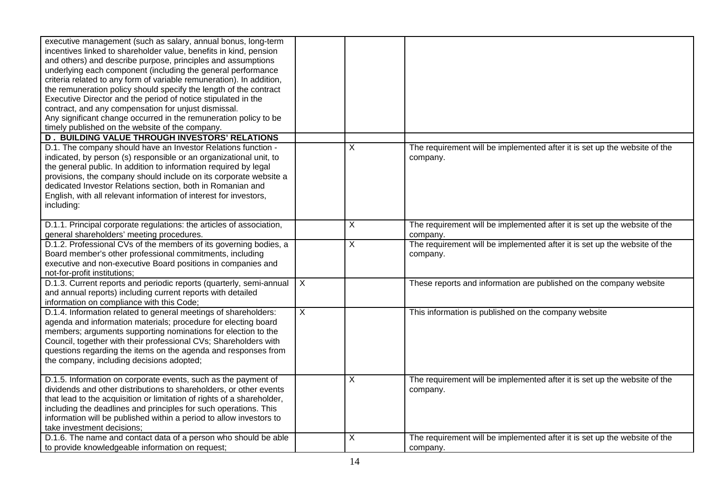| executive management (such as salary, annual bonus, long-term<br>incentives linked to shareholder value, benefits in kind, pension<br>and others) and describe purpose, principles and assumptions<br>underlying each component (including the general performance<br>criteria related to any form of variable remuneration). In addition,<br>the remuneration policy should specify the length of the contract<br>Executive Director and the period of notice stipulated in the<br>contract, and any compensation for unjust dismissal.<br>Any significant change occurred in the remuneration policy to be<br>timely published on the website of the company. |                |             |                                                                                       |
|-----------------------------------------------------------------------------------------------------------------------------------------------------------------------------------------------------------------------------------------------------------------------------------------------------------------------------------------------------------------------------------------------------------------------------------------------------------------------------------------------------------------------------------------------------------------------------------------------------------------------------------------------------------------|----------------|-------------|---------------------------------------------------------------------------------------|
| <b>D. BUILDING VALUE THROUGH INVESTORS' RELATIONS</b><br>D.1. The company should have an Investor Relations function -<br>indicated, by person (s) responsible or an organizational unit, to<br>the general public. In addition to information required by legal<br>provisions, the company should include on its corporate website a<br>dedicated Investor Relations section, both in Romanian and<br>English, with all relevant information of interest for investors,<br>including:                                                                                                                                                                          |                | X           | The requirement will be implemented after it is set up the website of the<br>company. |
| D.1.1. Principal corporate regulations: the articles of association,<br>general shareholders' meeting procedures.                                                                                                                                                                                                                                                                                                                                                                                                                                                                                                                                               |                | $\mathsf X$ | The requirement will be implemented after it is set up the website of the<br>company. |
| D.1.2. Professional CVs of the members of its governing bodies, a<br>Board member's other professional commitments, including<br>executive and non-executive Board positions in companies and<br>not-for-profit institutions;                                                                                                                                                                                                                                                                                                                                                                                                                                   |                | X           | The requirement will be implemented after it is set up the website of the<br>company. |
| D.1.3. Current reports and periodic reports (quarterly, semi-annual<br>and annual reports) including current reports with detailed<br>information on compliance with this Code;                                                                                                                                                                                                                                                                                                                                                                                                                                                                                 | X              |             | These reports and information are published on the company website                    |
| D.1.4. Information related to general meetings of shareholders:<br>agenda and information materials; procedure for electing board<br>members; arguments supporting nominations for election to the<br>Council, together with their professional CVs; Shareholders with<br>questions regarding the items on the agenda and responses from<br>the company, including decisions adopted;                                                                                                                                                                                                                                                                           | $\overline{X}$ |             | This information is published on the company website                                  |
| D.1.5. Information on corporate events, such as the payment of<br>dividends and other distributions to shareholders, or other events<br>that lead to the acquisition or limitation of rights of a shareholder,<br>including the deadlines and principles for such operations. This<br>information will be published within a period to allow investors to<br>take investment decisions;                                                                                                                                                                                                                                                                         |                | X           | The requirement will be implemented after it is set up the website of the<br>company. |
| D.1.6. The name and contact data of a person who should be able<br>to provide knowledgeable information on request;                                                                                                                                                                                                                                                                                                                                                                                                                                                                                                                                             |                | $\mathsf X$ | The requirement will be implemented after it is set up the website of the<br>company. |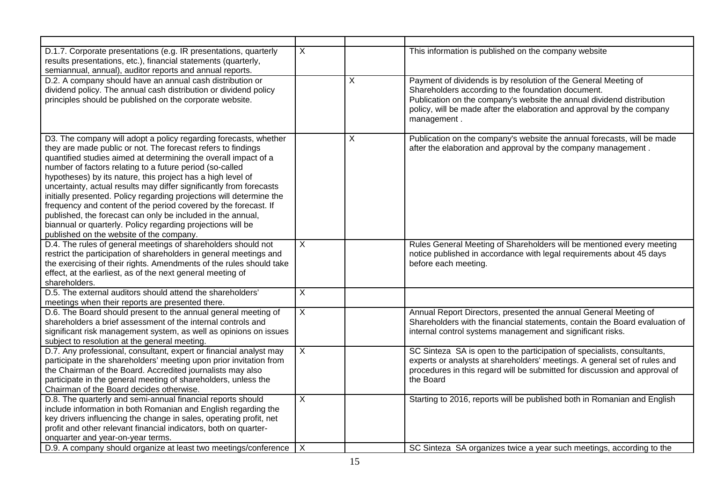| X<br>This information is published on the company website<br>D.1.7. Corporate presentations (e.g. IR presentations, quarterly<br>results presentations, etc.), financial statements (quarterly,<br>semiannual, annual), auditor reports and annual reports.<br>D.2. A company should have an annual cash distribution or<br>X<br>Payment of dividends is by resolution of the General Meeting of<br>dividend policy. The annual cash distribution or dividend policy<br>Shareholders according to the foundation document.<br>principles should be published on the corporate website.<br>Publication on the company's website the annual dividend distribution<br>policy, will be made after the elaboration and approval by the company<br>management.<br>D3. The company will adopt a policy regarding forecasts, whether<br>Publication on the company's website the annual forecasts, will be made<br>X<br>they are made public or not. The forecast refers to findings<br>after the elaboration and approval by the company management.<br>quantified studies aimed at determining the overall impact of a<br>number of factors relating to a future period (so-called<br>hypotheses) by its nature, this project has a high level of<br>uncertainty, actual results may differ significantly from forecasts<br>initially presented. Policy regarding projections will determine the<br>frequency and content of the period covered by the forecast. If<br>published, the forecast can only be included in the annual,<br>biannual or quarterly. Policy regarding projections will be<br>published on the website of the company.<br>D.4. The rules of general meetings of shareholders should not<br>$\mathsf{X}$<br>Rules General Meeting of Shareholders will be mentioned every meeting<br>restrict the participation of shareholders in general meetings and<br>notice published in accordance with legal requirements about 45 days<br>the exercising of their rights. Amendments of the rules should take<br>before each meeting.<br>effect, at the earliest, as of the next general meeting of<br>shareholders.<br>D.5. The external auditors should attend the shareholders'<br>$\overline{X}$<br>meetings when their reports are presented there.<br>X<br>D.6. The Board should present to the annual general meeting of<br>Annual Report Directors, presented the annual General Meeting of<br>shareholders a brief assessment of the internal controls and<br>Shareholders with the financial statements, contain the Board evaluation of<br>significant risk management system, as well as opinions on issues<br>internal control systems management and significant risks.<br>subject to resolution at the general meeting.<br>$\mathsf{X}$<br>D.7. Any professional, consultant, expert or financial analyst may<br>SC Sinteza SA is open to the participation of specialists, consultants,<br>participate in the shareholders' meeting upon prior invitation from<br>experts or analysts at shareholders' meetings. A general set of rules and<br>the Chairman of the Board. Accredited journalists may also<br>procedures in this regard will be submitted for discussion and approval of<br>participate in the general meeting of shareholders, unless the<br>the Board<br>Chairman of the Board decides otherwise.<br>$\overline{X}$<br>D.8. The quarterly and semi-annual financial reports should<br>Starting to 2016, reports will be published both in Romanian and English<br>include information in both Romanian and English regarding the |                                                                    |  |  |
|----------------------------------------------------------------------------------------------------------------------------------------------------------------------------------------------------------------------------------------------------------------------------------------------------------------------------------------------------------------------------------------------------------------------------------------------------------------------------------------------------------------------------------------------------------------------------------------------------------------------------------------------------------------------------------------------------------------------------------------------------------------------------------------------------------------------------------------------------------------------------------------------------------------------------------------------------------------------------------------------------------------------------------------------------------------------------------------------------------------------------------------------------------------------------------------------------------------------------------------------------------------------------------------------------------------------------------------------------------------------------------------------------------------------------------------------------------------------------------------------------------------------------------------------------------------------------------------------------------------------------------------------------------------------------------------------------------------------------------------------------------------------------------------------------------------------------------------------------------------------------------------------------------------------------------------------------------------------------------------------------------------------------------------------------------------------------------------------------------------------------------------------------------------------------------------------------------------------------------------------------------------------------------------------------------------------------------------------------------------------------------------------------------------------------------------------------------------------------------------------------------------------------------------------------------------------------------------------------------------------------------------------------------------------------------------------------------------------------------------------------------------------------------------------------------------------------------------------------------------------------------------------------------------------------------------------------------------------------------------------------------------------------------------------------------------------------------------------------------------------------------------------------------------------------------------------------------------------------------------------------------------------------------------------------------------------------------------------------------------------------------------------------------------------------------------------------------------------------------------------------------------------------------------------------------------------------|--------------------------------------------------------------------|--|--|
|                                                                                                                                                                                                                                                                                                                                                                                                                                                                                                                                                                                                                                                                                                                                                                                                                                                                                                                                                                                                                                                                                                                                                                                                                                                                                                                                                                                                                                                                                                                                                                                                                                                                                                                                                                                                                                                                                                                                                                                                                                                                                                                                                                                                                                                                                                                                                                                                                                                                                                                                                                                                                                                                                                                                                                                                                                                                                                                                                                                                                                                                                                                                                                                                                                                                                                                                                                                                                                                                                                                                                                            |                                                                    |  |  |
|                                                                                                                                                                                                                                                                                                                                                                                                                                                                                                                                                                                                                                                                                                                                                                                                                                                                                                                                                                                                                                                                                                                                                                                                                                                                                                                                                                                                                                                                                                                                                                                                                                                                                                                                                                                                                                                                                                                                                                                                                                                                                                                                                                                                                                                                                                                                                                                                                                                                                                                                                                                                                                                                                                                                                                                                                                                                                                                                                                                                                                                                                                                                                                                                                                                                                                                                                                                                                                                                                                                                                                            |                                                                    |  |  |
|                                                                                                                                                                                                                                                                                                                                                                                                                                                                                                                                                                                                                                                                                                                                                                                                                                                                                                                                                                                                                                                                                                                                                                                                                                                                                                                                                                                                                                                                                                                                                                                                                                                                                                                                                                                                                                                                                                                                                                                                                                                                                                                                                                                                                                                                                                                                                                                                                                                                                                                                                                                                                                                                                                                                                                                                                                                                                                                                                                                                                                                                                                                                                                                                                                                                                                                                                                                                                                                                                                                                                                            |                                                                    |  |  |
|                                                                                                                                                                                                                                                                                                                                                                                                                                                                                                                                                                                                                                                                                                                                                                                                                                                                                                                                                                                                                                                                                                                                                                                                                                                                                                                                                                                                                                                                                                                                                                                                                                                                                                                                                                                                                                                                                                                                                                                                                                                                                                                                                                                                                                                                                                                                                                                                                                                                                                                                                                                                                                                                                                                                                                                                                                                                                                                                                                                                                                                                                                                                                                                                                                                                                                                                                                                                                                                                                                                                                                            |                                                                    |  |  |
|                                                                                                                                                                                                                                                                                                                                                                                                                                                                                                                                                                                                                                                                                                                                                                                                                                                                                                                                                                                                                                                                                                                                                                                                                                                                                                                                                                                                                                                                                                                                                                                                                                                                                                                                                                                                                                                                                                                                                                                                                                                                                                                                                                                                                                                                                                                                                                                                                                                                                                                                                                                                                                                                                                                                                                                                                                                                                                                                                                                                                                                                                                                                                                                                                                                                                                                                                                                                                                                                                                                                                                            |                                                                    |  |  |
|                                                                                                                                                                                                                                                                                                                                                                                                                                                                                                                                                                                                                                                                                                                                                                                                                                                                                                                                                                                                                                                                                                                                                                                                                                                                                                                                                                                                                                                                                                                                                                                                                                                                                                                                                                                                                                                                                                                                                                                                                                                                                                                                                                                                                                                                                                                                                                                                                                                                                                                                                                                                                                                                                                                                                                                                                                                                                                                                                                                                                                                                                                                                                                                                                                                                                                                                                                                                                                                                                                                                                                            |                                                                    |  |  |
|                                                                                                                                                                                                                                                                                                                                                                                                                                                                                                                                                                                                                                                                                                                                                                                                                                                                                                                                                                                                                                                                                                                                                                                                                                                                                                                                                                                                                                                                                                                                                                                                                                                                                                                                                                                                                                                                                                                                                                                                                                                                                                                                                                                                                                                                                                                                                                                                                                                                                                                                                                                                                                                                                                                                                                                                                                                                                                                                                                                                                                                                                                                                                                                                                                                                                                                                                                                                                                                                                                                                                                            |                                                                    |  |  |
|                                                                                                                                                                                                                                                                                                                                                                                                                                                                                                                                                                                                                                                                                                                                                                                                                                                                                                                                                                                                                                                                                                                                                                                                                                                                                                                                                                                                                                                                                                                                                                                                                                                                                                                                                                                                                                                                                                                                                                                                                                                                                                                                                                                                                                                                                                                                                                                                                                                                                                                                                                                                                                                                                                                                                                                                                                                                                                                                                                                                                                                                                                                                                                                                                                                                                                                                                                                                                                                                                                                                                                            |                                                                    |  |  |
|                                                                                                                                                                                                                                                                                                                                                                                                                                                                                                                                                                                                                                                                                                                                                                                                                                                                                                                                                                                                                                                                                                                                                                                                                                                                                                                                                                                                                                                                                                                                                                                                                                                                                                                                                                                                                                                                                                                                                                                                                                                                                                                                                                                                                                                                                                                                                                                                                                                                                                                                                                                                                                                                                                                                                                                                                                                                                                                                                                                                                                                                                                                                                                                                                                                                                                                                                                                                                                                                                                                                                                            |                                                                    |  |  |
|                                                                                                                                                                                                                                                                                                                                                                                                                                                                                                                                                                                                                                                                                                                                                                                                                                                                                                                                                                                                                                                                                                                                                                                                                                                                                                                                                                                                                                                                                                                                                                                                                                                                                                                                                                                                                                                                                                                                                                                                                                                                                                                                                                                                                                                                                                                                                                                                                                                                                                                                                                                                                                                                                                                                                                                                                                                                                                                                                                                                                                                                                                                                                                                                                                                                                                                                                                                                                                                                                                                                                                            |                                                                    |  |  |
|                                                                                                                                                                                                                                                                                                                                                                                                                                                                                                                                                                                                                                                                                                                                                                                                                                                                                                                                                                                                                                                                                                                                                                                                                                                                                                                                                                                                                                                                                                                                                                                                                                                                                                                                                                                                                                                                                                                                                                                                                                                                                                                                                                                                                                                                                                                                                                                                                                                                                                                                                                                                                                                                                                                                                                                                                                                                                                                                                                                                                                                                                                                                                                                                                                                                                                                                                                                                                                                                                                                                                                            |                                                                    |  |  |
|                                                                                                                                                                                                                                                                                                                                                                                                                                                                                                                                                                                                                                                                                                                                                                                                                                                                                                                                                                                                                                                                                                                                                                                                                                                                                                                                                                                                                                                                                                                                                                                                                                                                                                                                                                                                                                                                                                                                                                                                                                                                                                                                                                                                                                                                                                                                                                                                                                                                                                                                                                                                                                                                                                                                                                                                                                                                                                                                                                                                                                                                                                                                                                                                                                                                                                                                                                                                                                                                                                                                                                            |                                                                    |  |  |
|                                                                                                                                                                                                                                                                                                                                                                                                                                                                                                                                                                                                                                                                                                                                                                                                                                                                                                                                                                                                                                                                                                                                                                                                                                                                                                                                                                                                                                                                                                                                                                                                                                                                                                                                                                                                                                                                                                                                                                                                                                                                                                                                                                                                                                                                                                                                                                                                                                                                                                                                                                                                                                                                                                                                                                                                                                                                                                                                                                                                                                                                                                                                                                                                                                                                                                                                                                                                                                                                                                                                                                            |                                                                    |  |  |
|                                                                                                                                                                                                                                                                                                                                                                                                                                                                                                                                                                                                                                                                                                                                                                                                                                                                                                                                                                                                                                                                                                                                                                                                                                                                                                                                                                                                                                                                                                                                                                                                                                                                                                                                                                                                                                                                                                                                                                                                                                                                                                                                                                                                                                                                                                                                                                                                                                                                                                                                                                                                                                                                                                                                                                                                                                                                                                                                                                                                                                                                                                                                                                                                                                                                                                                                                                                                                                                                                                                                                                            |                                                                    |  |  |
|                                                                                                                                                                                                                                                                                                                                                                                                                                                                                                                                                                                                                                                                                                                                                                                                                                                                                                                                                                                                                                                                                                                                                                                                                                                                                                                                                                                                                                                                                                                                                                                                                                                                                                                                                                                                                                                                                                                                                                                                                                                                                                                                                                                                                                                                                                                                                                                                                                                                                                                                                                                                                                                                                                                                                                                                                                                                                                                                                                                                                                                                                                                                                                                                                                                                                                                                                                                                                                                                                                                                                                            |                                                                    |  |  |
|                                                                                                                                                                                                                                                                                                                                                                                                                                                                                                                                                                                                                                                                                                                                                                                                                                                                                                                                                                                                                                                                                                                                                                                                                                                                                                                                                                                                                                                                                                                                                                                                                                                                                                                                                                                                                                                                                                                                                                                                                                                                                                                                                                                                                                                                                                                                                                                                                                                                                                                                                                                                                                                                                                                                                                                                                                                                                                                                                                                                                                                                                                                                                                                                                                                                                                                                                                                                                                                                                                                                                                            |                                                                    |  |  |
|                                                                                                                                                                                                                                                                                                                                                                                                                                                                                                                                                                                                                                                                                                                                                                                                                                                                                                                                                                                                                                                                                                                                                                                                                                                                                                                                                                                                                                                                                                                                                                                                                                                                                                                                                                                                                                                                                                                                                                                                                                                                                                                                                                                                                                                                                                                                                                                                                                                                                                                                                                                                                                                                                                                                                                                                                                                                                                                                                                                                                                                                                                                                                                                                                                                                                                                                                                                                                                                                                                                                                                            |                                                                    |  |  |
|                                                                                                                                                                                                                                                                                                                                                                                                                                                                                                                                                                                                                                                                                                                                                                                                                                                                                                                                                                                                                                                                                                                                                                                                                                                                                                                                                                                                                                                                                                                                                                                                                                                                                                                                                                                                                                                                                                                                                                                                                                                                                                                                                                                                                                                                                                                                                                                                                                                                                                                                                                                                                                                                                                                                                                                                                                                                                                                                                                                                                                                                                                                                                                                                                                                                                                                                                                                                                                                                                                                                                                            |                                                                    |  |  |
|                                                                                                                                                                                                                                                                                                                                                                                                                                                                                                                                                                                                                                                                                                                                                                                                                                                                                                                                                                                                                                                                                                                                                                                                                                                                                                                                                                                                                                                                                                                                                                                                                                                                                                                                                                                                                                                                                                                                                                                                                                                                                                                                                                                                                                                                                                                                                                                                                                                                                                                                                                                                                                                                                                                                                                                                                                                                                                                                                                                                                                                                                                                                                                                                                                                                                                                                                                                                                                                                                                                                                                            |                                                                    |  |  |
|                                                                                                                                                                                                                                                                                                                                                                                                                                                                                                                                                                                                                                                                                                                                                                                                                                                                                                                                                                                                                                                                                                                                                                                                                                                                                                                                                                                                                                                                                                                                                                                                                                                                                                                                                                                                                                                                                                                                                                                                                                                                                                                                                                                                                                                                                                                                                                                                                                                                                                                                                                                                                                                                                                                                                                                                                                                                                                                                                                                                                                                                                                                                                                                                                                                                                                                                                                                                                                                                                                                                                                            |                                                                    |  |  |
|                                                                                                                                                                                                                                                                                                                                                                                                                                                                                                                                                                                                                                                                                                                                                                                                                                                                                                                                                                                                                                                                                                                                                                                                                                                                                                                                                                                                                                                                                                                                                                                                                                                                                                                                                                                                                                                                                                                                                                                                                                                                                                                                                                                                                                                                                                                                                                                                                                                                                                                                                                                                                                                                                                                                                                                                                                                                                                                                                                                                                                                                                                                                                                                                                                                                                                                                                                                                                                                                                                                                                                            |                                                                    |  |  |
|                                                                                                                                                                                                                                                                                                                                                                                                                                                                                                                                                                                                                                                                                                                                                                                                                                                                                                                                                                                                                                                                                                                                                                                                                                                                                                                                                                                                                                                                                                                                                                                                                                                                                                                                                                                                                                                                                                                                                                                                                                                                                                                                                                                                                                                                                                                                                                                                                                                                                                                                                                                                                                                                                                                                                                                                                                                                                                                                                                                                                                                                                                                                                                                                                                                                                                                                                                                                                                                                                                                                                                            |                                                                    |  |  |
|                                                                                                                                                                                                                                                                                                                                                                                                                                                                                                                                                                                                                                                                                                                                                                                                                                                                                                                                                                                                                                                                                                                                                                                                                                                                                                                                                                                                                                                                                                                                                                                                                                                                                                                                                                                                                                                                                                                                                                                                                                                                                                                                                                                                                                                                                                                                                                                                                                                                                                                                                                                                                                                                                                                                                                                                                                                                                                                                                                                                                                                                                                                                                                                                                                                                                                                                                                                                                                                                                                                                                                            |                                                                    |  |  |
|                                                                                                                                                                                                                                                                                                                                                                                                                                                                                                                                                                                                                                                                                                                                                                                                                                                                                                                                                                                                                                                                                                                                                                                                                                                                                                                                                                                                                                                                                                                                                                                                                                                                                                                                                                                                                                                                                                                                                                                                                                                                                                                                                                                                                                                                                                                                                                                                                                                                                                                                                                                                                                                                                                                                                                                                                                                                                                                                                                                                                                                                                                                                                                                                                                                                                                                                                                                                                                                                                                                                                                            |                                                                    |  |  |
|                                                                                                                                                                                                                                                                                                                                                                                                                                                                                                                                                                                                                                                                                                                                                                                                                                                                                                                                                                                                                                                                                                                                                                                                                                                                                                                                                                                                                                                                                                                                                                                                                                                                                                                                                                                                                                                                                                                                                                                                                                                                                                                                                                                                                                                                                                                                                                                                                                                                                                                                                                                                                                                                                                                                                                                                                                                                                                                                                                                                                                                                                                                                                                                                                                                                                                                                                                                                                                                                                                                                                                            |                                                                    |  |  |
|                                                                                                                                                                                                                                                                                                                                                                                                                                                                                                                                                                                                                                                                                                                                                                                                                                                                                                                                                                                                                                                                                                                                                                                                                                                                                                                                                                                                                                                                                                                                                                                                                                                                                                                                                                                                                                                                                                                                                                                                                                                                                                                                                                                                                                                                                                                                                                                                                                                                                                                                                                                                                                                                                                                                                                                                                                                                                                                                                                                                                                                                                                                                                                                                                                                                                                                                                                                                                                                                                                                                                                            |                                                                    |  |  |
|                                                                                                                                                                                                                                                                                                                                                                                                                                                                                                                                                                                                                                                                                                                                                                                                                                                                                                                                                                                                                                                                                                                                                                                                                                                                                                                                                                                                                                                                                                                                                                                                                                                                                                                                                                                                                                                                                                                                                                                                                                                                                                                                                                                                                                                                                                                                                                                                                                                                                                                                                                                                                                                                                                                                                                                                                                                                                                                                                                                                                                                                                                                                                                                                                                                                                                                                                                                                                                                                                                                                                                            |                                                                    |  |  |
|                                                                                                                                                                                                                                                                                                                                                                                                                                                                                                                                                                                                                                                                                                                                                                                                                                                                                                                                                                                                                                                                                                                                                                                                                                                                                                                                                                                                                                                                                                                                                                                                                                                                                                                                                                                                                                                                                                                                                                                                                                                                                                                                                                                                                                                                                                                                                                                                                                                                                                                                                                                                                                                                                                                                                                                                                                                                                                                                                                                                                                                                                                                                                                                                                                                                                                                                                                                                                                                                                                                                                                            |                                                                    |  |  |
|                                                                                                                                                                                                                                                                                                                                                                                                                                                                                                                                                                                                                                                                                                                                                                                                                                                                                                                                                                                                                                                                                                                                                                                                                                                                                                                                                                                                                                                                                                                                                                                                                                                                                                                                                                                                                                                                                                                                                                                                                                                                                                                                                                                                                                                                                                                                                                                                                                                                                                                                                                                                                                                                                                                                                                                                                                                                                                                                                                                                                                                                                                                                                                                                                                                                                                                                                                                                                                                                                                                                                                            |                                                                    |  |  |
|                                                                                                                                                                                                                                                                                                                                                                                                                                                                                                                                                                                                                                                                                                                                                                                                                                                                                                                                                                                                                                                                                                                                                                                                                                                                                                                                                                                                                                                                                                                                                                                                                                                                                                                                                                                                                                                                                                                                                                                                                                                                                                                                                                                                                                                                                                                                                                                                                                                                                                                                                                                                                                                                                                                                                                                                                                                                                                                                                                                                                                                                                                                                                                                                                                                                                                                                                                                                                                                                                                                                                                            |                                                                    |  |  |
|                                                                                                                                                                                                                                                                                                                                                                                                                                                                                                                                                                                                                                                                                                                                                                                                                                                                                                                                                                                                                                                                                                                                                                                                                                                                                                                                                                                                                                                                                                                                                                                                                                                                                                                                                                                                                                                                                                                                                                                                                                                                                                                                                                                                                                                                                                                                                                                                                                                                                                                                                                                                                                                                                                                                                                                                                                                                                                                                                                                                                                                                                                                                                                                                                                                                                                                                                                                                                                                                                                                                                                            |                                                                    |  |  |
|                                                                                                                                                                                                                                                                                                                                                                                                                                                                                                                                                                                                                                                                                                                                                                                                                                                                                                                                                                                                                                                                                                                                                                                                                                                                                                                                                                                                                                                                                                                                                                                                                                                                                                                                                                                                                                                                                                                                                                                                                                                                                                                                                                                                                                                                                                                                                                                                                                                                                                                                                                                                                                                                                                                                                                                                                                                                                                                                                                                                                                                                                                                                                                                                                                                                                                                                                                                                                                                                                                                                                                            |                                                                    |  |  |
|                                                                                                                                                                                                                                                                                                                                                                                                                                                                                                                                                                                                                                                                                                                                                                                                                                                                                                                                                                                                                                                                                                                                                                                                                                                                                                                                                                                                                                                                                                                                                                                                                                                                                                                                                                                                                                                                                                                                                                                                                                                                                                                                                                                                                                                                                                                                                                                                                                                                                                                                                                                                                                                                                                                                                                                                                                                                                                                                                                                                                                                                                                                                                                                                                                                                                                                                                                                                                                                                                                                                                                            |                                                                    |  |  |
|                                                                                                                                                                                                                                                                                                                                                                                                                                                                                                                                                                                                                                                                                                                                                                                                                                                                                                                                                                                                                                                                                                                                                                                                                                                                                                                                                                                                                                                                                                                                                                                                                                                                                                                                                                                                                                                                                                                                                                                                                                                                                                                                                                                                                                                                                                                                                                                                                                                                                                                                                                                                                                                                                                                                                                                                                                                                                                                                                                                                                                                                                                                                                                                                                                                                                                                                                                                                                                                                                                                                                                            |                                                                    |  |  |
|                                                                                                                                                                                                                                                                                                                                                                                                                                                                                                                                                                                                                                                                                                                                                                                                                                                                                                                                                                                                                                                                                                                                                                                                                                                                                                                                                                                                                                                                                                                                                                                                                                                                                                                                                                                                                                                                                                                                                                                                                                                                                                                                                                                                                                                                                                                                                                                                                                                                                                                                                                                                                                                                                                                                                                                                                                                                                                                                                                                                                                                                                                                                                                                                                                                                                                                                                                                                                                                                                                                                                                            |                                                                    |  |  |
|                                                                                                                                                                                                                                                                                                                                                                                                                                                                                                                                                                                                                                                                                                                                                                                                                                                                                                                                                                                                                                                                                                                                                                                                                                                                                                                                                                                                                                                                                                                                                                                                                                                                                                                                                                                                                                                                                                                                                                                                                                                                                                                                                                                                                                                                                                                                                                                                                                                                                                                                                                                                                                                                                                                                                                                                                                                                                                                                                                                                                                                                                                                                                                                                                                                                                                                                                                                                                                                                                                                                                                            |                                                                    |  |  |
|                                                                                                                                                                                                                                                                                                                                                                                                                                                                                                                                                                                                                                                                                                                                                                                                                                                                                                                                                                                                                                                                                                                                                                                                                                                                                                                                                                                                                                                                                                                                                                                                                                                                                                                                                                                                                                                                                                                                                                                                                                                                                                                                                                                                                                                                                                                                                                                                                                                                                                                                                                                                                                                                                                                                                                                                                                                                                                                                                                                                                                                                                                                                                                                                                                                                                                                                                                                                                                                                                                                                                                            |                                                                    |  |  |
|                                                                                                                                                                                                                                                                                                                                                                                                                                                                                                                                                                                                                                                                                                                                                                                                                                                                                                                                                                                                                                                                                                                                                                                                                                                                                                                                                                                                                                                                                                                                                                                                                                                                                                                                                                                                                                                                                                                                                                                                                                                                                                                                                                                                                                                                                                                                                                                                                                                                                                                                                                                                                                                                                                                                                                                                                                                                                                                                                                                                                                                                                                                                                                                                                                                                                                                                                                                                                                                                                                                                                                            | key drivers influencing the change in sales, operating profit, net |  |  |
| profit and other relevant financial indicators, both on quarter-                                                                                                                                                                                                                                                                                                                                                                                                                                                                                                                                                                                                                                                                                                                                                                                                                                                                                                                                                                                                                                                                                                                                                                                                                                                                                                                                                                                                                                                                                                                                                                                                                                                                                                                                                                                                                                                                                                                                                                                                                                                                                                                                                                                                                                                                                                                                                                                                                                                                                                                                                                                                                                                                                                                                                                                                                                                                                                                                                                                                                                                                                                                                                                                                                                                                                                                                                                                                                                                                                                           |                                                                    |  |  |
| onquarter and year-on-year terms.                                                                                                                                                                                                                                                                                                                                                                                                                                                                                                                                                                                                                                                                                                                                                                                                                                                                                                                                                                                                                                                                                                                                                                                                                                                                                                                                                                                                                                                                                                                                                                                                                                                                                                                                                                                                                                                                                                                                                                                                                                                                                                                                                                                                                                                                                                                                                                                                                                                                                                                                                                                                                                                                                                                                                                                                                                                                                                                                                                                                                                                                                                                                                                                                                                                                                                                                                                                                                                                                                                                                          |                                                                    |  |  |
| $\times$<br>SC Sinteza SA organizes twice a year such meetings, according to the                                                                                                                                                                                                                                                                                                                                                                                                                                                                                                                                                                                                                                                                                                                                                                                                                                                                                                                                                                                                                                                                                                                                                                                                                                                                                                                                                                                                                                                                                                                                                                                                                                                                                                                                                                                                                                                                                                                                                                                                                                                                                                                                                                                                                                                                                                                                                                                                                                                                                                                                                                                                                                                                                                                                                                                                                                                                                                                                                                                                                                                                                                                                                                                                                                                                                                                                                                                                                                                                                           | D.9. A company should organize at least two meetings/conference    |  |  |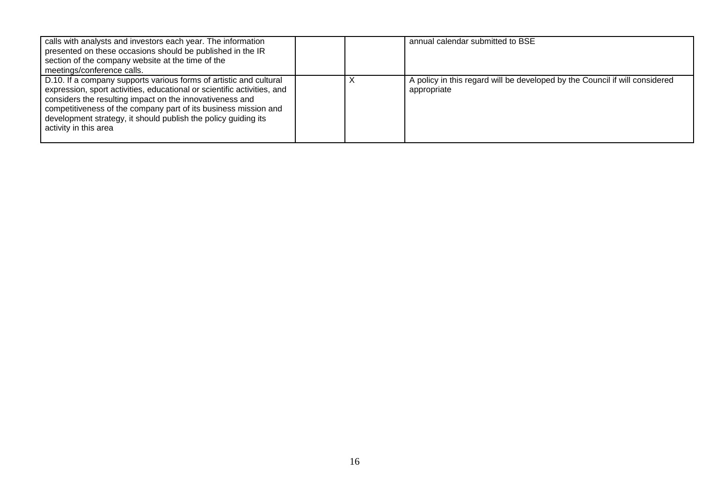| calls with analysts and investors each year. The information<br>presented on these occasions should be published in the IR<br>section of the company website at the time of the<br>meetings/conference calls.                                                                                                                                                                |  | annual calendar submitted to BSE                                                           |
|------------------------------------------------------------------------------------------------------------------------------------------------------------------------------------------------------------------------------------------------------------------------------------------------------------------------------------------------------------------------------|--|--------------------------------------------------------------------------------------------|
| D.10. If a company supports various forms of artistic and cultural<br>expression, sport activities, educational or scientific activities, and<br>$\,$ considers the resulting impact on the innovativeness and<br>competitiveness of the company part of its business mission and<br>development strategy, it should publish the policy guiding its<br>activity in this area |  | A policy in this regard will be developed by the Council if will considered<br>appropriate |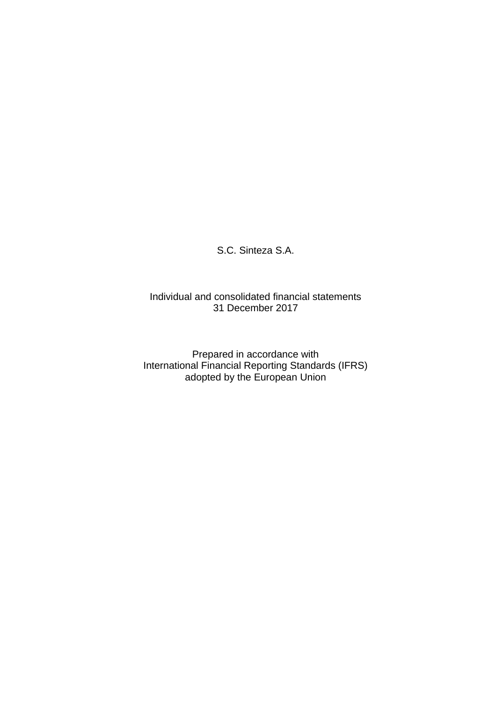S.C. Sinteza S.A.

Individual and consolidated financial statements 31 December 2017

Prepared in accordance with International Financial Reporting Standards (IFRS) adopted by the European Union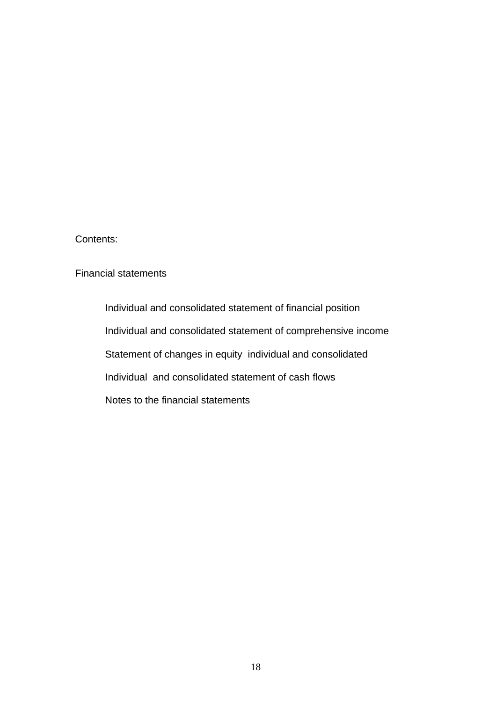Contents:

Financial statements

Individual and consolidated statement of financial position Individual and consolidated statement of comprehensive income Statement of changes in equity individual and consolidated Individual and consolidated statement of cash flows Notes to the financial statements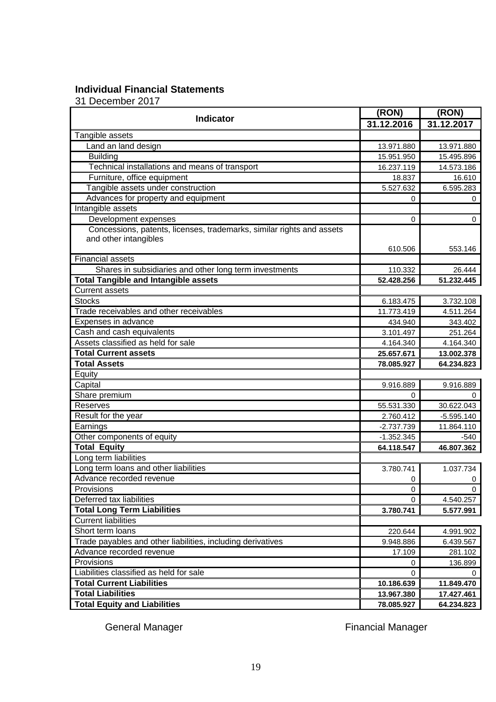#### **Individual Financial Statements**

31 December 2017

|                                                                       | (RON)        | (RON)        |  |  |
|-----------------------------------------------------------------------|--------------|--------------|--|--|
| <b>Indicator</b>                                                      | 31.12.2016   | 31.12.2017   |  |  |
| Tangible assets                                                       |              |              |  |  |
| Land an land design                                                   | 13.971.880   | 13.971.880   |  |  |
| <b>Building</b>                                                       | 15.951.950   | 15.495.896   |  |  |
| Technical installations and means of transport                        | 16.237.119   | 14.573.186   |  |  |
| Furniture, office equipment                                           | 18.837       | 16.610       |  |  |
| Tangible assets under construction                                    | 5.527.632    | 6.595.283    |  |  |
| Advances for property and equipment                                   | 0            | 0            |  |  |
| Intangible assets                                                     |              |              |  |  |
| Development expenses                                                  | 0            | $\mathbf 0$  |  |  |
| Concessions, patents, licenses, trademarks, similar rights and assets |              |              |  |  |
| and other intangibles                                                 |              |              |  |  |
|                                                                       | 610.506      | 553.146      |  |  |
| <b>Financial assets</b>                                               |              |              |  |  |
| Shares in subsidiaries and other long term investments                | 110.332      | 26.444       |  |  |
| <b>Total Tangible and Intangible assets</b>                           | 52.428.256   | 51.232.445   |  |  |
| <b>Current assets</b>                                                 |              |              |  |  |
| <b>Stocks</b>                                                         | 6.183.475    | 3.732.108    |  |  |
| Trade receivables and other receivables                               | 11.773.419   | 4.511.264    |  |  |
| Expenses in advance                                                   | 434.940      | 343.402      |  |  |
| Cash and cash equivalents                                             | 3.101.497    | 251.264      |  |  |
| Assets classified as held for sale                                    | 4.164.340    | 4.164.340    |  |  |
| <b>Total Current assets</b>                                           | 25.657.671   | 13.002.378   |  |  |
| <b>Total Assets</b>                                                   | 78.085.927   | 64.234.823   |  |  |
| Equity                                                                |              |              |  |  |
| Capital                                                               | 9.916.889    | 9.916.889    |  |  |
| Share premium                                                         | 0            | 0            |  |  |
| Reserves                                                              | 55.531.330   | 30.622.043   |  |  |
| Result for the year                                                   | 2.760.412    | $-5.595.140$ |  |  |
| Earnings                                                              | $-2.737.739$ | 11.864.110   |  |  |
| Other components of equity                                            | $-1.352.345$ | -540         |  |  |
| <b>Total Equity</b>                                                   | 64.118.547   | 46.807.362   |  |  |
| Long term liabilities                                                 |              |              |  |  |
| Long term loans and other liabilities                                 | 3.780.741    | 1.037.734    |  |  |
| Advance recorded revenue                                              | 0            | 0            |  |  |
| Provisions                                                            | 0            | $\mathbf 0$  |  |  |
| Deferred tax liabilities                                              | 0            | 4.540.257    |  |  |
| <b>Total Long Term Liabilities</b>                                    | 3.780.741    | 5.577.991    |  |  |
| <b>Current liabilities</b>                                            |              |              |  |  |
| Short term loans                                                      | 220.644      | 4.991.902    |  |  |
| Trade payables and other liabilities, including derivatives           | 9.948.886    | 6.439.567    |  |  |
| Advance recorded revenue                                              | 17.109       | 281.102      |  |  |
| Provisions                                                            | 0            | 136.899      |  |  |
| Liabilities classified as held for sale                               | 0            | 0            |  |  |
| <b>Total Current Liabilities</b>                                      | 10.186.639   | 11.849.470   |  |  |
| <b>Total Liabilities</b>                                              | 13.967.380   | 17.427.461   |  |  |
| <b>Total Equity and Liabilities</b>                                   | 78.085.927   | 64.234.823   |  |  |

General Manager **Financial Manager Financial Manager**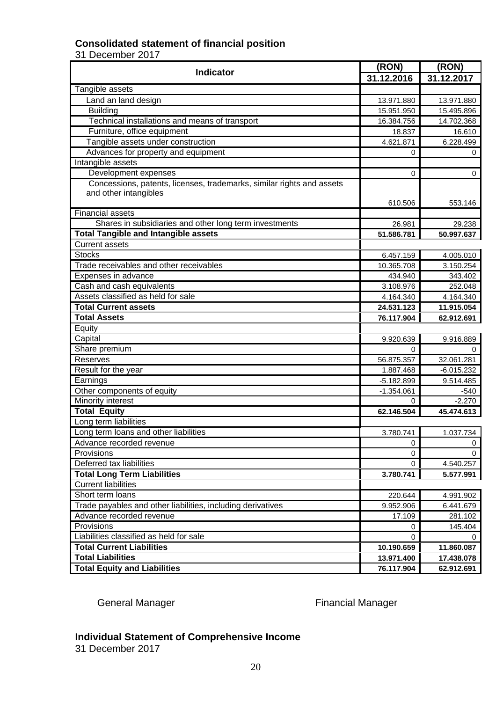#### **Consolidated statement of financial position**

31 December 2017

| 31.12.2016<br>31.12.2017<br>Tangible assets<br>Land an land design<br>13.971.880<br>13.971.880<br><b>Building</b><br>15.951.950<br>15.495.896<br>Technical installations and means of transport<br>16.384.756<br>14.702.368<br>Furniture, office equipment<br>18.837<br>16.610<br>Tangible assets under construction<br>4.621.871<br>6.228.499<br>Advances for property and equipment<br>0<br>0<br>Intangible assets<br>Development expenses<br>0<br>$\mathbf 0$<br>Concessions, patents, licenses, trademarks, similar rights and assets<br>and other intangibles<br>553.146<br>610.506<br><b>Financial assets</b><br>Shares in subsidiaries and other long term investments<br>26.981<br>29.238<br><b>Total Tangible and Intangible assets</b><br>51.586.781<br>50.997.637<br><b>Current assets</b><br><b>Stocks</b><br>6.457.159<br>4.005.010<br>Trade receivables and other receivables<br>10.365.708<br>3.150.254<br>Expenses in advance<br>434.940<br>343.402<br>Cash and cash equivalents<br>3.108.976<br>252.048<br>Assets classified as held for sale<br>4.164.340<br>4.164.340<br><b>Total Current assets</b><br>24.531.123<br>11.915.054<br><b>Total Assets</b><br>76.117.904<br>62.912.691<br>Equity<br>Capital<br>9.920.639<br>9.916.889<br>Share premium<br>0<br>0<br>Reserves<br>56.875.357<br>32.061.281<br>Result for the year<br>1.887.468<br>$-6.015.232$<br>Earnings<br>$-5.182.899$<br>9.514.485<br>Other components of equity<br>$-1.354.061$<br>$-540$<br>Minority interest<br>$-2.270$<br>0<br><b>Total Equity</b><br>62.146.504<br>45.474.613<br>Long term liabilities<br>Long term loans and other liabilities<br>3.780.741<br>1.037.734<br>Advance recorded revenue<br>0<br>0<br>Provisions<br>0<br>0<br>Deferred tax liabilities<br>4.540.257<br>$\mathbf 0$<br><b>Total Long Term Liabilities</b><br>3.780.741<br>5.577.991<br><b>Current liabilities</b><br>Short term loans<br>220.644<br>4.991.902<br>Trade payables and other liabilities, including derivatives<br>9.952.906<br>6.441.679<br>Advance recorded revenue<br>17.109<br>281.102<br>Provisions<br>145.404<br>0<br>Liabilities classified as held for sale<br>0<br>0<br><b>Total Current Liabilities</b><br>10.190.659<br>11.860.087<br><b>Total Liabilities</b><br>13.971.400<br>17.438.078<br><b>Total Equity and Liabilities</b><br>76.117.904<br>62.912.691 | <b>Indicator</b> | (RON) | (RON) |  |
|------------------------------------------------------------------------------------------------------------------------------------------------------------------------------------------------------------------------------------------------------------------------------------------------------------------------------------------------------------------------------------------------------------------------------------------------------------------------------------------------------------------------------------------------------------------------------------------------------------------------------------------------------------------------------------------------------------------------------------------------------------------------------------------------------------------------------------------------------------------------------------------------------------------------------------------------------------------------------------------------------------------------------------------------------------------------------------------------------------------------------------------------------------------------------------------------------------------------------------------------------------------------------------------------------------------------------------------------------------------------------------------------------------------------------------------------------------------------------------------------------------------------------------------------------------------------------------------------------------------------------------------------------------------------------------------------------------------------------------------------------------------------------------------------------------------------------------------------------------------------------------------------------------------------------------------------------------------------------------------------------------------------------------------------------------------------------------------------------------------------------------------------------------------------------------------------------------------------------------------------------------------------------------------------------------------------------------------------------------|------------------|-------|-------|--|
|                                                                                                                                                                                                                                                                                                                                                                                                                                                                                                                                                                                                                                                                                                                                                                                                                                                                                                                                                                                                                                                                                                                                                                                                                                                                                                                                                                                                                                                                                                                                                                                                                                                                                                                                                                                                                                                                                                                                                                                                                                                                                                                                                                                                                                                                                                                                                            |                  |       |       |  |
|                                                                                                                                                                                                                                                                                                                                                                                                                                                                                                                                                                                                                                                                                                                                                                                                                                                                                                                                                                                                                                                                                                                                                                                                                                                                                                                                                                                                                                                                                                                                                                                                                                                                                                                                                                                                                                                                                                                                                                                                                                                                                                                                                                                                                                                                                                                                                            |                  |       |       |  |
|                                                                                                                                                                                                                                                                                                                                                                                                                                                                                                                                                                                                                                                                                                                                                                                                                                                                                                                                                                                                                                                                                                                                                                                                                                                                                                                                                                                                                                                                                                                                                                                                                                                                                                                                                                                                                                                                                                                                                                                                                                                                                                                                                                                                                                                                                                                                                            |                  |       |       |  |
|                                                                                                                                                                                                                                                                                                                                                                                                                                                                                                                                                                                                                                                                                                                                                                                                                                                                                                                                                                                                                                                                                                                                                                                                                                                                                                                                                                                                                                                                                                                                                                                                                                                                                                                                                                                                                                                                                                                                                                                                                                                                                                                                                                                                                                                                                                                                                            |                  |       |       |  |
|                                                                                                                                                                                                                                                                                                                                                                                                                                                                                                                                                                                                                                                                                                                                                                                                                                                                                                                                                                                                                                                                                                                                                                                                                                                                                                                                                                                                                                                                                                                                                                                                                                                                                                                                                                                                                                                                                                                                                                                                                                                                                                                                                                                                                                                                                                                                                            |                  |       |       |  |
|                                                                                                                                                                                                                                                                                                                                                                                                                                                                                                                                                                                                                                                                                                                                                                                                                                                                                                                                                                                                                                                                                                                                                                                                                                                                                                                                                                                                                                                                                                                                                                                                                                                                                                                                                                                                                                                                                                                                                                                                                                                                                                                                                                                                                                                                                                                                                            |                  |       |       |  |
|                                                                                                                                                                                                                                                                                                                                                                                                                                                                                                                                                                                                                                                                                                                                                                                                                                                                                                                                                                                                                                                                                                                                                                                                                                                                                                                                                                                                                                                                                                                                                                                                                                                                                                                                                                                                                                                                                                                                                                                                                                                                                                                                                                                                                                                                                                                                                            |                  |       |       |  |
|                                                                                                                                                                                                                                                                                                                                                                                                                                                                                                                                                                                                                                                                                                                                                                                                                                                                                                                                                                                                                                                                                                                                                                                                                                                                                                                                                                                                                                                                                                                                                                                                                                                                                                                                                                                                                                                                                                                                                                                                                                                                                                                                                                                                                                                                                                                                                            |                  |       |       |  |
|                                                                                                                                                                                                                                                                                                                                                                                                                                                                                                                                                                                                                                                                                                                                                                                                                                                                                                                                                                                                                                                                                                                                                                                                                                                                                                                                                                                                                                                                                                                                                                                                                                                                                                                                                                                                                                                                                                                                                                                                                                                                                                                                                                                                                                                                                                                                                            |                  |       |       |  |
|                                                                                                                                                                                                                                                                                                                                                                                                                                                                                                                                                                                                                                                                                                                                                                                                                                                                                                                                                                                                                                                                                                                                                                                                                                                                                                                                                                                                                                                                                                                                                                                                                                                                                                                                                                                                                                                                                                                                                                                                                                                                                                                                                                                                                                                                                                                                                            |                  |       |       |  |
|                                                                                                                                                                                                                                                                                                                                                                                                                                                                                                                                                                                                                                                                                                                                                                                                                                                                                                                                                                                                                                                                                                                                                                                                                                                                                                                                                                                                                                                                                                                                                                                                                                                                                                                                                                                                                                                                                                                                                                                                                                                                                                                                                                                                                                                                                                                                                            |                  |       |       |  |
|                                                                                                                                                                                                                                                                                                                                                                                                                                                                                                                                                                                                                                                                                                                                                                                                                                                                                                                                                                                                                                                                                                                                                                                                                                                                                                                                                                                                                                                                                                                                                                                                                                                                                                                                                                                                                                                                                                                                                                                                                                                                                                                                                                                                                                                                                                                                                            |                  |       |       |  |
|                                                                                                                                                                                                                                                                                                                                                                                                                                                                                                                                                                                                                                                                                                                                                                                                                                                                                                                                                                                                                                                                                                                                                                                                                                                                                                                                                                                                                                                                                                                                                                                                                                                                                                                                                                                                                                                                                                                                                                                                                                                                                                                                                                                                                                                                                                                                                            |                  |       |       |  |
|                                                                                                                                                                                                                                                                                                                                                                                                                                                                                                                                                                                                                                                                                                                                                                                                                                                                                                                                                                                                                                                                                                                                                                                                                                                                                                                                                                                                                                                                                                                                                                                                                                                                                                                                                                                                                                                                                                                                                                                                                                                                                                                                                                                                                                                                                                                                                            |                  |       |       |  |
|                                                                                                                                                                                                                                                                                                                                                                                                                                                                                                                                                                                                                                                                                                                                                                                                                                                                                                                                                                                                                                                                                                                                                                                                                                                                                                                                                                                                                                                                                                                                                                                                                                                                                                                                                                                                                                                                                                                                                                                                                                                                                                                                                                                                                                                                                                                                                            |                  |       |       |  |
|                                                                                                                                                                                                                                                                                                                                                                                                                                                                                                                                                                                                                                                                                                                                                                                                                                                                                                                                                                                                                                                                                                                                                                                                                                                                                                                                                                                                                                                                                                                                                                                                                                                                                                                                                                                                                                                                                                                                                                                                                                                                                                                                                                                                                                                                                                                                                            |                  |       |       |  |
|                                                                                                                                                                                                                                                                                                                                                                                                                                                                                                                                                                                                                                                                                                                                                                                                                                                                                                                                                                                                                                                                                                                                                                                                                                                                                                                                                                                                                                                                                                                                                                                                                                                                                                                                                                                                                                                                                                                                                                                                                                                                                                                                                                                                                                                                                                                                                            |                  |       |       |  |
|                                                                                                                                                                                                                                                                                                                                                                                                                                                                                                                                                                                                                                                                                                                                                                                                                                                                                                                                                                                                                                                                                                                                                                                                                                                                                                                                                                                                                                                                                                                                                                                                                                                                                                                                                                                                                                                                                                                                                                                                                                                                                                                                                                                                                                                                                                                                                            |                  |       |       |  |
|                                                                                                                                                                                                                                                                                                                                                                                                                                                                                                                                                                                                                                                                                                                                                                                                                                                                                                                                                                                                                                                                                                                                                                                                                                                                                                                                                                                                                                                                                                                                                                                                                                                                                                                                                                                                                                                                                                                                                                                                                                                                                                                                                                                                                                                                                                                                                            |                  |       |       |  |
|                                                                                                                                                                                                                                                                                                                                                                                                                                                                                                                                                                                                                                                                                                                                                                                                                                                                                                                                                                                                                                                                                                                                                                                                                                                                                                                                                                                                                                                                                                                                                                                                                                                                                                                                                                                                                                                                                                                                                                                                                                                                                                                                                                                                                                                                                                                                                            |                  |       |       |  |
|                                                                                                                                                                                                                                                                                                                                                                                                                                                                                                                                                                                                                                                                                                                                                                                                                                                                                                                                                                                                                                                                                                                                                                                                                                                                                                                                                                                                                                                                                                                                                                                                                                                                                                                                                                                                                                                                                                                                                                                                                                                                                                                                                                                                                                                                                                                                                            |                  |       |       |  |
|                                                                                                                                                                                                                                                                                                                                                                                                                                                                                                                                                                                                                                                                                                                                                                                                                                                                                                                                                                                                                                                                                                                                                                                                                                                                                                                                                                                                                                                                                                                                                                                                                                                                                                                                                                                                                                                                                                                                                                                                                                                                                                                                                                                                                                                                                                                                                            |                  |       |       |  |
|                                                                                                                                                                                                                                                                                                                                                                                                                                                                                                                                                                                                                                                                                                                                                                                                                                                                                                                                                                                                                                                                                                                                                                                                                                                                                                                                                                                                                                                                                                                                                                                                                                                                                                                                                                                                                                                                                                                                                                                                                                                                                                                                                                                                                                                                                                                                                            |                  |       |       |  |
|                                                                                                                                                                                                                                                                                                                                                                                                                                                                                                                                                                                                                                                                                                                                                                                                                                                                                                                                                                                                                                                                                                                                                                                                                                                                                                                                                                                                                                                                                                                                                                                                                                                                                                                                                                                                                                                                                                                                                                                                                                                                                                                                                                                                                                                                                                                                                            |                  |       |       |  |
|                                                                                                                                                                                                                                                                                                                                                                                                                                                                                                                                                                                                                                                                                                                                                                                                                                                                                                                                                                                                                                                                                                                                                                                                                                                                                                                                                                                                                                                                                                                                                                                                                                                                                                                                                                                                                                                                                                                                                                                                                                                                                                                                                                                                                                                                                                                                                            |                  |       |       |  |
|                                                                                                                                                                                                                                                                                                                                                                                                                                                                                                                                                                                                                                                                                                                                                                                                                                                                                                                                                                                                                                                                                                                                                                                                                                                                                                                                                                                                                                                                                                                                                                                                                                                                                                                                                                                                                                                                                                                                                                                                                                                                                                                                                                                                                                                                                                                                                            |                  |       |       |  |
|                                                                                                                                                                                                                                                                                                                                                                                                                                                                                                                                                                                                                                                                                                                                                                                                                                                                                                                                                                                                                                                                                                                                                                                                                                                                                                                                                                                                                                                                                                                                                                                                                                                                                                                                                                                                                                                                                                                                                                                                                                                                                                                                                                                                                                                                                                                                                            |                  |       |       |  |
|                                                                                                                                                                                                                                                                                                                                                                                                                                                                                                                                                                                                                                                                                                                                                                                                                                                                                                                                                                                                                                                                                                                                                                                                                                                                                                                                                                                                                                                                                                                                                                                                                                                                                                                                                                                                                                                                                                                                                                                                                                                                                                                                                                                                                                                                                                                                                            |                  |       |       |  |
|                                                                                                                                                                                                                                                                                                                                                                                                                                                                                                                                                                                                                                                                                                                                                                                                                                                                                                                                                                                                                                                                                                                                                                                                                                                                                                                                                                                                                                                                                                                                                                                                                                                                                                                                                                                                                                                                                                                                                                                                                                                                                                                                                                                                                                                                                                                                                            |                  |       |       |  |
|                                                                                                                                                                                                                                                                                                                                                                                                                                                                                                                                                                                                                                                                                                                                                                                                                                                                                                                                                                                                                                                                                                                                                                                                                                                                                                                                                                                                                                                                                                                                                                                                                                                                                                                                                                                                                                                                                                                                                                                                                                                                                                                                                                                                                                                                                                                                                            |                  |       |       |  |
|                                                                                                                                                                                                                                                                                                                                                                                                                                                                                                                                                                                                                                                                                                                                                                                                                                                                                                                                                                                                                                                                                                                                                                                                                                                                                                                                                                                                                                                                                                                                                                                                                                                                                                                                                                                                                                                                                                                                                                                                                                                                                                                                                                                                                                                                                                                                                            |                  |       |       |  |
|                                                                                                                                                                                                                                                                                                                                                                                                                                                                                                                                                                                                                                                                                                                                                                                                                                                                                                                                                                                                                                                                                                                                                                                                                                                                                                                                                                                                                                                                                                                                                                                                                                                                                                                                                                                                                                                                                                                                                                                                                                                                                                                                                                                                                                                                                                                                                            |                  |       |       |  |
|                                                                                                                                                                                                                                                                                                                                                                                                                                                                                                                                                                                                                                                                                                                                                                                                                                                                                                                                                                                                                                                                                                                                                                                                                                                                                                                                                                                                                                                                                                                                                                                                                                                                                                                                                                                                                                                                                                                                                                                                                                                                                                                                                                                                                                                                                                                                                            |                  |       |       |  |
|                                                                                                                                                                                                                                                                                                                                                                                                                                                                                                                                                                                                                                                                                                                                                                                                                                                                                                                                                                                                                                                                                                                                                                                                                                                                                                                                                                                                                                                                                                                                                                                                                                                                                                                                                                                                                                                                                                                                                                                                                                                                                                                                                                                                                                                                                                                                                            |                  |       |       |  |
|                                                                                                                                                                                                                                                                                                                                                                                                                                                                                                                                                                                                                                                                                                                                                                                                                                                                                                                                                                                                                                                                                                                                                                                                                                                                                                                                                                                                                                                                                                                                                                                                                                                                                                                                                                                                                                                                                                                                                                                                                                                                                                                                                                                                                                                                                                                                                            |                  |       |       |  |
|                                                                                                                                                                                                                                                                                                                                                                                                                                                                                                                                                                                                                                                                                                                                                                                                                                                                                                                                                                                                                                                                                                                                                                                                                                                                                                                                                                                                                                                                                                                                                                                                                                                                                                                                                                                                                                                                                                                                                                                                                                                                                                                                                                                                                                                                                                                                                            |                  |       |       |  |
|                                                                                                                                                                                                                                                                                                                                                                                                                                                                                                                                                                                                                                                                                                                                                                                                                                                                                                                                                                                                                                                                                                                                                                                                                                                                                                                                                                                                                                                                                                                                                                                                                                                                                                                                                                                                                                                                                                                                                                                                                                                                                                                                                                                                                                                                                                                                                            |                  |       |       |  |
|                                                                                                                                                                                                                                                                                                                                                                                                                                                                                                                                                                                                                                                                                                                                                                                                                                                                                                                                                                                                                                                                                                                                                                                                                                                                                                                                                                                                                                                                                                                                                                                                                                                                                                                                                                                                                                                                                                                                                                                                                                                                                                                                                                                                                                                                                                                                                            |                  |       |       |  |
|                                                                                                                                                                                                                                                                                                                                                                                                                                                                                                                                                                                                                                                                                                                                                                                                                                                                                                                                                                                                                                                                                                                                                                                                                                                                                                                                                                                                                                                                                                                                                                                                                                                                                                                                                                                                                                                                                                                                                                                                                                                                                                                                                                                                                                                                                                                                                            |                  |       |       |  |
|                                                                                                                                                                                                                                                                                                                                                                                                                                                                                                                                                                                                                                                                                                                                                                                                                                                                                                                                                                                                                                                                                                                                                                                                                                                                                                                                                                                                                                                                                                                                                                                                                                                                                                                                                                                                                                                                                                                                                                                                                                                                                                                                                                                                                                                                                                                                                            |                  |       |       |  |
|                                                                                                                                                                                                                                                                                                                                                                                                                                                                                                                                                                                                                                                                                                                                                                                                                                                                                                                                                                                                                                                                                                                                                                                                                                                                                                                                                                                                                                                                                                                                                                                                                                                                                                                                                                                                                                                                                                                                                                                                                                                                                                                                                                                                                                                                                                                                                            |                  |       |       |  |
|                                                                                                                                                                                                                                                                                                                                                                                                                                                                                                                                                                                                                                                                                                                                                                                                                                                                                                                                                                                                                                                                                                                                                                                                                                                                                                                                                                                                                                                                                                                                                                                                                                                                                                                                                                                                                                                                                                                                                                                                                                                                                                                                                                                                                                                                                                                                                            |                  |       |       |  |
|                                                                                                                                                                                                                                                                                                                                                                                                                                                                                                                                                                                                                                                                                                                                                                                                                                                                                                                                                                                                                                                                                                                                                                                                                                                                                                                                                                                                                                                                                                                                                                                                                                                                                                                                                                                                                                                                                                                                                                                                                                                                                                                                                                                                                                                                                                                                                            |                  |       |       |  |
|                                                                                                                                                                                                                                                                                                                                                                                                                                                                                                                                                                                                                                                                                                                                                                                                                                                                                                                                                                                                                                                                                                                                                                                                                                                                                                                                                                                                                                                                                                                                                                                                                                                                                                                                                                                                                                                                                                                                                                                                                                                                                                                                                                                                                                                                                                                                                            |                  |       |       |  |
|                                                                                                                                                                                                                                                                                                                                                                                                                                                                                                                                                                                                                                                                                                                                                                                                                                                                                                                                                                                                                                                                                                                                                                                                                                                                                                                                                                                                                                                                                                                                                                                                                                                                                                                                                                                                                                                                                                                                                                                                                                                                                                                                                                                                                                                                                                                                                            |                  |       |       |  |
|                                                                                                                                                                                                                                                                                                                                                                                                                                                                                                                                                                                                                                                                                                                                                                                                                                                                                                                                                                                                                                                                                                                                                                                                                                                                                                                                                                                                                                                                                                                                                                                                                                                                                                                                                                                                                                                                                                                                                                                                                                                                                                                                                                                                                                                                                                                                                            |                  |       |       |  |
|                                                                                                                                                                                                                                                                                                                                                                                                                                                                                                                                                                                                                                                                                                                                                                                                                                                                                                                                                                                                                                                                                                                                                                                                                                                                                                                                                                                                                                                                                                                                                                                                                                                                                                                                                                                                                                                                                                                                                                                                                                                                                                                                                                                                                                                                                                                                                            |                  |       |       |  |
|                                                                                                                                                                                                                                                                                                                                                                                                                                                                                                                                                                                                                                                                                                                                                                                                                                                                                                                                                                                                                                                                                                                                                                                                                                                                                                                                                                                                                                                                                                                                                                                                                                                                                                                                                                                                                                                                                                                                                                                                                                                                                                                                                                                                                                                                                                                                                            |                  |       |       |  |

General Manager **Financial Manager Financial Manager** 

## **Individual Statement of Comprehensive Income**

31 December 2017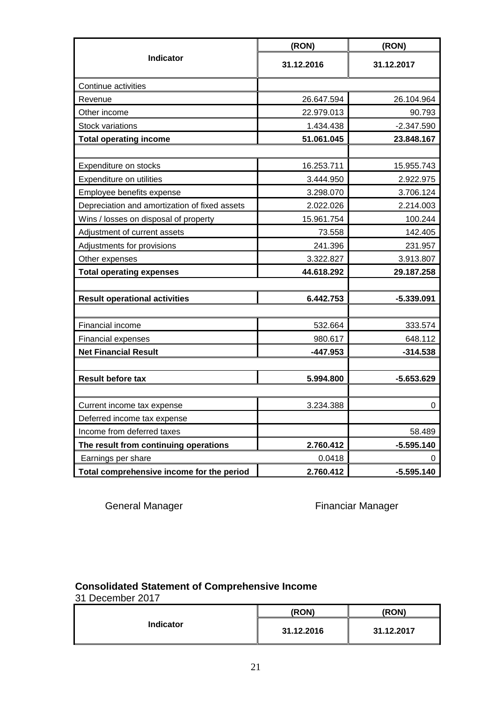|                                               | (RON)      | (RON)        |  |  |
|-----------------------------------------------|------------|--------------|--|--|
| <b>Indicator</b>                              | 31.12.2016 | 31.12.2017   |  |  |
| Continue activities                           |            |              |  |  |
| Revenue                                       | 26.647.594 | 26.104.964   |  |  |
| Other income                                  | 22.979.013 | 90.793       |  |  |
| <b>Stock variations</b>                       | 1.434.438  | $-2.347.590$ |  |  |
| <b>Total operating income</b>                 | 51.061.045 | 23.848.167   |  |  |
|                                               |            |              |  |  |
| Expenditure on stocks                         | 16.253.711 | 15.955.743   |  |  |
| Expenditure on utilities                      | 3.444.950  | 2.922.975    |  |  |
| Employee benefits expense                     | 3.298.070  | 3.706.124    |  |  |
| Depreciation and amortization of fixed assets | 2.022.026  | 2.214.003    |  |  |
| Wins / losses on disposal of property         | 15.961.754 | 100.244      |  |  |
| Adjustment of current assets                  | 73.558     | 142.405      |  |  |
| Adjustments for provisions                    | 241.396    | 231.957      |  |  |
| Other expenses                                | 3.322.827  | 3.913.807    |  |  |
| <b>Total operating expenses</b>               | 44.618.292 | 29.187.258   |  |  |
|                                               |            |              |  |  |
| <b>Result operational activities</b>          | 6.442.753  | $-5.339.091$ |  |  |
|                                               |            |              |  |  |
| Financial income                              | 532.664    | 333.574      |  |  |
| <b>Financial expenses</b>                     | 980.617    | 648.112      |  |  |
| <b>Net Financial Result</b>                   | -447.953   | $-314.538$   |  |  |
|                                               |            |              |  |  |
| <b>Result before tax</b>                      | 5.994.800  | $-5.653.629$ |  |  |
|                                               |            |              |  |  |
| Current income tax expense                    | 3.234.388  | 0            |  |  |
| Deferred income tax expense                   |            |              |  |  |
| Income from deferred taxes                    |            | 58.489       |  |  |
| The result from continuing operations         | 2.760.412  | $-5.595.140$ |  |  |
| Earnings per share                            | 0.0418     | 0            |  |  |
| Total comprehensive income for the period     | 2.760.412  | $-5.595.140$ |  |  |

General Manager **Financiar Manager** Financiar Manager

#### **Consolidated Statement of Comprehensive Income**

31 December 2017

|                  | (RON)      | (RON)      |
|------------------|------------|------------|
| <b>Indicator</b> | 31.12.2016 | 31.12.2017 |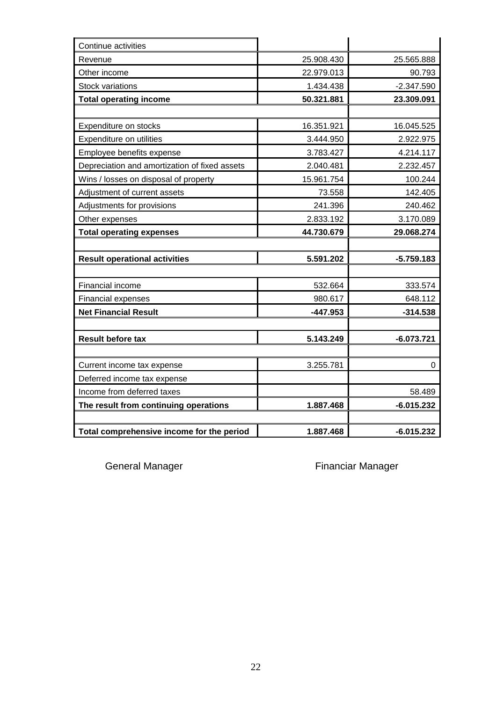| Continue activities                           |            |              |
|-----------------------------------------------|------------|--------------|
| Revenue                                       | 25.908.430 | 25.565.888   |
| Other income                                  | 22.979.013 | 90.793       |
| <b>Stock variations</b>                       | 1.434.438  | $-2.347.590$ |
| <b>Total operating income</b>                 | 50.321.881 | 23.309.091   |
|                                               |            |              |
| Expenditure on stocks                         | 16.351.921 | 16.045.525   |
| Expenditure on utilities                      | 3.444.950  | 2.922.975    |
| Employee benefits expense                     | 3.783.427  | 4.214.117    |
| Depreciation and amortization of fixed assets | 2.040.481  | 2.232.457    |
| Wins / losses on disposal of property         | 15.961.754 | 100.244      |
| Adjustment of current assets                  | 73.558     | 142.405      |
| Adjustments for provisions                    | 241.396    | 240.462      |
| Other expenses                                | 2.833.192  | 3.170.089    |
| <b>Total operating expenses</b>               | 44.730.679 | 29.068.274   |
|                                               |            |              |
| <b>Result operational activities</b>          | 5.591.202  | $-5.759.183$ |
|                                               |            |              |
| Financial income                              | 532.664    | 333.574      |
| Financial expenses                            | 980.617    | 648.112      |
| <b>Net Financial Result</b>                   | -447.953   | $-314.538$   |
|                                               |            |              |
| <b>Result before tax</b>                      | 5.143.249  | $-6.073.721$ |
|                                               |            |              |
| Current income tax expense                    | 3.255.781  | 0            |
| Deferred income tax expense                   |            |              |
| Income from deferred taxes                    |            | 58.489       |
| The result from continuing operations         | 1.887.468  | $-6.015.232$ |
|                                               |            |              |
| Total comprehensive income for the period     | 1.887.468  | $-6.015.232$ |

General Manager **Financiar Manager** Financiar Manager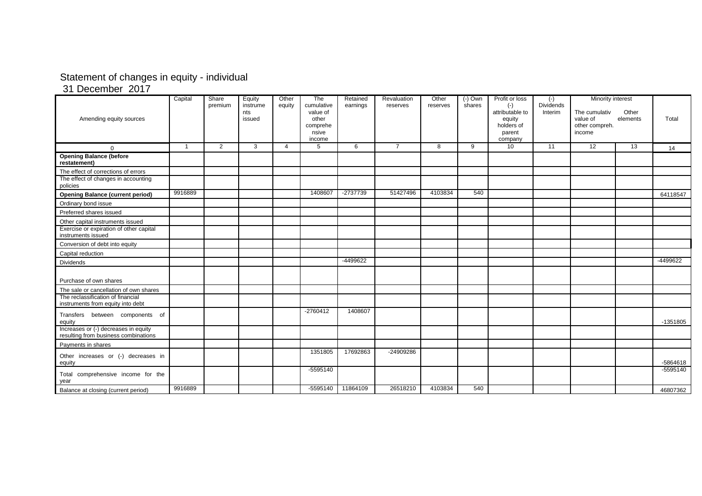#### Statement of changes in equity - individual 31 December 2017

| Amending equity sources                                                      | Capital | Share<br>premium | Equity<br>instrume<br>nts<br>issued | Other<br>equity | The<br>cumulative<br>value of<br>other<br>comprehe<br>nsive | Retained<br>earnings | Revaluation<br>reserves | Other<br>reserves | $(-)$ Own<br>shares | Profit or loss<br>$(-)$<br>attributable to<br>equity<br>holders of<br>parent | $(-)$<br><b>Dividends</b><br>Interim | Minority interest<br>The cumulativ<br>value of<br>other compreh.<br>income | Other<br>elements | Total      |
|------------------------------------------------------------------------------|---------|------------------|-------------------------------------|-----------------|-------------------------------------------------------------|----------------------|-------------------------|-------------------|---------------------|------------------------------------------------------------------------------|--------------------------------------|----------------------------------------------------------------------------|-------------------|------------|
|                                                                              | 1       | 2                | 3                                   | $\overline{4}$  | income<br>5                                                 | 6                    | $\overline{7}$          | 8                 | 9                   | company<br>10                                                                | 11                                   | 12                                                                         | 13                |            |
| $\Omega$                                                                     |         |                  |                                     |                 |                                                             |                      |                         |                   |                     |                                                                              |                                      |                                                                            |                   | 14         |
| <b>Opening Balance (before</b><br>restatement)                               |         |                  |                                     |                 |                                                             |                      |                         |                   |                     |                                                                              |                                      |                                                                            |                   |            |
| The effect of corrections of errors                                          |         |                  |                                     |                 |                                                             |                      |                         |                   |                     |                                                                              |                                      |                                                                            |                   |            |
| The effect of changes in accounting<br>policies                              |         |                  |                                     |                 |                                                             |                      |                         |                   |                     |                                                                              |                                      |                                                                            |                   |            |
| <b>Opening Balance (current period)</b>                                      | 9916889 |                  |                                     |                 | 1408607                                                     | -2737739             | 51427496                | 4103834           | 540                 |                                                                              |                                      |                                                                            |                   | 64118547   |
| Ordinary bond issue                                                          |         |                  |                                     |                 |                                                             |                      |                         |                   |                     |                                                                              |                                      |                                                                            |                   |            |
| Preferred shares issued                                                      |         |                  |                                     |                 |                                                             |                      |                         |                   |                     |                                                                              |                                      |                                                                            |                   |            |
| Other capital instruments issued                                             |         |                  |                                     |                 |                                                             |                      |                         |                   |                     |                                                                              |                                      |                                                                            |                   |            |
| Exercise or expiration of other capital<br>instruments issued                |         |                  |                                     |                 |                                                             |                      |                         |                   |                     |                                                                              |                                      |                                                                            |                   |            |
| Conversion of debt into equity                                               |         |                  |                                     |                 |                                                             |                      |                         |                   |                     |                                                                              |                                      |                                                                            |                   |            |
| Capital reduction                                                            |         |                  |                                     |                 |                                                             |                      |                         |                   |                     |                                                                              |                                      |                                                                            |                   |            |
| Dividends                                                                    |         |                  |                                     |                 |                                                             | -4499622             |                         |                   |                     |                                                                              |                                      |                                                                            |                   | $-4499622$ |
|                                                                              |         |                  |                                     |                 |                                                             |                      |                         |                   |                     |                                                                              |                                      |                                                                            |                   |            |
| Purchase of own shares                                                       |         |                  |                                     |                 |                                                             |                      |                         |                   |                     |                                                                              |                                      |                                                                            |                   |            |
| The sale or cancellation of own shares<br>The reclassification of financial  |         |                  |                                     |                 |                                                             |                      |                         |                   |                     |                                                                              |                                      |                                                                            |                   |            |
| instruments from equity into debt                                            |         |                  |                                     |                 |                                                             |                      |                         |                   |                     |                                                                              |                                      |                                                                            |                   |            |
| Transfers between components of<br>equity                                    |         |                  |                                     |                 | $-2760412$                                                  | 1408607              |                         |                   |                     |                                                                              |                                      |                                                                            |                   | $-1351805$ |
| Increases or (-) decreases in equity<br>resulting from business combinations |         |                  |                                     |                 |                                                             |                      |                         |                   |                     |                                                                              |                                      |                                                                            |                   |            |
| Payments in shares                                                           |         |                  |                                     |                 |                                                             |                      |                         |                   |                     |                                                                              |                                      |                                                                            |                   |            |
| Other increases or (-) decreases in<br>equity                                |         |                  |                                     |                 | 1351805                                                     | 17692863             | $-24909286$             |                   |                     |                                                                              |                                      |                                                                            |                   | -5864618   |
| Total comprehensive income for the<br>year                                   |         |                  |                                     |                 | $-5595140$                                                  |                      |                         |                   |                     |                                                                              |                                      |                                                                            |                   | $-5595140$ |
| Balance at closing (current period)                                          | 9916889 |                  |                                     |                 | $-5595140$                                                  | 11864109             | 26518210                | 4103834           | 540                 |                                                                              |                                      |                                                                            |                   | 46807362   |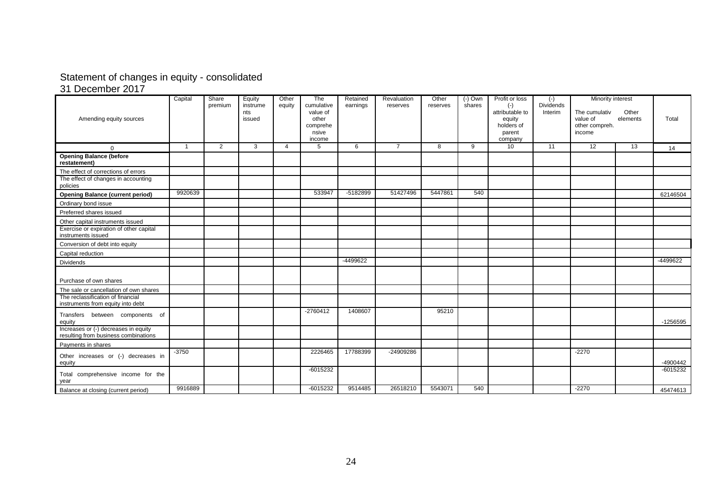#### Statement of changes in equity - consolidated 31 December 2017

| Amending equity sources                                                      | Capital | Share<br>premium | Equity<br>instrume<br>nts<br>issued | Other<br>equity | The<br>cumulative<br>value of<br>other<br>comprehe<br>nsive<br>income | Retained<br>earnings | Revaluation<br>reserves | Other<br>reserves | $(-)$ Own<br>shares | Profit or loss<br>$(-)$<br>attributable to<br>equity<br>holders of<br>parent<br>company | $(-)$<br><b>Dividends</b><br>Interim | Minority interest<br>The cumulativ<br>value of<br>other compreh.<br>income | Other<br>elements | Total      |
|------------------------------------------------------------------------------|---------|------------------|-------------------------------------|-----------------|-----------------------------------------------------------------------|----------------------|-------------------------|-------------------|---------------------|-----------------------------------------------------------------------------------------|--------------------------------------|----------------------------------------------------------------------------|-------------------|------------|
| $\Omega$                                                                     | 1       | 2                | 3                                   | 4               | 5                                                                     | 6                    | $\overline{7}$          | 8                 | 9                   | 10                                                                                      | 11                                   | 12                                                                         | 13                | 14         |
| <b>Opening Balance (before</b><br>restatement)                               |         |                  |                                     |                 |                                                                       |                      |                         |                   |                     |                                                                                         |                                      |                                                                            |                   |            |
| The effect of corrections of errors                                          |         |                  |                                     |                 |                                                                       |                      |                         |                   |                     |                                                                                         |                                      |                                                                            |                   |            |
| The effect of changes in accounting<br>policies                              |         |                  |                                     |                 |                                                                       |                      |                         |                   |                     |                                                                                         |                                      |                                                                            |                   |            |
| <b>Opening Balance (current period)</b>                                      | 9920639 |                  |                                     |                 | 533947                                                                | -5182899             | 51427496                | 5447861           | 540                 |                                                                                         |                                      |                                                                            |                   | 62146504   |
| Ordinary bond issue                                                          |         |                  |                                     |                 |                                                                       |                      |                         |                   |                     |                                                                                         |                                      |                                                                            |                   |            |
| Preferred shares issued                                                      |         |                  |                                     |                 |                                                                       |                      |                         |                   |                     |                                                                                         |                                      |                                                                            |                   |            |
| Other capital instruments issued                                             |         |                  |                                     |                 |                                                                       |                      |                         |                   |                     |                                                                                         |                                      |                                                                            |                   |            |
| Exercise or expiration of other capital<br>instruments issued                |         |                  |                                     |                 |                                                                       |                      |                         |                   |                     |                                                                                         |                                      |                                                                            |                   |            |
| Conversion of debt into equity                                               |         |                  |                                     |                 |                                                                       |                      |                         |                   |                     |                                                                                         |                                      |                                                                            |                   |            |
| Capital reduction                                                            |         |                  |                                     |                 |                                                                       |                      |                         |                   |                     |                                                                                         |                                      |                                                                            |                   |            |
| Dividends                                                                    |         |                  |                                     |                 |                                                                       | -4499622             |                         |                   |                     |                                                                                         |                                      |                                                                            |                   | $-4499622$ |
| Purchase of own shares                                                       |         |                  |                                     |                 |                                                                       |                      |                         |                   |                     |                                                                                         |                                      |                                                                            |                   |            |
| The sale or cancellation of own shares<br>The reclassification of financial  |         |                  |                                     |                 |                                                                       |                      |                         |                   |                     |                                                                                         |                                      |                                                                            |                   |            |
| instruments from equity into debt                                            |         |                  |                                     |                 |                                                                       |                      |                         |                   |                     |                                                                                         |                                      |                                                                            |                   |            |
| Transfers between components of<br>equity                                    |         |                  |                                     |                 | $-2760412$                                                            | 1408607              |                         | 95210             |                     |                                                                                         |                                      |                                                                            |                   | $-1256595$ |
| Increases or (-) decreases in equity<br>resulting from business combinations |         |                  |                                     |                 |                                                                       |                      |                         |                   |                     |                                                                                         |                                      |                                                                            |                   |            |
| Payments in shares                                                           |         |                  |                                     |                 |                                                                       |                      |                         |                   |                     |                                                                                         |                                      |                                                                            |                   |            |
| Other increases or (-) decreases in<br>equity                                | $-3750$ |                  |                                     |                 | 2226465                                                               | 17788399             | -24909286               |                   |                     |                                                                                         |                                      | $-2270$                                                                    |                   | $-4900442$ |
| Total comprehensive income for the<br>year                                   |         |                  |                                     |                 | $-6015232$                                                            |                      |                         |                   |                     |                                                                                         |                                      |                                                                            |                   | $-6015232$ |
| Balance at closing (current period)                                          | 9916889 |                  |                                     |                 | $-6015232$                                                            | 9514485              | 26518210                | 5543071           | 540                 |                                                                                         |                                      | $-2270$                                                                    |                   | 45474613   |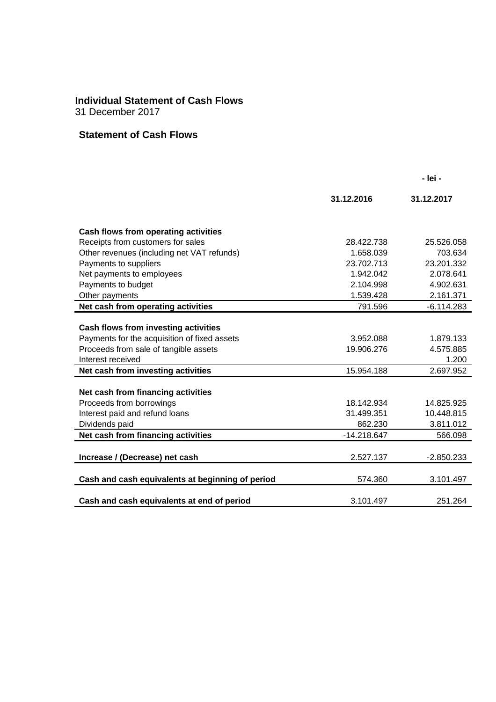#### **Individual Statement of Cash Flows**

31 December 2017

#### **Statement of Cash Flows**

|                                                  |               | - lei -      |
|--------------------------------------------------|---------------|--------------|
|                                                  | 31.12.2016    | 31.12.2017   |
| Cash flows from operating activities             |               |              |
| Receipts from customers for sales                | 28.422.738    | 25.526.058   |
| Other revenues (including net VAT refunds)       | 1.658.039     | 703.634      |
| Payments to suppliers                            | 23.702.713    | 23.201.332   |
| Net payments to employees                        | 1.942.042     | 2.078.641    |
| Payments to budget                               | 2.104.998     | 4.902.631    |
| Other payments                                   | 1.539.428     | 2.161.371    |
| Net cash from operating activities               | 791.596       | $-6.114.283$ |
|                                                  |               |              |
| Cash flows from investing activities             |               |              |
| Payments for the acquisition of fixed assets     | 3.952.088     | 1.879.133    |
| Proceeds from sale of tangible assets            | 19.906.276    | 4.575.885    |
| Interest received                                |               | 1.200        |
| Net cash from investing activities               | 15.954.188    | 2.697.952    |
|                                                  |               |              |
| Net cash from financing activities               |               |              |
| Proceeds from borrowings                         | 18.142.934    | 14.825.925   |
| Interest paid and refund loans                   | 31.499.351    | 10.448.815   |
| Dividends paid                                   | 862.230       | 3.811.012    |
| Net cash from financing activities               | $-14.218.647$ | 566.098      |
|                                                  |               |              |
| Increase / (Decrease) net cash                   | 2.527.137     | $-2.850.233$ |
|                                                  |               |              |
| Cash and cash equivalents at beginning of period | 574.360       | 3.101.497    |
| Cash and cash equivalents at end of period       | 3.101.497     | 251.264      |
|                                                  |               |              |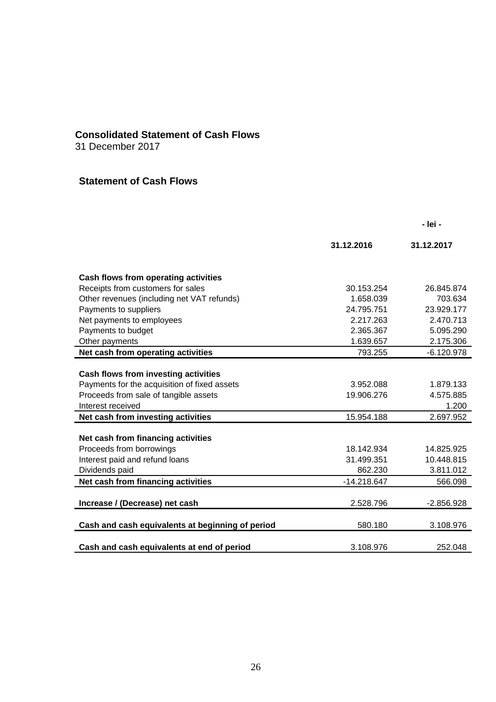#### **Consolidated Statement of Cash Flows**

31 December 2017

#### **Statement of Cash Flows**

|                                                  |               | - lei -      |
|--------------------------------------------------|---------------|--------------|
|                                                  | 31.12.2016    | 31.12.2017   |
| Cash flows from operating activities             |               |              |
| Receipts from customers for sales                | 30.153.254    | 26.845.874   |
| Other revenues (including net VAT refunds)       | 1.658.039     | 703.634      |
| Payments to suppliers                            | 24.795.751    | 23.929.177   |
| Net payments to employees                        | 2.217.263     | 2.470.713    |
| Payments to budget                               | 2.365.367     | 5.095.290    |
| Other payments                                   | 1.639.657     | 2.175.306    |
| Net cash from operating activities               | 793.255       | $-6.120.978$ |
|                                                  |               |              |
| Cash flows from investing activities             |               |              |
| Payments for the acquisition of fixed assets     | 3.952.088     | 1.879.133    |
| Proceeds from sale of tangible assets            | 19.906.276    | 4.575.885    |
| Interest received                                |               | 1.200        |
| Net cash from investing activities               | 15.954.188    | 2.697.952    |
| Net cash from financing activities               |               |              |
| Proceeds from borrowings                         | 18.142.934    | 14.825.925   |
| Interest paid and refund loans                   | 31.499.351    | 10.448.815   |
| Dividends paid                                   | 862.230       | 3.811.012    |
| Net cash from financing activities               | $-14.218.647$ | 566.098      |
|                                                  |               |              |
| Increase / (Decrease) net cash                   | 2.528.796     | $-2.856.928$ |
| Cash and cash equivalents at beginning of period | 580.180       | 3.108.976    |
| Cash and cash equivalents at end of period       | 3.108.976     | 252.048      |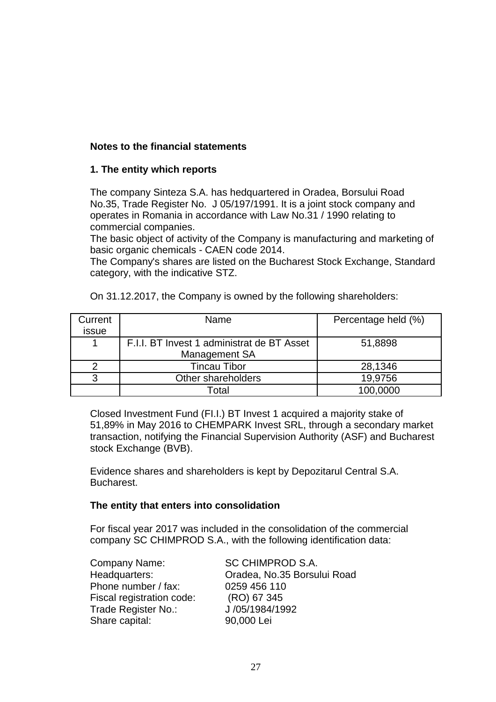#### **Notes to the financial statements**

#### **1. The entity which reports**

The company Sinteza S.A. has hedquartered in Oradea, Borsului Road No.35, Trade Register No. J 05/197/1991. It is a joint stock company and operates in Romania in accordance with Law No.31 / 1990 relating to commercial companies.

The basic object of activity of the Company is manufacturing and marketing of basic organic chemicals - CAEN code 2014.

The Company's shares are listed on the Bucharest Stock Exchange, Standard category, with the indicative STZ.

| Current | Name                                       | Percentage held (%) |
|---------|--------------------------------------------|---------------------|
| issue   |                                            |                     |
| 1       | F.I.I. BT Invest 1 administrat de BT Asset | 51,8898             |
|         | Management SA                              |                     |
| ⌒       | <b>Tincau Tibor</b>                        | 28,1346             |
| 3       | Other shareholders                         | 19,9756             |
|         | Total                                      | 100,0000            |

On 31.12.2017, the Company is owned by the following shareholders:

Closed Investment Fund (FI.I.) BT Invest 1 acquired a majority stake of 51,89% in May 2016 to CHEMPARK Invest SRL, through a secondary market transaction, notifying the Financial Supervision Authority (ASF) and Bucharest stock Exchange (BVB).

Evidence shares and shareholders is kept by Depozitarul Central S.A. Bucharest.

#### **The entity that enters into consolidation**

For fiscal year 2017 was included in the consolidation of the commercial company SC CHIMPROD S.A., with the following identification data:

| Oradea, No.35 Borsului Road |
|-----------------------------|
|                             |
|                             |
|                             |
|                             |
|                             |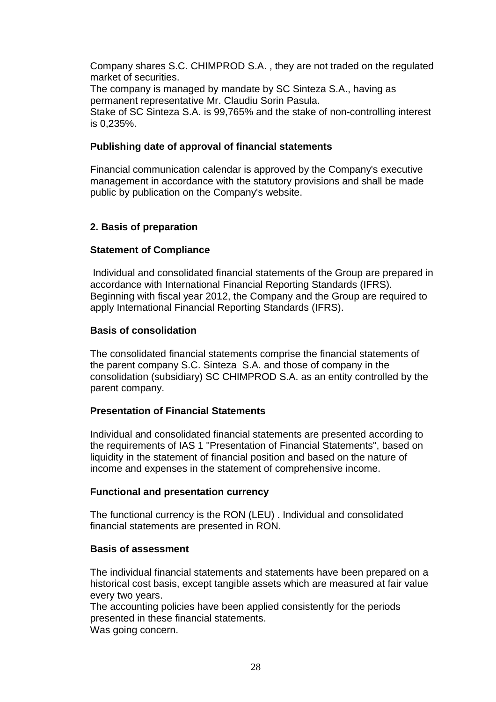Company shares S.C. CHIMPROD S.A. , they are not traded on the regulated market of securities.

The company is managed by mandate by SC Sinteza S.A., having as permanent representative Mr. Claudiu Sorin Pasula.

Stake of SC Sinteza S.A. is 99,765% and the stake of non-controlling interest is 0,235%.

#### **Publishing date of approval of financial statements**

Financial communication calendar is approved by the Company's executive management in accordance with the statutory provisions and shall be made public by publication on the Company's website.

#### **2. Basis of preparation**

#### **Statement of Compliance**

 Individual and consolidated financial statements of the Group are prepared in accordance with International Financial Reporting Standards (IFRS). Beginning with fiscal year 2012, the Company and the Group are required to apply International Financial Reporting Standards (IFRS).

#### **Basis of consolidation**

The consolidated financial statements comprise the financial statements of the parent company S.C. Sinteza S.A. and those of company in the consolidation (subsidiary) SC CHIMPROD S.A. as an entity controlled by the parent company.

#### **Presentation of Financial Statements**

Individual and consolidated financial statements are presented according to the requirements of IAS 1 "Presentation of Financial Statements", based on liquidity in the statement of financial position and based on the nature of income and expenses in the statement of comprehensive income.

#### **Functional and presentation currency**

The functional currency is the RON (LEU) . Individual and consolidated financial statements are presented in RON.

#### **Basis of assessment**

The individual financial statements and statements have been prepared on a historical cost basis, except tangible assets which are measured at fair value every two years.

The accounting policies have been applied consistently for the periods presented in these financial statements. Was going concern.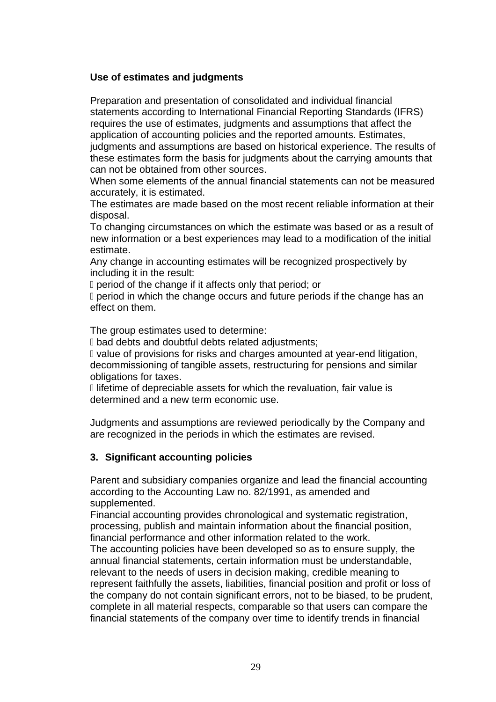#### **Use of estimates and judgments**

Preparation and presentation of consolidated and individual financial statements according to International Financial Reporting Standards (IFRS) requires the use of estimates, judgments and assumptions that affect the application of accounting policies and the reported amounts. Estimates, judgments and assumptions are based on historical experience. The results of these estimates form the basis for judgments about the carrying amounts that can not be obtained from other sources.

When some elements of the annual financial statements can not be measured accurately, it is estimated.

The estimates are made based on the most recent reliable information at their disposal.

To changing circumstances on which the estimate was based or as a result of new information or a best experiences may lead to a modification of the initial estimate.

Any change in accounting estimates will be recognized prospectively by including it in the result:

period of the change if it affects only that period; or

I period in which the change occurs and future periods if the change has an effect on them.

The group estimates used to determine:

**D** bad debts and doubtful debts related adjustments;

 value of provisions for risks and charges amounted at year-end litigation, decommissioning of tangible assets, restructuring for pensions and similar obligations for taxes.

 lifetime of depreciable assets for which the revaluation, fair value is determined and a new term economic use.

Judgments and assumptions are reviewed periodically by the Company and are recognized in the periods in which the estimates are revised.

#### **3. Significant accounting policies**

Parent and subsidiary companies organize and lead the financial accounting according to the Accounting Law no. 82/1991, as amended and supplemented.

Financial accounting provides chronological and systematic registration, processing, publish and maintain information about the financial position, financial performance and other information related to the work. The accounting policies have been developed so as to ensure supply, the

annual financial statements, certain information must be understandable, relevant to the needs of users in decision making, credible meaning to represent faithfully the assets, liabilities, financial position and profit or loss of the company do not contain significant errors, not to be biased, to be prudent, complete in all material respects, comparable so that users can compare the financial statements of the company over time to identify trends in financial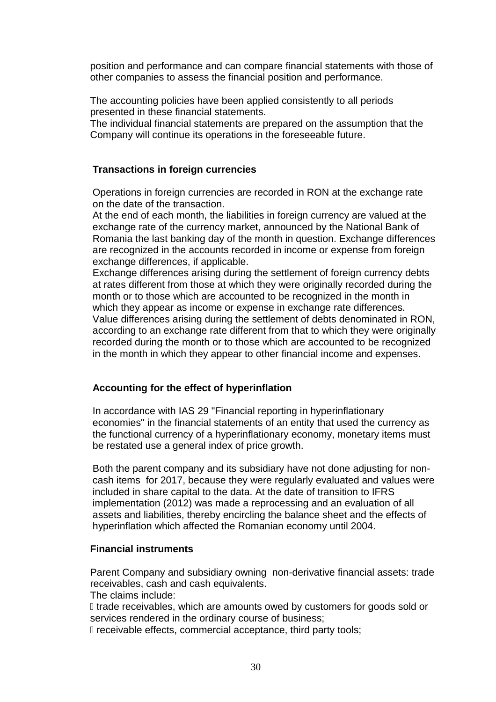position and performance and can compare financial statements with those of other companies to assess the financial position and performance.

The accounting policies have been applied consistently to all periods presented in these financial statements.

The individual financial statements are prepared on the assumption that the Company will continue its operations in the foreseeable future.

#### **Transactions in foreign currencies**

Operations in foreign currencies are recorded in RON at the exchange rate on the date of the transaction.

At the end of each month, the liabilities in foreign currency are valued at the exchange rate of the currency market, announced by the National Bank of Romania the last banking day of the month in question. Exchange differences are recognized in the accounts recorded in income or expense from foreign exchange differences, if applicable.

Exchange differences arising during the settlement of foreign currency debts at rates different from those at which they were originally recorded during the month or to those which are accounted to be recognized in the month in which they appear as income or expense in exchange rate differences. Value differences arising during the settlement of debts denominated in RON, according to an exchange rate different from that to which they were originally recorded during the month or to those which are accounted to be recognized in the month in which they appear to other financial income and expenses.

#### **Accounting for the effect of hyperinflation**

In accordance with IAS 29 "Financial reporting in hyperinflationary economies" in the financial statements of an entity that used the currency as the functional currency of a hyperinflationary economy, monetary items must be restated use a general index of price growth.

Both the parent company and its subsidiary have not done adjusting for noncash items for 2017, because they were regularly evaluated and values were included in share capital to the data. At the date of transition to IFRS implementation (2012) was made a reprocessing and an evaluation of all assets and liabilities, thereby encircling the balance sheet and the effects of hyperinflation which affected the Romanian economy until 2004.

#### **Financial instruments**

Parent Company and subsidiary owning non-derivative financial assets: trade receivables, cash and cash equivalents.

The claims include:

I trade receivables, which are amounts owed by customers for goods sold or services rendered in the ordinary course of business;

receivable effects, commercial acceptance, third party tools;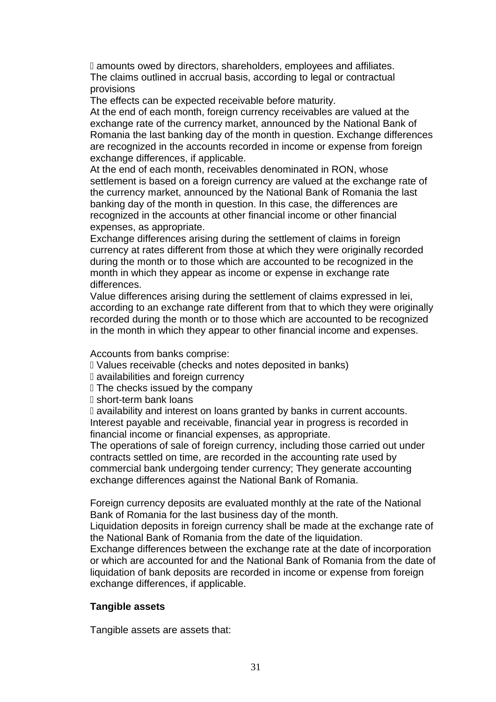amounts owed by directors, shareholders, employees and affiliates. The claims outlined in accrual basis, according to legal or contractual provisions

The effects can be expected receivable before maturity.

At the end of each month, foreign currency receivables are valued at the exchange rate of the currency market, announced by the National Bank of Romania the last banking day of the month in question. Exchange differences are recognized in the accounts recorded in income or expense from foreign exchange differences, if applicable.

At the end of each month, receivables denominated in RON, whose settlement is based on a foreign currency are valued at the exchange rate of the currency market, announced by the National Bank of Romania the last banking day of the month in question. In this case, the differences are recognized in the accounts at other financial income or other financial expenses, as appropriate.

Exchange differences arising during the settlement of claims in foreign currency at rates different from those at which they were originally recorded during the month or to those which are accounted to be recognized in the month in which they appear as income or expense in exchange rate differences.

Value differences arising during the settlement of claims expressed in lei, according to an exchange rate different from that to which they were originally recorded during the month or to those which are accounted to be recognized in the month in which they appear to other financial income and expenses.

Accounts from banks comprise:

Values receivable (checks and notes deposited in banks)

availabilities and foreign currency

**The checks issued by the company** 

short-term bank loans

 availability and interest on loans granted by banks in current accounts. Interest payable and receivable, financial year in progress is recorded in financial income or financial expenses, as appropriate.

The operations of sale of foreign currency, including those carried out under contracts settled on time, are recorded in the accounting rate used by commercial bank undergoing tender currency; They generate accounting exchange differences against the National Bank of Romania.

Foreign currency deposits are evaluated monthly at the rate of the National Bank of Romania for the last business day of the month.

Liquidation deposits in foreign currency shall be made at the exchange rate of the National Bank of Romania from the date of the liquidation.

Exchange differences between the exchange rate at the date of incorporation or which are accounted for and the National Bank of Romania from the date of liquidation of bank deposits are recorded in income or expense from foreign exchange differences, if applicable.

#### **Tangible assets**

Tangible assets are assets that: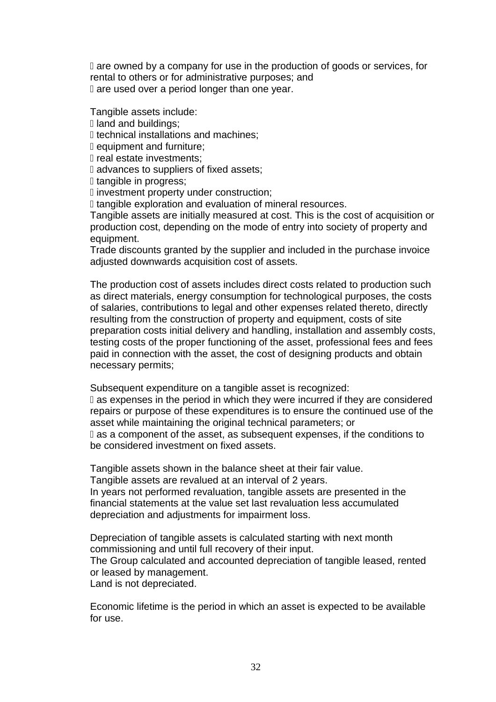I are owned by a company for use in the production of goods or services, for rental to others or for administrative purposes; and I are used over a period longer than one year.

Tangible assets include:

land and buildings;

I technical installations and machines:

equipment and furniture;

**I** real estate investments;

I advances to suppliers of fixed assets;

I tangible in progress;

investment property under construction;

I tangible exploration and evaluation of mineral resources.

Tangible assets are initially measured at cost. This is the cost of acquisition or production cost, depending on the mode of entry into society of property and equipment.

Trade discounts granted by the supplier and included in the purchase invoice adjusted downwards acquisition cost of assets.

The production cost of assets includes direct costs related to production such as direct materials, energy consumption for technological purposes, the costs of salaries, contributions to legal and other expenses related thereto, directly resulting from the construction of property and equipment, costs of site preparation costs initial delivery and handling, installation and assembly costs, testing costs of the proper functioning of the asset, professional fees and fees paid in connection with the asset, the cost of designing products and obtain necessary permits;

Subsequent expenditure on a tangible asset is recognized: as expenses in the period in which they were incurred if they are considered repairs or purpose of these expenditures is to ensure the continued use of the asset while maintaining the original technical parameters; or as a component of the asset, as subsequent expenses, if the conditions to be considered investment on fixed assets.

Tangible assets shown in the balance sheet at their fair value. Tangible assets are revalued at an interval of 2 years. In years not performed revaluation, tangible assets are presented in the financial statements at the value set last revaluation less accumulated depreciation and adjustments for impairment loss.

Depreciation of tangible assets is calculated starting with next month commissioning and until full recovery of their input. The Group calculated and accounted depreciation of tangible leased, rented or leased by management. Land is not depreciated.

Economic lifetime is the period in which an asset is expected to be available for use.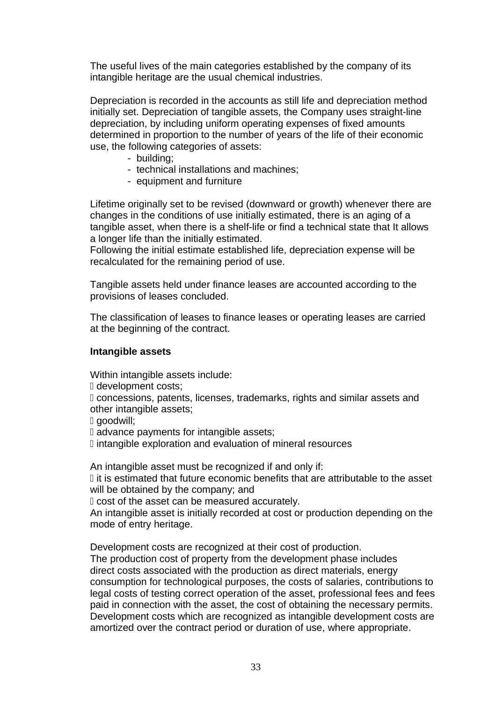The useful lives of the main categories established by the company of its intangible heritage are the usual chemical industries.

Depreciation is recorded in the accounts as still life and depreciation method initially set. Depreciation of tangible assets, the Company uses straight-line depreciation, by including uniform operating expenses of fixed amounts determined in proportion to the number of years of the life of their economic use, the following categories of assets:

- building;
- technical installations and machines;
- equipment and furniture

Lifetime originally set to be revised (downward or growth) whenever there are changes in the conditions of use initially estimated, there is an aging of a tangible asset, when there is a shelf-life or find a technical state that It allows a longer life than the initially estimated.

Following the initial estimate established life, depreciation expense will be recalculated for the remaining period of use.

Tangible assets held under finance leases are accounted according to the provisions of leases concluded.

The classification of leases to finance leases or operating leases are carried at the beginning of the contract.

#### **Intangible assets**

Within intangible assets include:

development costs;

 concessions, patents, licenses, trademarks, rights and similar assets and other intangible assets;

goodwill;

advance payments for intangible assets;

intangible exploration and evaluation of mineral resources

An intangible asset must be recognized if and only if:

I it is estimated that future economic benefits that are attributable to the asset will be obtained by the company; and

cost of the asset can be measured accurately.

An intangible asset is initially recorded at cost or production depending on the mode of entry heritage.

Development costs are recognized at their cost of production.

The production cost of property from the development phase includes direct costs associated with the production as direct materials, energy consumption for technological purposes, the costs of salaries, contributions to legal costs of testing correct operation of the asset, professional fees and fees paid in connection with the asset, the cost of obtaining the necessary permits. Development costs which are recognized as intangible development costs are amortized over the contract period or duration of use, where appropriate.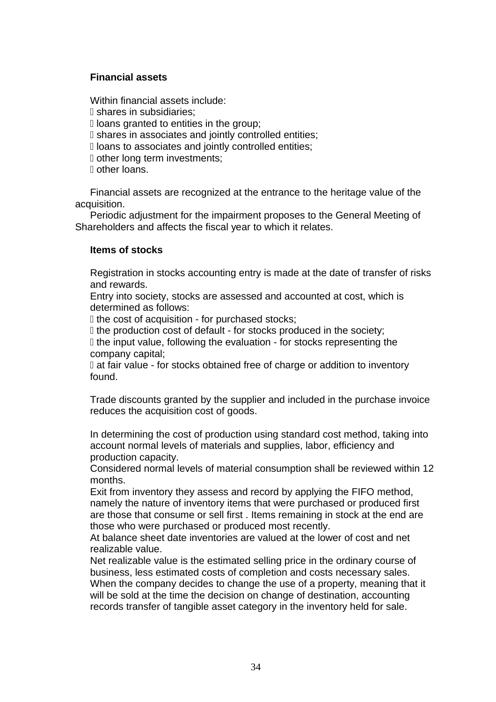#### **Financial assets**

Within financial assets include: shares in subsidiaries; loans granted to entities in the group; shares in associates and jointly controlled entities; I loans to associates and jointly controlled entities; Dother long term investments;

other loans.

Financial assets are recognized at the entrance to the heritage value of the acquisition.

Periodic adjustment for the impairment proposes to the General Meeting of Shareholders and affects the fiscal year to which it relates.

#### **Items of stocks**

Registration in stocks accounting entry is made at the date of transfer of risks and rewards.

Entry into society, stocks are assessed and accounted at cost, which is determined as follows:

I the cost of acquisition - for purchased stocks;

I the production cost of default - for stocks produced in the society;

If the input value, following the evaluation - for stocks representing the company capital;

 at fair value - for stocks obtained free of charge or addition to inventory found.

Trade discounts granted by the supplier and included in the purchase invoice reduces the acquisition cost of goods.

In determining the cost of production using standard cost method, taking into account normal levels of materials and supplies, labor, efficiency and production capacity.

Considered normal levels of material consumption shall be reviewed within 12 months.

Exit from inventory they assess and record by applying the FIFO method, namely the nature of inventory items that were purchased or produced first are those that consume or sell first . Items remaining in stock at the end are those who were purchased or produced most recently.

At balance sheet date inventories are valued at the lower of cost and net realizable value.

Net realizable value is the estimated selling price in the ordinary course of business, less estimated costs of completion and costs necessary sales. When the company decides to change the use of a property, meaning that it will be sold at the time the decision on change of destination, accounting records transfer of tangible asset category in the inventory held for sale.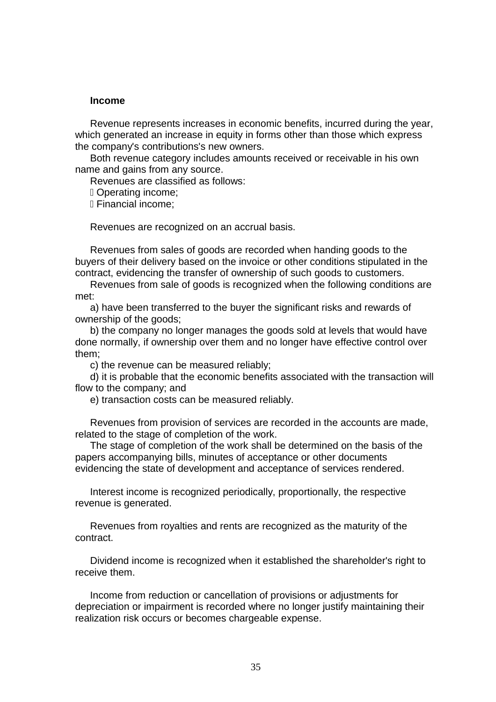#### **Income**

Revenue represents increases in economic benefits, incurred during the year, which generated an increase in equity in forms other than those which express the company's contributions's new owners.

Both revenue category includes amounts received or receivable in his own name and gains from any source.

Revenues are classified as follows:

Operating income;

Financial income;

Revenues are recognized on an accrual basis.

Revenues from sales of goods are recorded when handing goods to the buyers of their delivery based on the invoice or other conditions stipulated in the contract, evidencing the transfer of ownership of such goods to customers.

Revenues from sale of goods is recognized when the following conditions are met:

a) have been transferred to the buyer the significant risks and rewards of ownership of the goods;

b) the company no longer manages the goods sold at levels that would have done normally, if ownership over them and no longer have effective control over them;

c) the revenue can be measured reliably;

d) it is probable that the economic benefits associated with the transaction will flow to the company; and

e) transaction costs can be measured reliably.

Revenues from provision of services are recorded in the accounts are made, related to the stage of completion of the work.

The stage of completion of the work shall be determined on the basis of the papers accompanying bills, minutes of acceptance or other documents evidencing the state of development and acceptance of services rendered.

Interest income is recognized periodically, proportionally, the respective revenue is generated.

Revenues from royalties and rents are recognized as the maturity of the contract.

Dividend income is recognized when it established the shareholder's right to receive them.

Income from reduction or cancellation of provisions or adjustments for depreciation or impairment is recorded where no longer justify maintaining their realization risk occurs or becomes chargeable expense.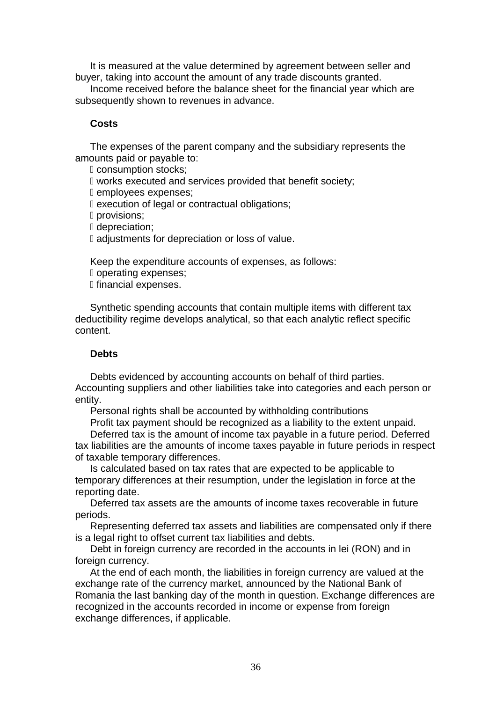It is measured at the value determined by agreement between seller and buyer, taking into account the amount of any trade discounts granted.

Income received before the balance sheet for the financial year which are subsequently shown to revenues in advance.

#### **Costs**

The expenses of the parent company and the subsidiary represents the amounts paid or payable to:

consumption stocks;

works executed and services provided that benefit society;

employees expenses;

execution of legal or contractual obligations;

D provisions:

depreciation;

**D** adjustments for depreciation or loss of value.

Keep the expenditure accounts of expenses, as follows:

operating expenses;

financial expenses.

Synthetic spending accounts that contain multiple items with different tax deductibility regime develops analytical, so that each analytic reflect specific content.

#### **Debts**

Debts evidenced by accounting accounts on behalf of third parties. Accounting suppliers and other liabilities take into categories and each person or entity.

Personal rights shall be accounted by withholding contributions

Profit tax payment should be recognized as a liability to the extent unpaid.

Deferred tax is the amount of income tax payable in a future period. Deferred tax liabilities are the amounts of income taxes payable in future periods in respect of taxable temporary differences.

Is calculated based on tax rates that are expected to be applicable to temporary differences at their resumption, under the legislation in force at the reporting date.

Deferred tax assets are the amounts of income taxes recoverable in future periods.

Representing deferred tax assets and liabilities are compensated only if there is a legal right to offset current tax liabilities and debts.

Debt in foreign currency are recorded in the accounts in lei (RON) and in foreign currency.

At the end of each month, the liabilities in foreign currency are valued at the exchange rate of the currency market, announced by the National Bank of Romania the last banking day of the month in question. Exchange differences are recognized in the accounts recorded in income or expense from foreign exchange differences, if applicable.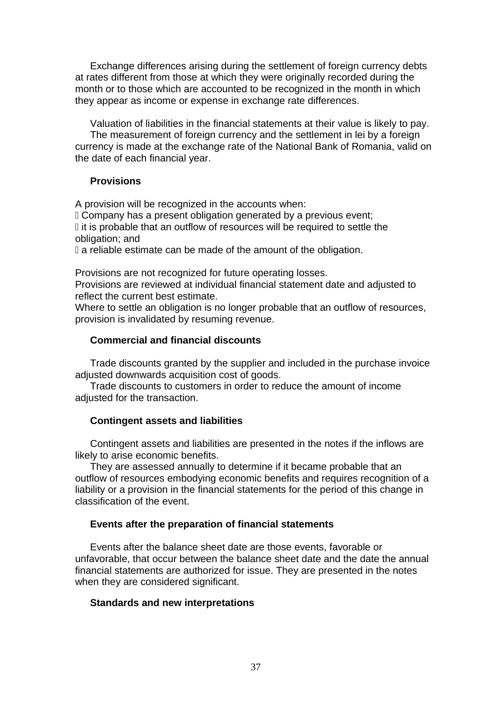Exchange differences arising during the settlement of foreign currency debts at rates different from those at which they were originally recorded during the month or to those which are accounted to be recognized in the month in which they appear as income or expense in exchange rate differences.

Valuation of liabilities in the financial statements at their value is likely to pay. The measurement of foreign currency and the settlement in lei by a foreign currency is made at the exchange rate of the National Bank of Romania, valid on the date of each financial year.

#### **Provisions**

A provision will be recognized in the accounts when: Company has a present obligation generated by a previous event; If it is probable that an outflow of resources will be required to settle the obligation; and

 $\Box$  a reliable estimate can be made of the amount of the obligation.

Provisions are not recognized for future operating losses.

Provisions are reviewed at individual financial statement date and adjusted to reflect the current best estimate.

Where to settle an obligation is no longer probable that an outflow of resources, provision is invalidated by resuming revenue.

#### **Commercial and financial discounts**

Trade discounts granted by the supplier and included in the purchase invoice adjusted downwards acquisition cost of goods.

Trade discounts to customers in order to reduce the amount of income adjusted for the transaction.

#### **Contingent assets and liabilities**

Contingent assets and liabilities are presented in the notes if the inflows are likely to arise economic benefits.

They are assessed annually to determine if it became probable that an outflow of resources embodying economic benefits and requires recognition of a liability or a provision in the financial statements for the period of this change in classification of the event.

#### **Events after the preparation of financial statements**

Events after the balance sheet date are those events, favorable or unfavorable, that occur between the balance sheet date and the date the annual financial statements are authorized for issue. They are presented in the notes when they are considered significant.

#### **Standards and new interpretations**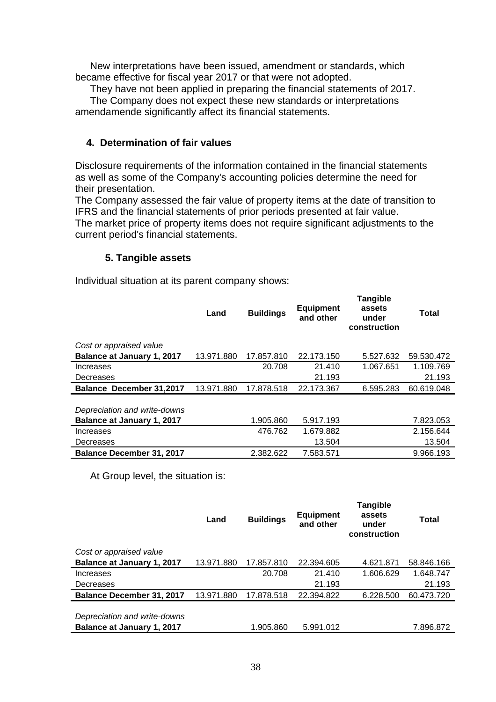New interpretations have been issued, amendment or standards, which became effective for fiscal year 2017 or that were not adopted.

They have not been applied in preparing the financial statements of 2017.

The Company does not expect these new standards or interpretations amendamende significantly affect its financial statements.

#### **4. Determination of fair values**

Disclosure requirements of the information contained in the financial statements as well as some of the Company's accounting policies determine the need for their presentation.

The Company assessed the fair value of property items at the date of transition to IFRS and the financial statements of prior periods presented at fair value. The market price of property items does not require significant adjustments to the current period's financial statements.

#### **5. Tangible assets**

Individual situation at its parent company shows:

|                                  | Land       | <b>Buildings</b> | <b>Equipment</b><br>and other | <b>Tangible</b><br>assets<br>under<br>construction | <b>Total</b> |
|----------------------------------|------------|------------------|-------------------------------|----------------------------------------------------|--------------|
| Cost or appraised value          |            |                  |                               |                                                    |              |
| Balance at January 1, 2017       | 13.971.880 | 17.857.810       | 22.173.150                    | 5.527.632                                          | 59.530.472   |
| <b>Increases</b>                 |            | 20.708           | 21.410                        | 1.067.651                                          | 1.109.769    |
| Decreases                        |            |                  | 21.193                        |                                                    | 21.193       |
| <b>Balance December 31,2017</b>  | 13.971.880 | 17.878.518       | 22.173.367                    | 6.595.283                                          | 60.619.048   |
| Depreciation and write-downs     |            |                  |                               |                                                    |              |
| Balance at January 1, 2017       |            | 1.905.860        | 5.917.193                     |                                                    | 7.823.053    |
| Increases                        |            | 476.762          | 1.679.882                     |                                                    | 2.156.644    |
| Decreases                        |            |                  | 13.504                        |                                                    | 13.504       |
| <b>Balance December 31, 2017</b> |            | 2.382.622        | 7.583.571                     |                                                    | 9.966.193    |

At Group level, the situation is:

|                                                            | Land       | <b>Buildings</b> | <b>Equipment</b><br>and other | <b>Tangible</b><br>assets<br>under<br>construction | <b>Total</b> |
|------------------------------------------------------------|------------|------------------|-------------------------------|----------------------------------------------------|--------------|
| Cost or appraised value                                    |            |                  |                               |                                                    |              |
| Balance at January 1, 2017                                 | 13.971.880 | 17.857.810       | 22.394.605                    | 4.621.871                                          | 58.846.166   |
| Increases                                                  |            | 20.708           | 21.410                        | 1.606.629                                          | 1.648.747    |
| Decreases                                                  |            |                  | 21.193                        |                                                    | 21.193       |
| <b>Balance December 31, 2017</b>                           | 13.971.880 | 17.878.518       | 22.394.822                    | 6.228.500                                          | 60.473.720   |
| Depreciation and write-downs<br>Balance at January 1, 2017 |            | 1.905.860        | 5.991.012                     |                                                    | 7.896.872    |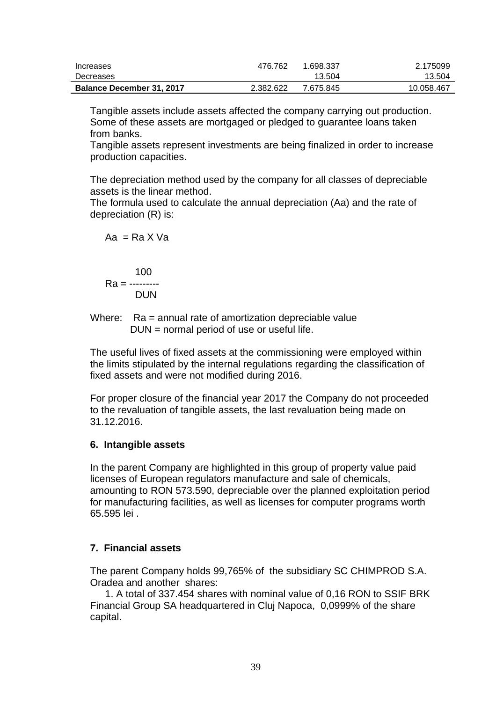| Increases                        | 476.762   | 1.698.337 | 2.175099   |
|----------------------------------|-----------|-----------|------------|
| Decreases                        |           | 13.504    | 13.504     |
| <b>Balance December 31, 2017</b> | 2.382.622 | 7.675.845 | 10.058.467 |

Tangible assets include assets affected the company carrying out production. Some of these assets are mortgaged or pledged to guarantee loans taken from banks.

Tangible assets represent investments are being finalized in order to increase production capacities.

The depreciation method used by the company for all classes of depreciable assets is the linear method.

The formula used to calculate the annual depreciation (Aa) and the rate of depreciation (R) is:

$$
Aa = Ra X Va
$$

100 Ra = --------- DUN

Where: Ra = annual rate of amortization depreciable value DUN = normal period of use or useful life.

The useful lives of fixed assets at the commissioning were employed within the limits stipulated by the internal regulations regarding the classification of fixed assets and were not modified during 2016.

For proper closure of the financial year 2017 the Company do not proceeded to the revaluation of tangible assets, the last revaluation being made on 31.12.2016.

#### **6. Intangible assets**

In the parent Company are highlighted in this group of property value paid licenses of European regulators manufacture and sale of chemicals, amounting to RON 573.590, depreciable over the planned exploitation period for manufacturing facilities, as well as licenses for computer programs worth 65.595 lei .

#### **7. Financial assets**

The parent Company holds 99,765% of the subsidiary SC CHIMPROD S.A. Oradea and another shares:

1. A total of 337.454 shares with nominal value of 0,16 RON to SSIF BRK Financial Group SA headquartered in Cluj Napoca, 0,0999% of the share capital.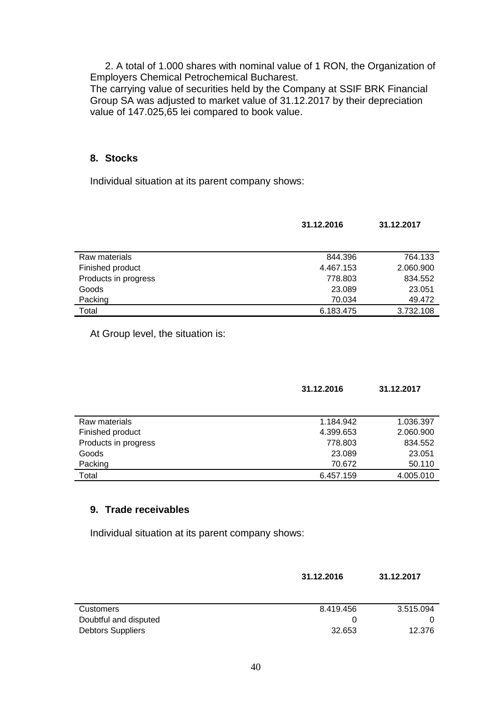2. A total of 1.000 shares with nominal value of 1 RON, the Organization of Employers Chemical Petrochemical Bucharest.

The carrying value of securities held by the Company at SSIF BRK Financial Group SA was adjusted to market value of 31.12.2017 by their depreciation value of 147.025,65 lei compared to book value.

#### **8. Stocks**

Individual situation at its parent company shows:

|                      | 31.12.2016 | 31.12.2017 |  |
|----------------------|------------|------------|--|
|                      |            |            |  |
| Raw materials        | 844.396    | 764.133    |  |
| Finished product     | 4.467.153  | 2.060.900  |  |
| Products in progress | 778.803    | 834.552    |  |
| Goods                | 23,089     | 23.051     |  |
| Packing              | 70.034     | 49.472     |  |
| Total                | 6.183.475  | 3.732.108  |  |

At Group level, the situation is:

|                      | 31.12.2016 | 31.12.2017 |
|----------------------|------------|------------|
|                      |            |            |
| Raw materials        | 1.184.942  | 1.036.397  |
| Finished product     | 4.399.653  | 2.060.900  |
| Products in progress | 778.803    | 834.552    |
| Goods                | 23,089     | 23.051     |
| Packing              | 70.672     | 50.110     |
| Total                | 6.457.159  | 4.005.010  |

#### **9. Trade receivables**

Individual situation at its parent company shows:

|                          | 31.12.2016 | 31.12.2017 |
|--------------------------|------------|------------|
|                          |            |            |
| <b>Customers</b>         | 8.419.456  | 3.515.094  |
| Doubtful and disputed    | $\Omega$   |            |
| <b>Debtors Suppliers</b> | 32.653     | 12.376     |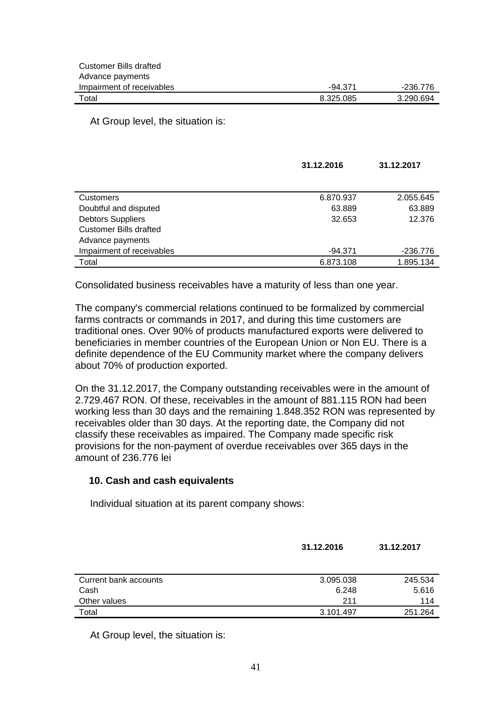At Group level, the situation is:

|                               | 31.12.2016 | 31.12.2017 |
|-------------------------------|------------|------------|
|                               |            |            |
| <b>Customers</b>              | 6.870.937  | 2.055.645  |
| Doubtful and disputed         | 63.889     | 63.889     |
| <b>Debtors Suppliers</b>      | 32.653     | 12.376     |
| <b>Customer Bills drafted</b> |            |            |
| Advance payments              |            |            |
| Impairment of receivables     | $-94.371$  | -236.776   |
| Total                         | 6.873.108  | 1.895.134  |

Consolidated business receivables have a maturity of less than one year.

The company's commercial relations continued to be formalized by commercial farms contracts or commands in 2017, and during this time customers are traditional ones. Over 90% of products manufactured exports were delivered to beneficiaries in member countries of the European Union or Non EU. There is a definite dependence of the EU Community market where the company delivers about 70% of production exported.

On the 31.12.2017, the Company outstanding receivables were in the amount of 2.729.467 RON. Of these, receivables in the amount of 881.115 RON had been working less than 30 days and the remaining 1.848.352 RON was represented by receivables older than 30 days. At the reporting date, the Company did not classify these receivables as impaired. The Company made specific risk provisions for the non-payment of overdue receivables over 365 days in the amount of 236.776 lei

#### **10. Cash and cash equivalents**

Individual situation at its parent company shows:

|                       | 31.12.2016 | 31.12.2017 |
|-----------------------|------------|------------|
|                       |            |            |
| Current bank accounts | 3.095.038  | 245.534    |
| Cash                  | 6.248      | 5.616      |
| Other values          | 211        | 114        |
| Total                 | 3.101.497  | 251.264    |

At Group level, the situation is: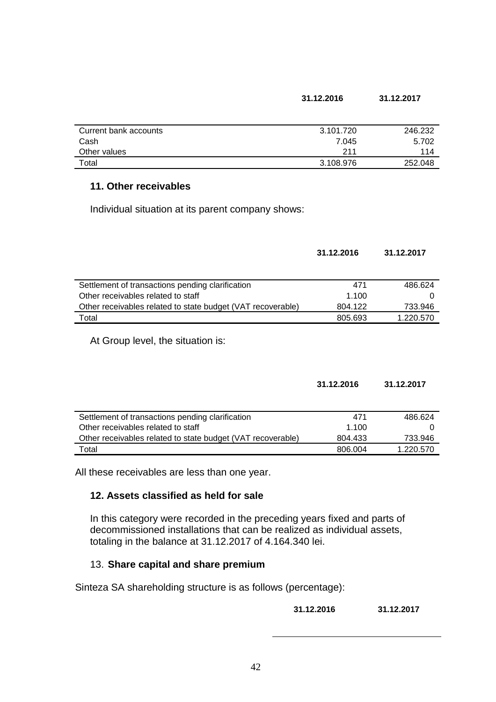| Current bank accounts | 3.101.720 | 246.232 |
|-----------------------|-----------|---------|
| Cash                  | 7.045     | 5.702   |
| Other values          | 211       | 114     |
| Total                 | 3.108.976 | 252.048 |

#### **11. Other receivables**

Individual situation at its parent company shows:

|                                                             | 31.12.2016 | 31.12.2017 |
|-------------------------------------------------------------|------------|------------|
|                                                             |            |            |
| Settlement of transactions pending clarification            | 471        | 486.624    |
| Other receivables related to staff                          | 1.100      | O          |
| Other receivables related to state budget (VAT recoverable) | 804.122    | 733.946    |
| Total                                                       | 805.693    | 1.220.570  |
| At Group level, the situation is:                           |            |            |
|                                                             | 31.12.2016 | 31.12.2017 |
|                                                             |            |            |
| Settlement of transactions pending clarification            | 471        | 486.624    |
| Other receivables related to staff                          | 1.100      | 0          |
| Other receivables related to state budget (VAT recoverable) | 804.433    | 733.946    |

Total 806.004 1.220.570

All these receivables are less than one year.

#### **12. Assets classified as held for sale**

In this category were recorded in the preceding years fixed and parts of decommissioned installations that can be realized as individual assets, totaling in the balance at 31.12.2017 of 4.164.340 lei.

#### 13. **Share capital and share premium**

Sinteza SA shareholding structure is as follows (percentage):

**31.12.2016 31.12.2017**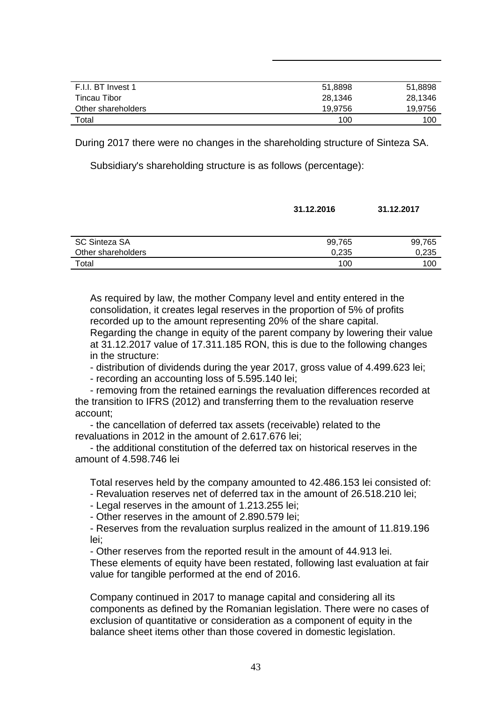| F.I.I. BT Invest 1 | 51,8898 | 51.8898 |
|--------------------|---------|---------|
| Tincau Tibor       | 28.1346 | 28.1346 |
| Other shareholders | 19.9756 | 19.9756 |
| Total              | 100     | 100     |

During 2017 there were no changes in the shareholding structure of Sinteza SA.

Subsidiary's shareholding structure is as follows (percentage):

|                      | 31.12.2016 | 31.12.2017 |  |
|----------------------|------------|------------|--|
| <b>SC Sinteza SA</b> | 99,765     | 99,765     |  |
| Other shareholders   | 0.235      | 0,235      |  |
| Total                | 100        | 100        |  |

As required by law, the mother Company level and entity entered in the consolidation, it creates legal reserves in the proportion of 5% of profits recorded up to the amount representing 20% of the share capital.

Regarding the change in equity of the parent company by lowering their value at 31.12.2017 value of 17.311.185 RON, this is due to the following changes in the structure:

- distribution of dividends during the year 2017, gross value of 4.499.623 lei;

- recording an accounting loss of 5.595.140 lei;

- removing from the retained earnings the revaluation differences recorded at the transition to IFRS (2012) and transferring them to the revaluation reserve account;

- the cancellation of deferred tax assets (receivable) related to the revaluations in 2012 in the amount of 2.617.676 lei;

- the additional constitution of the deferred tax on historical reserves in the amount of 4.598.746 lei

Total reserves held by the company amounted to 42.486.153 lei consisted of:

- Revaluation reserves net of deferred tax in the amount of 26.518.210 lei;

- Legal reserves in the amount of 1.213.255 lei;

- Other reserves in the amount of 2.890.579 lei;

- Reserves from the revaluation surplus realized in the amount of 11.819.196 lei;

- Other reserves from the reported result in the amount of 44.913 lei. These elements of equity have been restated, following last evaluation at fair value for tangible performed at the end of 2016.

Company continued in 2017 to manage capital and considering all its components as defined by the Romanian legislation. There were no cases of exclusion of quantitative or consideration as a component of equity in the balance sheet items other than those covered in domestic legislation.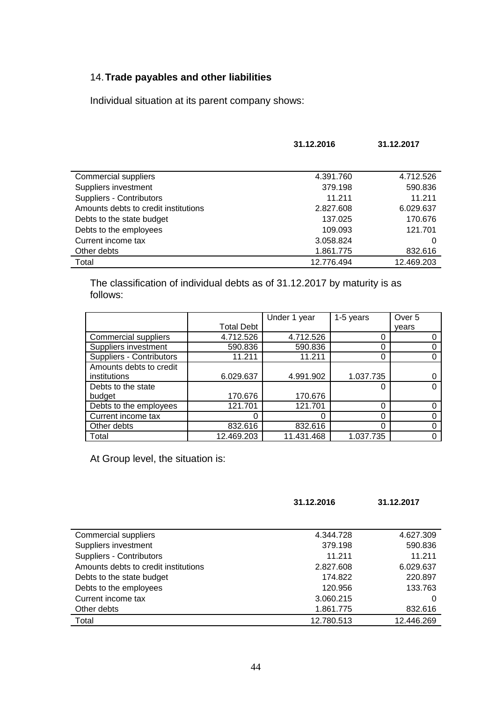#### 14.**Trade payables and other liabilities**

Individual situation at its parent company shows:

|                                      | 31.12.2016 | 31.12.2017 |
|--------------------------------------|------------|------------|
|                                      |            |            |
| Commercial suppliers                 | 4.391.760  | 4.712.526  |
| Suppliers investment                 | 379.198    | 590.836    |
| Suppliers - Contributors             | 11.211     | 11.211     |
| Amounts debts to credit institutions | 2.827.608  | 6.029.637  |
| Debts to the state budget            | 137.025    | 170.676    |
| Debts to the employees               | 109.093    | 121.701    |
| Current income tax                   | 3.058.824  | 0          |
| Other debts                          | 1.861.775  | 832.616    |
| Total                                | 12.776.494 | 12.469.203 |

The classification of individual debts as of 31.12.2017 by maturity is as follows:

|                          |                   | Under 1 year | 1-5 years | Over 5 |
|--------------------------|-------------------|--------------|-----------|--------|
|                          | <b>Total Debt</b> |              |           | vears  |
| Commercial suppliers     | 4.712.526         | 4.712.526    | Ω         |        |
| Suppliers investment     | 590.836           | 590.836      | Ω         |        |
| Suppliers - Contributors | 11.211            | 11.211       | Ω         |        |
| Amounts debts to credit  |                   |              |           |        |
| institutions             | 6.029.637         | 4.991.902    | 1.037.735 |        |
| Debts to the state       |                   |              |           |        |
| budget                   | 170.676           | 170.676      |           |        |
| Debts to the employees   | 121.701           | 121.701      | Ω         |        |
| Current income tax       |                   | 0            | Ω         |        |
| Other debts              | 832.616           | 832.616      | Ω         |        |
| Total                    | 12.469.203        | 11.431.468   | 1.037.735 |        |

At Group level, the situation is:

|                                      | 31.12.2016 | 31.12.2017 |
|--------------------------------------|------------|------------|
|                                      |            |            |
| Commercial suppliers                 | 4.344.728  | 4.627.309  |
| Suppliers investment                 | 379.198    | 590.836    |
| Suppliers - Contributors             | 11.211     | 11.211     |
| Amounts debts to credit institutions | 2.827.608  | 6.029.637  |
| Debts to the state budget            | 174.822    | 220.897    |
| Debts to the employees               | 120.956    | 133.763    |
| Current income tax                   | 3.060.215  | Ω          |
| Other debts                          | 1.861.775  | 832.616    |
| Total                                | 12.780.513 | 12.446.269 |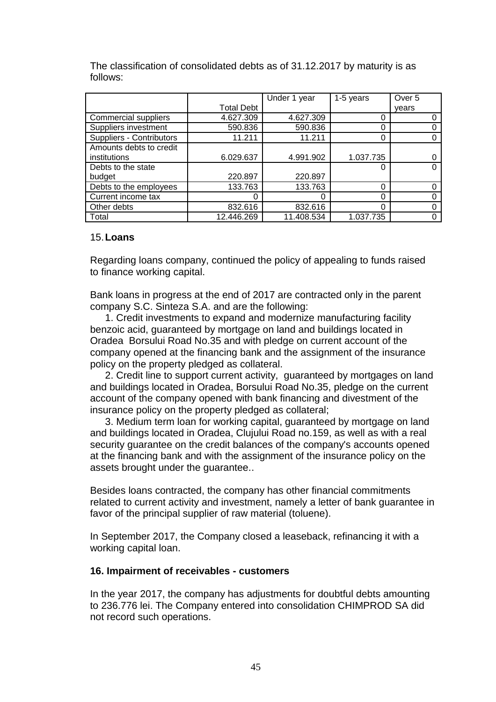|                          |                   | Under 1 year | 1-5 years | Over 5 |
|--------------------------|-------------------|--------------|-----------|--------|
|                          | <b>Total Debt</b> |              |           | years  |
| Commercial suppliers     | 4.627.309         | 4.627.309    | 0         |        |
| Suppliers investment     | 590.836           | 590.836      | 0         |        |
| Suppliers - Contributors | 11.211            | 11.211       | 0         |        |
| Amounts debts to credit  |                   |              |           |        |
| institutions             | 6.029.637         | 4.991.902    | 1.037.735 |        |
| Debts to the state       |                   |              | O         |        |
| budget                   | 220.897           | 220.897      |           |        |
| Debts to the employees   | 133.763           | 133.763      | 0         |        |
| Current income tax       | Ω                 |              | ი         |        |
| Other debts              | 832.616           | 832.616      | 0         |        |
| Total                    | 12.446.269        | 11.408.534   | 1.037.735 |        |

The classification of consolidated debts as of 31.12.2017 by maturity is as follows:

#### 15.**Loans**

Regarding loans company, continued the policy of appealing to funds raised to finance working capital.

Bank loans in progress at the end of 2017 are contracted only in the parent company S.C. Sinteza S.A. and are the following:

1. Credit investments to expand and modernize manufacturing facility benzoic acid, guaranteed by mortgage on land and buildings located in Oradea Borsului Road No.35 and with pledge on current account of the company opened at the financing bank and the assignment of the insurance policy on the property pledged as collateral.

2. Credit line to support current activity, guaranteed by mortgages on land and buildings located in Oradea, Borsului Road No.35, pledge on the current account of the company opened with bank financing and divestment of the insurance policy on the property pledged as collateral;

3. Medium term loan for working capital, guaranteed by mortgage on land and buildings located in Oradea, Clujului Road no.159, as well as with a real security guarantee on the credit balances of the company's accounts opened at the financing bank and with the assignment of the insurance policy on the assets brought under the guarantee..

Besides loans contracted, the company has other financial commitments related to current activity and investment, namely a letter of bank guarantee in favor of the principal supplier of raw material (toluene).

In September 2017, the Company closed a leaseback, refinancing it with a working capital loan.

#### **16. Impairment of receivables - customers**

In the year 2017, the company has adjustments for doubtful debts amounting to 236.776 lei. The Company entered into consolidation CHIMPROD SA did not record such operations.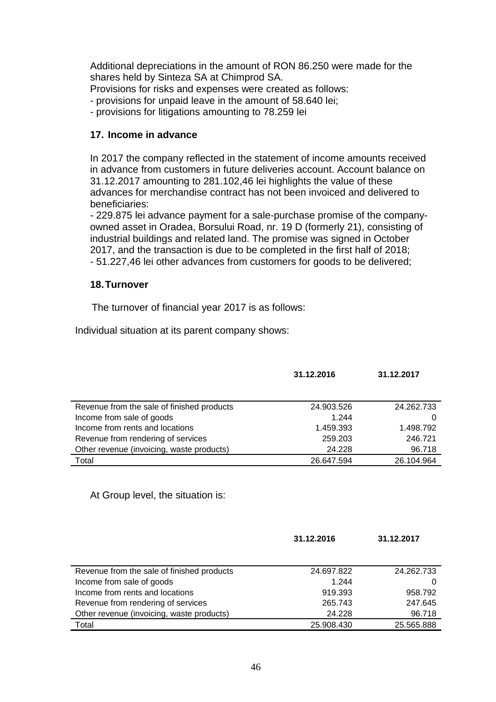Additional depreciations in the amount of RON 86.250 were made for the shares held by Sinteza SA at Chimprod SA.

Provisions for risks and expenses were created as follows:

- provisions for unpaid leave in the amount of 58.640 lei;

- provisions for litigations amounting to 78.259 lei

#### **17. Income in advance**

In 2017 the company reflected in the statement of income amounts received in advance from customers in future deliveries account. Account balance on 31.12.2017 amounting to 281.102,46 lei highlights the value of these advances for merchandise contract has not been invoiced and delivered to beneficiaries:

- 229.875 lei advance payment for a sale-purchase promise of the companyowned asset in Oradea, Borsului Road, nr. 19 D (formerly 21), consisting of industrial buildings and related land. The promise was signed in October 2017, and the transaction is due to be completed in the first half of 2018; - 51.227,46 lei other advances from customers for goods to be delivered;

#### **18.Turnover**

The turnover of financial year 2017 is as follows:

Individual situation at its parent company shows:

|                                            | 31.12.2016 | 31.12.2017 |
|--------------------------------------------|------------|------------|
| Revenue from the sale of finished products | 24.903.526 | 24.262.733 |
| Income from sale of goods                  | 1.244      |            |
| Income from rents and locations            | 1.459.393  | 1.498.792  |
| Revenue from rendering of services         | 259.203    | 246.721    |
| Other revenue (invoicing, waste products)  | 24.228     | 96.718     |
| Total                                      | 26.647.594 | 26.104.964 |
|                                            |            |            |

At Group level, the situation is:

|                                            | 31.12.2016 | 31.12.2017 |  |
|--------------------------------------------|------------|------------|--|
|                                            |            |            |  |
| Revenue from the sale of finished products | 24.697.822 | 24.262.733 |  |
| Income from sale of goods                  | 1.244      | O          |  |
| Income from rents and locations            | 919.393    | 958.792    |  |
| Revenue from rendering of services         | 265.743    | 247.645    |  |
| Other revenue (invoicing, waste products)  | 24.228     | 96.718     |  |
| Total                                      | 25.908.430 | 25.565.888 |  |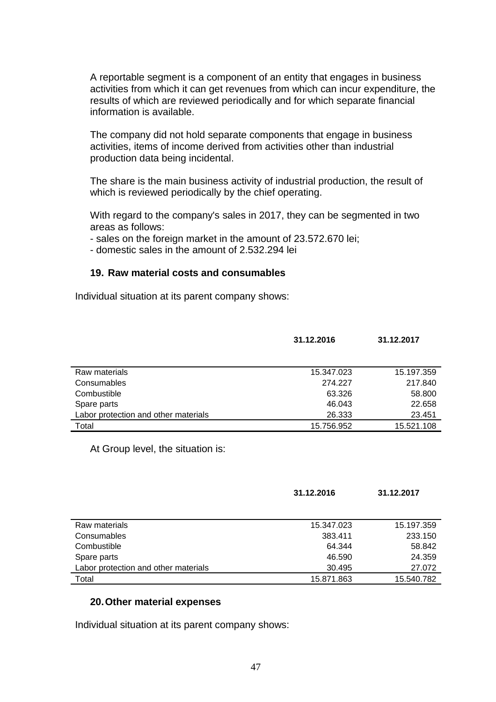A reportable segment is a component of an entity that engages in business activities from which it can get revenues from which can incur expenditure, the results of which are reviewed periodically and for which separate financial information is available.

The company did not hold separate components that engage in business activities, items of income derived from activities other than industrial production data being incidental.

The share is the main business activity of industrial production, the result of which is reviewed periodically by the chief operating.

With regard to the company's sales in 2017, they can be segmented in two areas as follows:

- sales on the foreign market in the amount of 23.572.670 lei;

- domestic sales in the amount of 2.532.294 lei

#### **19. Raw material costs and consumables**

Individual situation at its parent company shows:

| 31.12.2016 | 31.12.2017 |
|------------|------------|
|            |            |
| 15.347.023 | 15.197.359 |
| 274.227    | 217.840    |
| 63.326     | 58.800     |
| 46.043     | 22.658     |
| 26.333     | 23.451     |
| 15.756.952 | 15.521.108 |
|            |            |

At Group level, the situation is:

|                                      | 31.12.2016 | 31.12.2017 |
|--------------------------------------|------------|------------|
|                                      |            |            |
| Raw materials                        | 15.347.023 | 15.197.359 |
| Consumables                          | 383.411    | 233.150    |
| Combustible                          | 64.344     | 58.842     |
| Spare parts                          | 46.590     | 24.359     |
| Labor protection and other materials | 30.495     | 27.072     |
| Total                                | 15.871.863 | 15.540.782 |

#### **20.Other material expenses**

Individual situation at its parent company shows: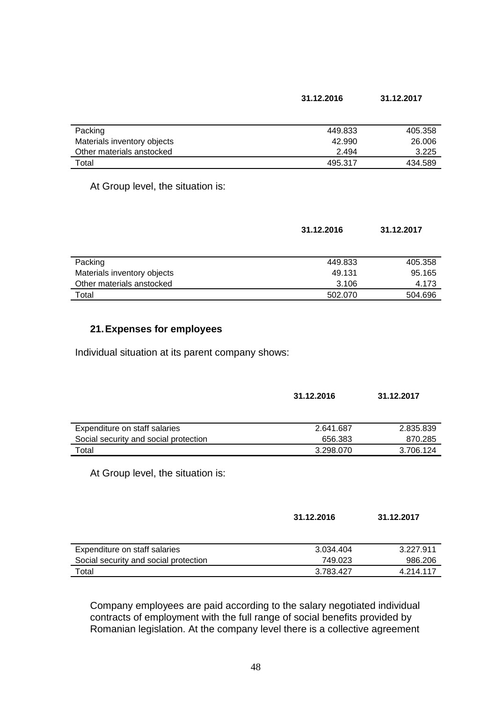| 31.12.2016 | 31.12.2017 |
|------------|------------|
|------------|------------|

**31.12.2016 31.12.2017**

| Packing                     | 449.833 | 405.358 |
|-----------------------------|---------|---------|
| Materials inventory objects | 42.990  | 26,006  |
| Other materials anstocked   | 2.494   | 3.225   |
| Total                       | 495.317 | 434.589 |

At Group level, the situation is:

|                             | 31.12.2016 | 31.12.2017 |  |
|-----------------------------|------------|------------|--|
|                             |            |            |  |
| Packing                     | 449.833    | 405.358    |  |
| Materials inventory objects | 49.131     | 95.165     |  |
| Other materials anstocked   | 3.106      | 4.173      |  |
| Total                       | 502.070    | 504.696    |  |

#### **21.Expenses for employees**

Individual situation at its parent company shows:

|                                       | 31.12.2016 | 31.12.2017 |  |
|---------------------------------------|------------|------------|--|
|                                       |            |            |  |
| Expenditure on staff salaries         | 2.641.687  | 2.835.839  |  |
| Social security and social protection | 656.383    | 870.285    |  |
| Total                                 | 3.298.070  | 3.706.124  |  |
| At Group level, the situation is:     |            |            |  |

| Expenditure on staff salaries         | 3.034.404 | 3 227 911 |
|---------------------------------------|-----------|-----------|
| Social security and social protection | 749.023   | 986.206   |
| Total                                 | 3.783.427 | 4 214 117 |

Company employees are paid according to the salary negotiated individual contracts of employment with the full range of social benefits provided by Romanian legislation. At the company level there is a collective agreement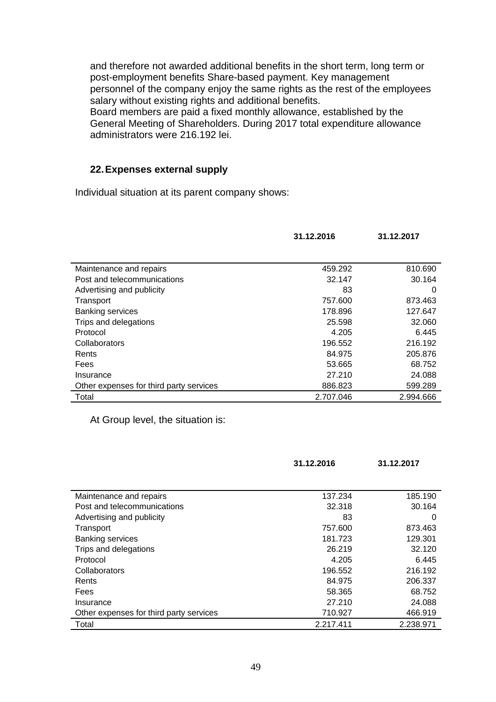and therefore not awarded additional benefits in the short term, long term or post-employment benefits Share-based payment. Key management personnel of the company enjoy the same rights as the rest of the employees salary without existing rights and additional benefits.

Board members are paid a fixed monthly allowance, established by the General Meeting of Shareholders. During 2017 total expenditure allowance administrators were 216.192 lei.

#### **22.Expenses external supply**

Individual situation at its parent company shows:

|                                         | 31.12.2016 | 31.12.2017 |  |
|-----------------------------------------|------------|------------|--|
|                                         |            |            |  |
| Maintenance and repairs                 | 459.292    | 810.690    |  |
| Post and telecommunications             | 32.147     | 30.164     |  |
| Advertising and publicity               | 83         | 0          |  |
| Transport                               | 757.600    | 873.463    |  |
| <b>Banking services</b>                 | 178.896    | 127.647    |  |
| Trips and delegations                   | 25.598     | 32.060     |  |
| Protocol                                | 4.205      | 6.445      |  |
| Collaborators                           | 196.552    | 216.192    |  |
| Rents                                   | 84.975     | 205.876    |  |
| Fees                                    | 53.665     | 68.752     |  |
| Insurance                               | 27.210     | 24.088     |  |
| Other expenses for third party services | 886.823    | 599.289    |  |
| Total                                   | 2.707.046  | 2.994.666  |  |

At Group level, the situation is:

|                                         | 31.12.2016 | 31.12.2017 |  |
|-----------------------------------------|------------|------------|--|
|                                         |            |            |  |
| Maintenance and repairs                 | 137.234    | 185.190    |  |
| Post and telecommunications             | 32.318     | 30.164     |  |
| Advertising and publicity               | 83         | 0          |  |
| Transport                               | 757.600    | 873.463    |  |
| <b>Banking services</b>                 | 181.723    | 129.301    |  |
| Trips and delegations                   | 26.219     | 32.120     |  |
| Protocol                                | 4.205      | 6.445      |  |
| Collaborators                           | 196.552    | 216.192    |  |
| Rents                                   | 84.975     | 206.337    |  |
| Fees                                    | 58.365     | 68.752     |  |
| Insurance                               | 27.210     | 24.088     |  |
| Other expenses for third party services | 710.927    | 466.919    |  |
| Total                                   | 2.217.411  | 2.238.971  |  |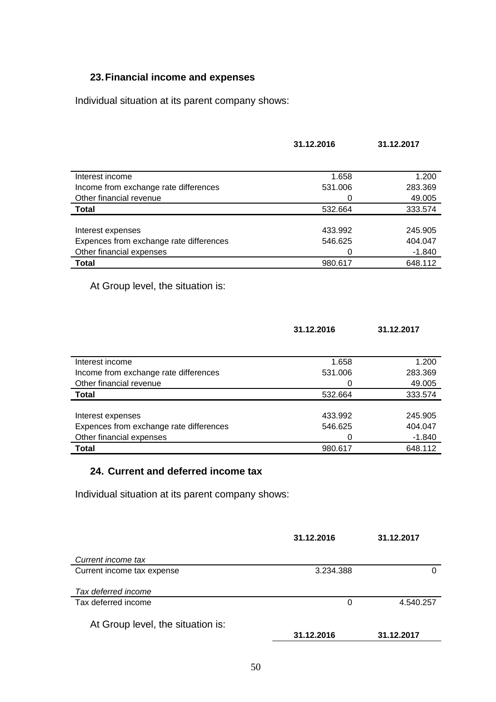### **23.Financial income and expenses**

Individual situation at its parent company shows:

|                                                   | 31.12.2016 | 31.12.2017 |
|---------------------------------------------------|------------|------------|
|                                                   |            |            |
| Interest income                                   | 1.658      | 1.200      |
| Income from exchange rate differences             | 531.006    | 283.369    |
| Other financial revenue                           | 0          | 49.005     |
| <b>Total</b>                                      | 532.664    | 333.574    |
| Interest expenses                                 | 433.992    | 245.905    |
| Expences from exchange rate differences           | 546.625    | 404.047    |
| Other financial expenses                          | 0          | $-1.840$   |
| <b>Total</b>                                      | 980.617    | 648.112    |
| At Group level, the situation is:                 |            |            |
|                                                   |            |            |
|                                                   | 31.12.2016 | 31.12.2017 |
| Interest income                                   | 1.658      | 1.200      |
| Income from exchange rate differences             | 531.006    | 283.369    |
| Other financial revenue                           | 0          | 49.005     |
| <b>Total</b>                                      | 532.664    | 333.574    |
|                                                   |            |            |
| Interest expenses                                 | 433.992    | 245.905    |
| Expences from exchange rate differences           | 546.625    | 404.047    |
| Other financial expenses                          | 0          | $-1.840$   |
| <b>Total</b>                                      | 980.617    | 648.112    |
| 24. Current and deferred income tax               |            |            |
| Individual situation at its parent company shows: |            |            |
|                                                   |            |            |
|                                                   | 31.12.2016 | 31.12.2017 |
| Current income tax                                |            |            |
| Current income tax expense                        | 3.234.388  | 0          |
| Tax deferred income                               |            |            |
| Tax deferred income                               | 0          | 4.540.257  |
| At Group level, the situation is:                 |            |            |
|                                                   | 31.12.2016 | 31.12.2017 |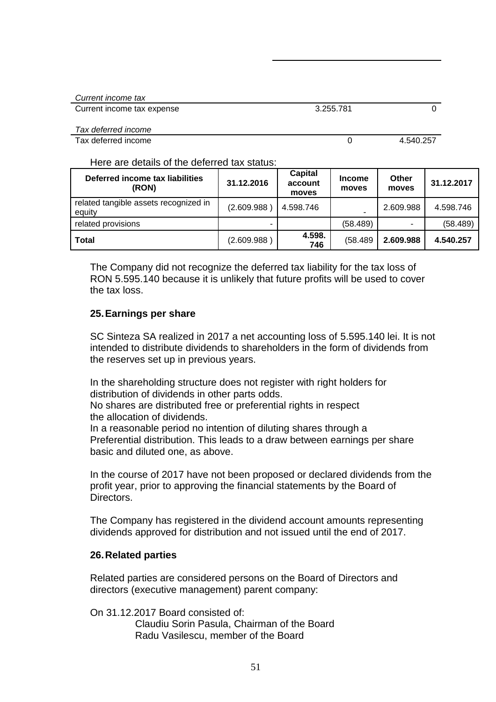| Current income tax         |           |           |
|----------------------------|-----------|-----------|
| Current income tax expense | 3.255.781 |           |
| Tax deferred income        |           |           |
| Tax deferred income        |           | 4.540.257 |

Here are details of the deferred tax status:

| Deferred income tax liabilities<br>(RON)        | 31.12.2016  | Capital<br>account<br>moves | <b>Income</b><br>moves | Other<br>moves           | 31.12.2017 |
|-------------------------------------------------|-------------|-----------------------------|------------------------|--------------------------|------------|
| related tangible assets recognized in<br>equity | (2.609.988) | 4.598.746                   |                        | 2.609.988                | 4.598.746  |
| related provisions                              |             |                             | (58.489)               | $\overline{\phantom{a}}$ | (58.489)   |
| <b>Total</b>                                    | (2.609.988) | 4.598.<br>746               | (58.489)               | 2.609.988                | 4.540.257  |

The Company did not recognize the deferred tax liability for the tax loss of RON 5.595.140 because it is unlikely that future profits will be used to cover the tax loss.

#### **25.Earnings per share**

SC Sinteza SA realized in 2017 a net accounting loss of 5.595.140 lei. It is not intended to distribute dividends to shareholders in the form of dividends from the reserves set up in previous years.

In the shareholding structure does not register with right holders for distribution of dividends in other parts odds.

No shares are distributed free or preferential rights in respect the allocation of dividends.

In a reasonable period no intention of diluting shares through a Preferential distribution. This leads to a draw between earnings per share basic and diluted one, as above.

In the course of 2017 have not been proposed or declared dividends from the profit year, prior to approving the financial statements by the Board of Directors.

The Company has registered in the dividend account amounts representing dividends approved for distribution and not issued until the end of 2017.

#### **26.Related parties**

Related parties are considered persons on the Board of Directors and directors (executive management) parent company:

On 31.12.2017 Board consisted of:

Claudiu Sorin Pasula, Chairman of the Board Radu Vasilescu, member of the Board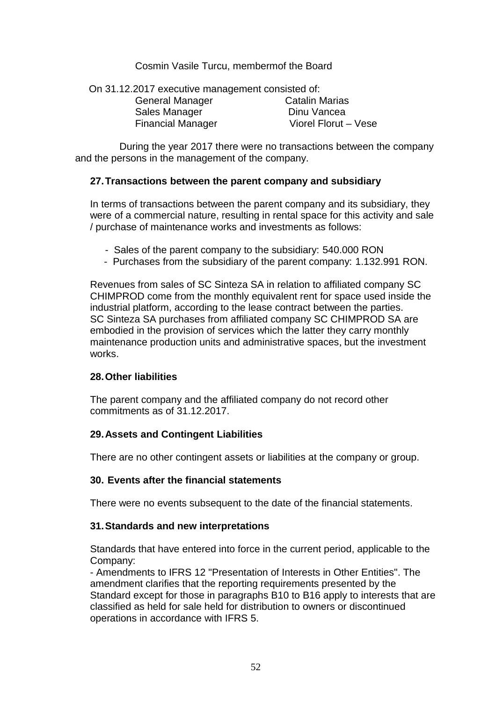#### Cosmin Vasile Turcu, membermof the Board

| On 31.12.2017 executive management consisted of: |                       |  |  |
|--------------------------------------------------|-----------------------|--|--|
| General Manager                                  | <b>Catalin Marias</b> |  |  |
| Sales Manager                                    | Dinu Vancea           |  |  |
| <b>Financial Manager</b>                         | Viorel Florut - Vese  |  |  |

 During the year 2017 there were no transactions between the company and the persons in the management of the company.

#### **27.Transactions between the parent company and subsidiary**

In terms of transactions between the parent company and its subsidiary, they were of a commercial nature, resulting in rental space for this activity and sale / purchase of maintenance works and investments as follows:

- Sales of the parent company to the subsidiary: 540.000 RON
- Purchases from the subsidiary of the parent company: 1.132.991 RON.

Revenues from sales of SC Sinteza SA in relation to affiliated company SC CHIMPROD come from the monthly equivalent rent for space used inside the industrial platform, according to the lease contract between the parties. SC Sinteza SA purchases from affiliated company SC CHIMPROD SA are embodied in the provision of services which the latter they carry monthly maintenance production units and administrative spaces, but the investment works.

#### **28.Other liabilities**

The parent company and the affiliated company do not record other commitments as of 31.12.2017.

#### **29.Assets and Contingent Liabilities**

There are no other contingent assets or liabilities at the company or group.

#### **30. Events after the financial statements**

There were no events subsequent to the date of the financial statements.

#### **31.Standards and new interpretations**

Standards that have entered into force in the current period, applicable to the Company:

- Amendments to IFRS 12 "Presentation of Interests in Other Entities". The amendment clarifies that the reporting requirements presented by the Standard except for those in paragraphs B10 to B16 apply to interests that are classified as held for sale held for distribution to owners or discontinued operations in accordance with IFRS 5.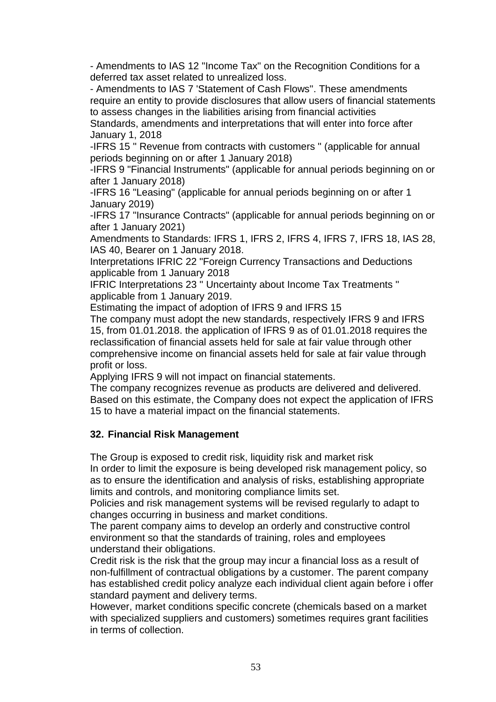- Amendments to IAS 12 "Income Tax" on the Recognition Conditions for a deferred tax asset related to unrealized loss.

- Amendments to IAS 7 'Statement of Cash Flows''. These amendments require an entity to provide disclosures that allow users of financial statements to assess changes in the liabilities arising from financial activities

Standards, amendments and interpretations that will enter into force after January 1, 2018

-IFRS 15 '' Revenue from contracts with customers '' (applicable for annual periods beginning on or after 1 January 2018)

-IFRS 9 "Financial Instruments" (applicable for annual periods beginning on or after 1 January 2018)

-IFRS 16 "Leasing" (applicable for annual periods beginning on or after 1 January 2019)

-IFRS 17 "Insurance Contracts" (applicable for annual periods beginning on or after 1 January 2021)

Amendments to Standards: IFRS 1, IFRS 2, IFRS 4, IFRS 7, IFRS 18, IAS 28, IAS 40, Bearer on 1 January 2018.

Interpretations IFRIC 22 "Foreign Currency Transactions and Deductions applicable from 1 January 2018

IFRIC Interpretations 23 '' Uncertainty about Income Tax Treatments '' applicable from 1 January 2019.

Estimating the impact of adoption of IFRS 9 and IFRS 15

The company must adopt the new standards, respectively IFRS 9 and IFRS 15, from 01.01.2018. the application of IFRS 9 as of 01.01.2018 requires the reclassification of financial assets held for sale at fair value through other comprehensive income on financial assets held for sale at fair value through profit or loss.

Applying IFRS 9 will not impact on financial statements.

The company recognizes revenue as products are delivered and delivered. Based on this estimate, the Company does not expect the application of IFRS 15 to have a material impact on the financial statements.

#### **32. Financial Risk Management**

The Group is exposed to credit risk, liquidity risk and market risk

In order to limit the exposure is being developed risk management policy, so as to ensure the identification and analysis of risks, establishing appropriate limits and controls, and monitoring compliance limits set.

Policies and risk management systems will be revised regularly to adapt to changes occurring in business and market conditions.

The parent company aims to develop an orderly and constructive control environment so that the standards of training, roles and employees understand their obligations.

Credit risk is the risk that the group may incur a financial loss as a result of non-fulfillment of contractual obligations by a customer. The parent company has established credit policy analyze each individual client again before i offer standard payment and delivery terms.

However, market conditions specific concrete (chemicals based on a market with specialized suppliers and customers) sometimes requires grant facilities in terms of collection.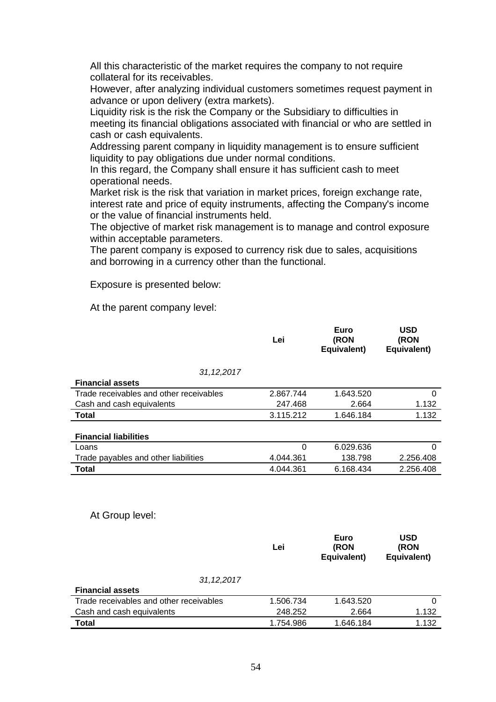All this characteristic of the market requires the company to not require collateral for its receivables.

However, after analyzing individual customers sometimes request payment in advance or upon delivery (extra markets).

Liquidity risk is the risk the Company or the Subsidiary to difficulties in meeting its financial obligations associated with financial or who are settled in cash or cash equivalents.

Addressing parent company in liquidity management is to ensure sufficient liquidity to pay obligations due under normal conditions.

In this regard, the Company shall ensure it has sufficient cash to meet operational needs.

Market risk is the risk that variation in market prices, foreign exchange rate, interest rate and price of equity instruments, affecting the Company's income or the value of financial instruments held.

The objective of market risk management is to manage and control exposure within acceptable parameters.

The parent company is exposed to currency risk due to sales, acquisitions and borrowing in a currency other than the functional.

Exposure is presented below:

At the parent company level:

|                                         | Lei       | Euro<br>(RON<br>Equivalent) | <b>USD</b><br>(RON<br>Equivalent) |
|-----------------------------------------|-----------|-----------------------------|-----------------------------------|
| 31, 12, 2017                            |           |                             |                                   |
| <b>Financial assets</b>                 |           |                             |                                   |
| Trade receivables and other receivables | 2.867.744 | 1.643.520                   | $\Omega$                          |
| Cash and cash equivalents               | 247.468   | 2.664                       | 1.132                             |
| <b>Total</b>                            | 3.115.212 | 1.646.184                   | 1.132                             |
| <b>Financial liabilities</b>            |           |                             |                                   |
| Loans                                   | 0         | 6.029.636                   | 0                                 |
| Trade payables and other liabilities    | 4.044.361 | 138.798                     | 2.256.408                         |
| <b>Total</b>                            | 4.044.361 | 6.168.434                   | 2.256.408                         |
| At Group level:                         | Lei       | Euro<br>(RON<br>Equivalent) | <b>USD</b><br>(RON<br>Equivalent) |
| 31, 12, 2017<br><b>Financial assets</b> |           |                             |                                   |

| .                                       |           |           |       |
|-----------------------------------------|-----------|-----------|-------|
| Trade receivables and other receivables | 1.506.734 | 1.643.520 |       |
| Cash and cash equivalents               | 248.252   | 2.664     | 1.132 |
| Total                                   | 1.754.986 | 1.646.184 | 1.132 |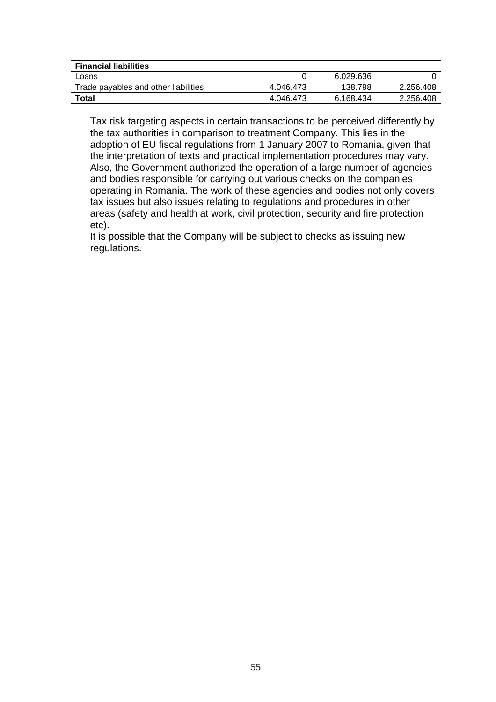| <b>Financial liabilities</b>         |           |           |           |
|--------------------------------------|-----------|-----------|-----------|
| Loans                                |           | 6.029.636 |           |
| Trade payables and other liabilities | 4.046.473 | 138.798   | 2.256.408 |
| Total                                | 4.046.473 | 6.168.434 | 2.256.408 |

Tax risk targeting aspects in certain transactions to be perceived differently by the tax authorities in comparison to treatment Company. This lies in the adoption of EU fiscal regulations from 1 January 2007 to Romania, given that the interpretation of texts and practical implementation procedures may vary. Also, the Government authorized the operation of a large number of agencies and bodies responsible for carrying out various checks on the companies operating in Romania. The work of these agencies and bodies not only covers tax issues but also issues relating to regulations and procedures in other areas (safety and health at work, civil protection, security and fire protection etc).

It is possible that the Company will be subject to checks as issuing new regulations.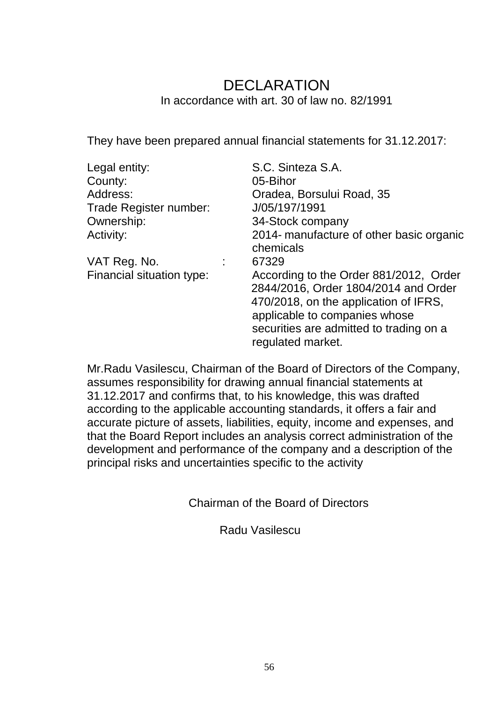## DECLARATION In accordance with art. 30 of law no. 82/1991

They have been prepared annual financial statements for 31.12.2017:

| Legal entity:             | S.C. Sinteza S.A.                        |
|---------------------------|------------------------------------------|
| County:                   | 05-Bihor                                 |
| Address:                  | Oradea, Borsului Road, 35                |
| Trade Register number:    | J/05/197/1991                            |
| Ownership:                | 34-Stock company                         |
| <b>Activity:</b>          | 2014- manufacture of other basic organic |
|                           | chemicals                                |
| VAT Reg. No.              | 67329                                    |
| Financial situation type: | According to the Order 881/2012, Order   |
|                           | 2844/2016, Order 1804/2014 and Order     |
|                           | 470/2018, on the application of IFRS,    |
|                           | applicable to companies whose            |
|                           | securities are admitted to trading on a  |
|                           | regulated market.                        |
|                           |                                          |

Mr.Radu Vasilescu, Chairman of the Board of Directors of the Company, assumes responsibility for drawing annual financial statements at 31.12.2017 and confirms that, to his knowledge, this was drafted according to the applicable accounting standards, it offers a fair and accurate picture of assets, liabilities, equity, income and expenses, and that the Board Report includes an analysis correct administration of the development and performance of the company and a description of the principal risks and uncertainties specific to the activity

Chairman of the Board of Directors

Radu Vasilescu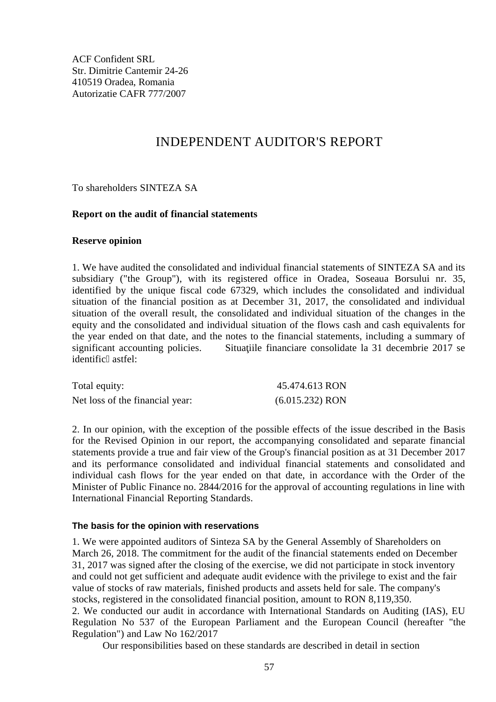ACF Confident SRL Str. Dimitrie Cantemir 24-26 410519 Oradea, Romania Autorizatie CAFR 777/2007

### INDEPENDENT AUDITOR'S REPORT

To shareholders SINTEZA SA

#### **Report on the audit of financial statements**

#### **Reserve opinion**

1. We have audited the consolidated and individual financial statements of SINTEZA SA and its subsidiary ("the Group"), with its registered office in Oradea, Soseaua Borsului nr. 35, identified by the unique fiscal code 67329, which includes the consolidated and individual situation of the financial position as at December 31, 2017, the consolidated and individual situation of the overall result, the consolidated and individual situation of the changes in the equity and the consolidated and individual situation of the flows cash and cash equivalents for the year ended on that date, and the notes to the financial statements, including a summary of significant accounting policies. Situațiile financiare consolidate la 31 decembrie 2017 se identificl astfel:

| Total equity:                   | 45.474.613 RON    |
|---------------------------------|-------------------|
| Net loss of the financial year: | $(6.015.232)$ RON |

2. In our opinion, with the exception of the possible effects of the issue described in the Basis for the Revised Opinion in our report, the accompanying consolidated and separate financial statements provide a true and fair view of the Group's financial position as at 31 December 2017 and its performance consolidated and individual financial statements and consolidated and individual cash flows for the year ended on that date, in accordance with the Order of the Minister of Public Finance no. 2844/2016 for the approval of accounting regulations in line with International Financial Reporting Standards.

#### **The basis for the opinion with reservations**

1. We were appointed auditors of Sinteza SA by the General Assembly of Shareholders on March 26, 2018. The commitment for the audit of the financial statements ended on December 31, 2017 was signed after the closing of the exercise, we did not participate in stock inventory and could not get sufficient and adequate audit evidence with the privilege to exist and the fair value of stocks of raw materials, finished products and assets held for sale. The company's stocks, registered in the consolidated financial position, amount to RON 8,119,350. 2. We conducted our audit in accordance with International Standards on Auditing (IAS), EU Regulation No 537 of the European Parliament and the European Council (hereafter "the Regulation") and Law No 162/2017

Our responsibilities based on these standards are described in detail in section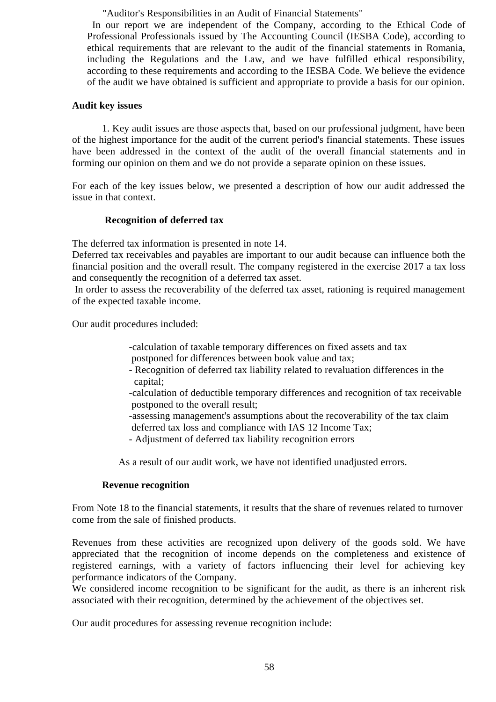"Auditor's Responsibilities in an Audit of Financial Statements"

 In our report we are independent of the Company, according to the Ethical Code of Professional Professionals issued by The Accounting Council (IESBA Code), according to ethical requirements that are relevant to the audit of the financial statements in Romania, including the Regulations and the Law, and we have fulfilled ethical responsibility, according to these requirements and according to the IESBA Code. We believe the evidence of the audit we have obtained is sufficient and appropriate to provide a basis for our opinion.

#### **Audit key issues**

1. Key audit issues are those aspects that, based on our professional judgment, have been of the highest importance for the audit of the current period's financial statements. These issues have been addressed in the context of the audit of the overall financial statements and in forming our opinion on them and we do not provide a separate opinion on these issues.

For each of the key issues below, we presented a description of how our audit addressed the issue in that context.

#### **Recognition of deferred tax**

The deferred tax information is presented in note 14.

Deferred tax receivables and payables are important to our audit because can influence both the financial position and the overall result. The company registered in the exercise 2017 a tax loss and consequently the recognition of a deferred tax asset.

In order to assess the recoverability of the deferred tax asset, rationing is required management of the expected taxable income.

Our audit procedures included:

- -calculation of taxable temporary differences on fixed assets and tax postponed for differences between book value and tax;
- Recognition of deferred tax liability related to revaluation differences in the capital;
- -calculation of deductible temporary differences and recognition of tax receivable postponed to the overall result;
- -assessing management's assumptions about the recoverability of the tax claim deferred tax loss and compliance with IAS 12 Income Tax;
- Adjustment of deferred tax liability recognition errors

As a result of our audit work, we have not identified unadjusted errors.

#### **Revenue recognition**

From Note 18 to the financial statements, it results that the share of revenues related to turnover come from the sale of finished products.

Revenues from these activities are recognized upon delivery of the goods sold. We have appreciated that the recognition of income depends on the completeness and existence of registered earnings, with a variety of factors influencing their level for achieving key performance indicators of the Company.

We considered income recognition to be significant for the audit, as there is an inherent risk associated with their recognition, determined by the achievement of the objectives set.

Our audit procedures for assessing revenue recognition include: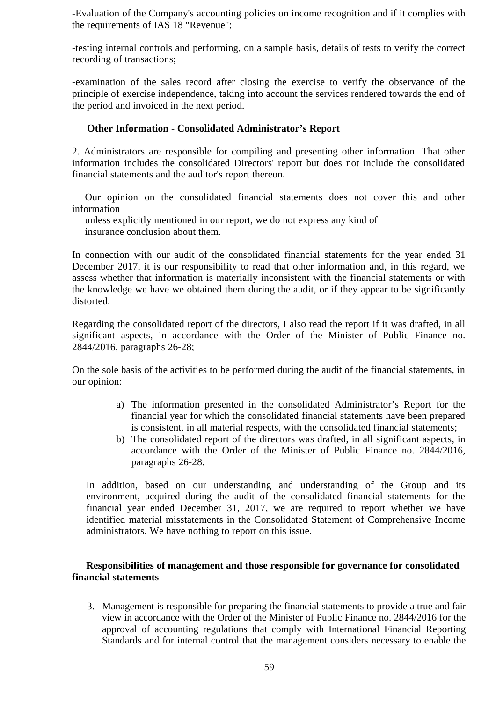-Evaluation of the Company's accounting policies on income recognition and if it complies with the requirements of IAS 18 "Revenue";

-testing internal controls and performing, on a sample basis, details of tests to verify the correct recording of transactions;

-examination of the sales record after closing the exercise to verify the observance of the principle of exercise independence, taking into account the services rendered towards the end of the period and invoiced in the next period.

#### **Other Information - Consolidated Administrator's Report**

2. Administrators are responsible for compiling and presenting other information. That other information includes the consolidated Directors' report but does not include the consolidated financial statements and the auditor's report thereon.

Our opinion on the consolidated financial statements does not cover this and other information

unless explicitly mentioned in our report, we do not express any kind of insurance conclusion about them.

In connection with our audit of the consolidated financial statements for the year ended 31 December 2017, it is our responsibility to read that other information and, in this regard, we assess whether that information is materially inconsistent with the financial statements or with the knowledge we have we obtained them during the audit, or if they appear to be significantly distorted.

Regarding the consolidated report of the directors, I also read the report if it was drafted, in all significant aspects, in accordance with the Order of the Minister of Public Finance no. 2844/2016, paragraphs 26-28;

On the sole basis of the activities to be performed during the audit of the financial statements, in our opinion:

- a) The information presented in the consolidated Administrator's Report for the financial year for which the consolidated financial statements have been prepared is consistent, in all material respects, with the consolidated financial statements;
- b) The consolidated report of the directors was drafted, in all significant aspects, in accordance with the Order of the Minister of Public Finance no. 2844/2016, paragraphs 26-28.

In addition, based on our understanding and understanding of the Group and its environment, acquired during the audit of the consolidated financial statements for the financial year ended December 31, 2017, we are required to report whether we have identified material misstatements in the Consolidated Statement of Comprehensive Income administrators. We have nothing to report on this issue.

#### **Responsibilities of management and those responsible for governance for consolidated financial statements**

3. Management is responsible for preparing the financial statements to provide a true and fair view in accordance with the Order of the Minister of Public Finance no. 2844/2016 for the approval of accounting regulations that comply with International Financial Reporting Standards and for internal control that the management considers necessary to enable the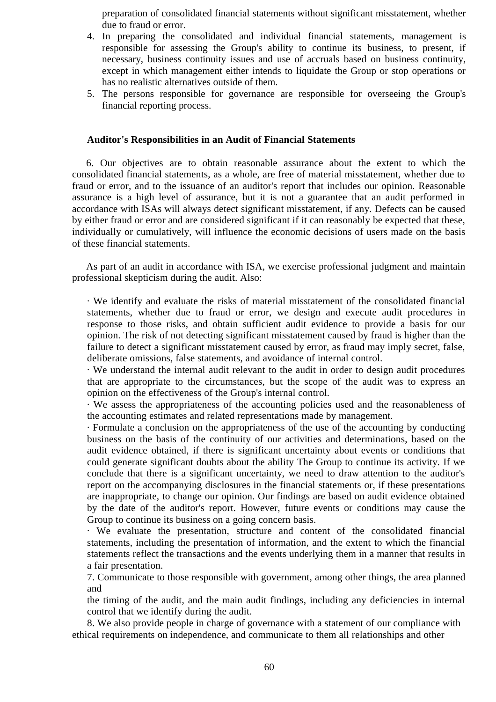preparation of consolidated financial statements without significant misstatement, whether due to fraud or error.

- 4. In preparing the consolidated and individual financial statements, management is responsible for assessing the Group's ability to continue its business, to present, if necessary, business continuity issues and use of accruals based on business continuity, except in which management either intends to liquidate the Group or stop operations or has no realistic alternatives outside of them.
- 5. The persons responsible for governance are responsible for overseeing the Group's financial reporting process.

#### **Auditor's Responsibilities in an Audit of Financial Statements**

6. Our objectives are to obtain reasonable assurance about the extent to which the consolidated financial statements, as a whole, are free of material misstatement, whether due to fraud or error, and to the issuance of an auditor's report that includes our opinion. Reasonable assurance is a high level of assurance, but it is not a guarantee that an audit performed in accordance with ISAs will always detect significant misstatement, if any. Defects can be caused by either fraud or error and are considered significant if it can reasonably be expected that these, individually or cumulatively, will influence the economic decisions of users made on the basis of these financial statements.

As part of an audit in accordance with ISA, we exercise professional judgment and maintain professional skepticism during the audit. Also:

· We identify and evaluate the risks of material misstatement of the consolidated financial statements, whether due to fraud or error, we design and execute audit procedures in response to those risks, and obtain sufficient audit evidence to provide a basis for our opinion. The risk of not detecting significant misstatement caused by fraud is higher than the failure to detect a significant misstatement caused by error, as fraud may imply secret, false, deliberate omissions, false statements, and avoidance of internal control.

· We understand the internal audit relevant to the audit in order to design audit procedures that are appropriate to the circumstances, but the scope of the audit was to express an opinion on the effectiveness of the Group's internal control.

· We assess the appropriateness of the accounting policies used and the reasonableness of the accounting estimates and related representations made by management.

· Formulate a conclusion on the appropriateness of the use of the accounting by conducting business on the basis of the continuity of our activities and determinations, based on the audit evidence obtained, if there is significant uncertainty about events or conditions that could generate significant doubts about the ability The Group to continue its activity. If we conclude that there is a significant uncertainty, we need to draw attention to the auditor's report on the accompanying disclosures in the financial statements or, if these presentations are inappropriate, to change our opinion. Our findings are based on audit evidence obtained by the date of the auditor's report. However, future events or conditions may cause the Group to continue its business on a going concern basis.

· We evaluate the presentation, structure and content of the consolidated financial statements, including the presentation of information, and the extent to which the financial statements reflect the transactions and the events underlying them in a manner that results in a fair presentation.

7. Communicate to those responsible with government, among other things, the area planned and

the timing of the audit, and the main audit findings, including any deficiencies in internal control that we identify during the audit.

8. We also provide people in charge of governance with a statement of our compliance with ethical requirements on independence, and communicate to them all relationships and other